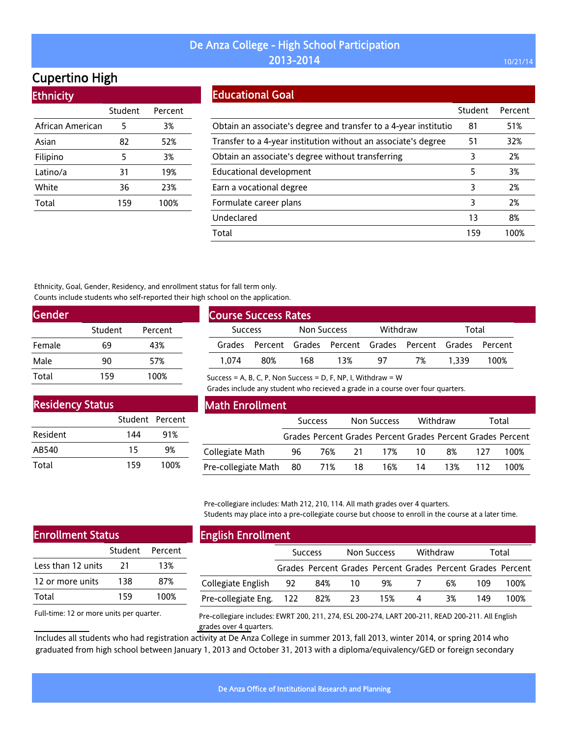# Cupertino High

Ethnicity

| LUINUU           |         |         |
|------------------|---------|---------|
|                  | Student | Percent |
| African American | 5       | 3%      |
| Asian            | 82      | 52%     |
| Filipino         | 5       | 3%      |
| Latino/a         | 31      | 19%     |
| White            | 36      | 23%     |
| Total            | 159     | 100%    |
|                  |         |         |

### Educational Goal

|                                                                  | Student | Percent |
|------------------------------------------------------------------|---------|---------|
| Obtain an associate's degree and transfer to a 4-year institutio | 81      | 51%     |
| Transfer to a 4-year institution without an associate's degree   | 51      | 32%     |
| Obtain an associate's degree without transferring                | 3       | 2%      |
| Educational development                                          | 5       | 3%      |
| Earn a vocational degree                                         | 3       | 2%      |
| Formulate career plans                                           | 3       | 2%      |
| Undeclared                                                       | 13      | 8%      |
| Total                                                            | 159     | 100%    |

Ethnicity, Goal, Gender, Residency, and enrollment status for fall term only. Counts include students who self-reported their high school on the application.

| <b>Gender</b> |         |         |  |
|---------------|---------|---------|--|
|               | Student | Percent |  |
| Female        | 69      | 43%     |  |
| Male          | 90      | 57%     |  |
| Total         | 159     | 100%    |  |

| <b>Course Success Rates</b> |     |             |                                                      |          |    |       |      |
|-----------------------------|-----|-------------|------------------------------------------------------|----------|----|-------|------|
| <b>Success</b>              |     | Non Success |                                                      | Withdraw |    | Total |      |
| Grades                      |     |             | Percent Grades Percent Grades Percent Grades Percent |          |    |       |      |
| 1.074                       | 80% | 168         | 13%                                                  | 97       | 7% | 1.339 | 100% |

Success = A, B, C, P, Non Success = D, F, NP, I, Withdraw =  $W$ 

Grades include any student who recieved a grade in a course over four quarters.

| <b>Residency Status</b> |                 |      |
|-------------------------|-----------------|------|
|                         | Student Percent |      |
| Resident                | 144             | 91%  |
| AB540                   | 15              | 9%   |
| Total                   | 159             | 100% |

#### Math Enrollment

|                        |    | <b>Success</b> |     | Non Success |     | Withdraw |      | Total                                                       |
|------------------------|----|----------------|-----|-------------|-----|----------|------|-------------------------------------------------------------|
|                        |    |                |     |             |     |          |      | Grades Percent Grades Percent Grades Percent Grades Percent |
| Collegiate Math        | 96 |                |     | 76% 21 17%  | -10 | 8%       | -127 | 100%                                                        |
| Pre-collegiate Math 80 |    | $71\%$         | -18 | 16%         | 14  | 13%      | 112  | 100%                                                        |

Pre-collegiare includes: Math 212, 210, 114. All math grades over 4 quarters. Students may place into a pre-collegiate course but choose to enroll in the course at a later time.

| <b>Enrollment Status</b> |     |                 |  |  |  |
|--------------------------|-----|-----------------|--|--|--|
|                          |     | Student Percent |  |  |  |
| Less than 12 units       | 21  | 13%             |  |  |  |
| 12 or more units         | 138 | 87%             |  |  |  |
| Total                    | 159 | 100%            |  |  |  |
|                          |     |                 |  |  |  |

### English Enrollment

| - -                     |                |                                                             |             |     |          |    |       |      |
|-------------------------|----------------|-------------------------------------------------------------|-------------|-----|----------|----|-------|------|
|                         | <b>Success</b> |                                                             | Non Success |     | Withdraw |    | Total |      |
|                         |                | Grades Percent Grades Percent Grades Percent Grades Percent |             |     |          |    |       |      |
| Collegiate English 92   |                | 84%                                                         | 10          | 9%  |          | 6% | 109   | 100% |
| Pre-collegiate Eng. 122 |                | 82%                                                         | -23         | 15% | 4        | 3% | 149   | 100% |

Full-time: 12 or more units per quarter.

Pre-collegiare includes: EWRT 200, 211, 274, ESL 200-274, LART 200-211, READ 200-211. All English grades over 4 quarters.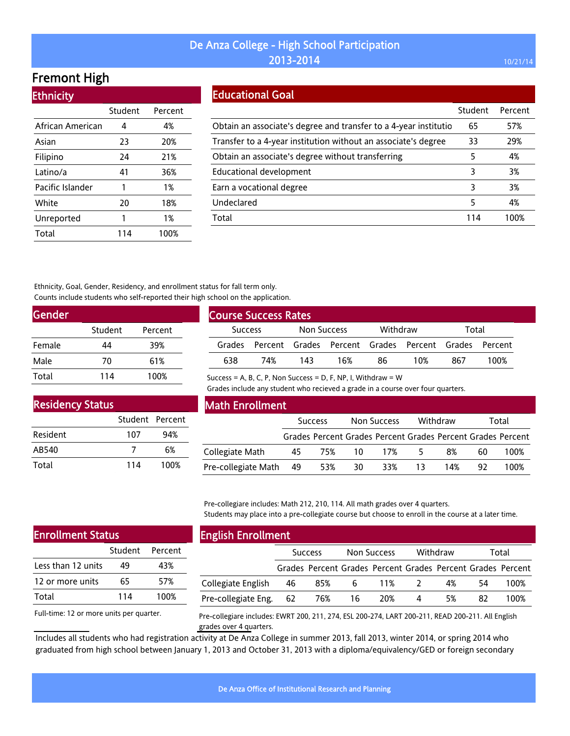# Fremont High

**Ethnicity** 

| LUMICIU          |         |         |
|------------------|---------|---------|
|                  | Student | Percent |
| African American | 4       | 4%      |
| Asian            | 23      | 20%     |
| Filipino         | 24      | 21%     |
| Latino/a         | 41      | 36%     |
| Pacific Islander | 1       | 1%      |
| White            | 20      | 18%     |
| Unreported       | 1       | 1%      |
| Total            | 114     | 100%    |

### Educational Goal

|                                                                  | Student | Percent |
|------------------------------------------------------------------|---------|---------|
| Obtain an associate's degree and transfer to a 4-year institutio | 65      | 57%     |
| Transfer to a 4-year institution without an associate's degree   | 33      | 29%     |
| Obtain an associate's degree without transferring                | 5       | 4%      |
| Educational development                                          | 3       | 3%      |
| Earn a vocational degree                                         | 3       | 3%      |
| Undeclared                                                       | 5       | 4%      |
| Total                                                            | 114     | 100%    |

Ethnicity, Goal, Gender, Residency, and enrollment status for fall term only. Counts include students who self-reported their high school on the application.

| <b>Gender</b> |         |         |
|---------------|---------|---------|
|               | Student | Percent |
| Female        | 44      | 39%     |
| Male          | 70      | 61%     |
| Total         | 114     | 100%    |

| <b>Course Success Rates</b> |                                                             |             |     |          |     |       |      |
|-----------------------------|-------------------------------------------------------------|-------------|-----|----------|-----|-------|------|
| <b>Success</b>              |                                                             | Non Success |     | Withdraw |     | Total |      |
|                             | Grades Percent Grades Percent Grades Percent Grades Percent |             |     |          |     |       |      |
| 638                         | 74%                                                         | 143         | 16% | 86       | 10% | 867   | 100% |

Success = A, B, C, P, Non Success = D, F, NP, I, Withdraw =  $W$ 

Grades include any student who recieved a grade in a course over four quarters.

| <b>Residency Status</b> |                 |      |  |  |  |  |  |  |
|-------------------------|-----------------|------|--|--|--|--|--|--|
|                         | Student Percent |      |  |  |  |  |  |  |
| Resident                | 107             | 94%  |  |  |  |  |  |  |
| AB540                   |                 | 6%   |  |  |  |  |  |  |
| Total                   | 114             | 100% |  |  |  |  |  |  |

#### Math Enrollment

|                        | <b>Success</b> |     | Non Success |     | Withdraw |     | Total |                                                             |
|------------------------|----------------|-----|-------------|-----|----------|-----|-------|-------------------------------------------------------------|
|                        |                |     |             |     |          |     |       | Grades Percent Grades Percent Grades Percent Grades Percent |
| Collegiate Math        | 45             | 75% | -10         | 17% | 5.       | 8%  | 60    | 100%                                                        |
| Pre-collegiate Math 49 |                | 53% | 30          | 33% | 13       | 14% | 92.   | 100%                                                        |

Pre-collegiare includes: Math 212, 210, 114. All math grades over 4 quarters. Students may place into a pre-collegiate course but choose to enroll in the course at a later time.

| <b>Enrollment Status</b> |     |                 |  |  |  |  |
|--------------------------|-----|-----------------|--|--|--|--|
|                          |     | Student Percent |  |  |  |  |
| Less than 12 units       | 49  | 43%             |  |  |  |  |
| 12 or more units         | 65  | 57%             |  |  |  |  |
| Total                    | 114 | 100%            |  |  |  |  |
|                          |     |                 |  |  |  |  |

#### English Enrollment

| ---------------------- |                |                                                             |             |     |                |    |       |      |
|------------------------|----------------|-------------------------------------------------------------|-------------|-----|----------------|----|-------|------|
|                        | <b>Success</b> |                                                             | Non Success |     | Withdraw       |    | Total |      |
|                        |                | Grades Percent Grades Percent Grades Percent Grades Percent |             |     |                |    |       |      |
| Collegiate English     | - 46           | 85%                                                         | 6           | 11% | $\overline{2}$ | 4% | 54    | 100% |
| Pre-collegiate Eng. 62 |                | 76%                                                         | 16          | 20% | 4              | 5% | 82    | 100% |
|                        |                |                                                             |             |     |                |    |       |      |

Full-time: 12 or more units per quarter.

Pre-collegiare includes: EWRT 200, 211, 274, ESL 200-274, LART 200-211, READ 200-211. All English grades over 4 quarters.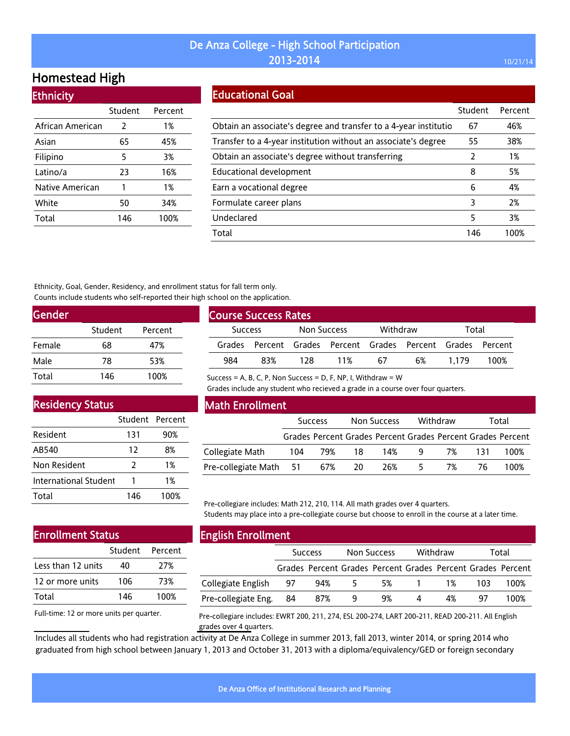# Homestead High

| <b>Ethnicity</b> |         |         |
|------------------|---------|---------|
|                  | Student | Percent |
| African American | 2       | 1%      |
| Asian            | 65      | 45%     |
| Filipino         | 5       | 3%      |
| Latino/a         | 23      | 16%     |
| Native American  | 1       | 1%      |
| White            | 50      | 34%     |
| Total            | 146     | 100%    |

### Educational Goal

|                                                                  | Student | Percent |
|------------------------------------------------------------------|---------|---------|
| Obtain an associate's degree and transfer to a 4-year institutio | 67      | 46%     |
| Transfer to a 4-year institution without an associate's degree   | 55      | 38%     |
| Obtain an associate's degree without transferring                | 2       | 1%      |
| Educational development                                          | 8       | 5%      |
| Earn a vocational degree                                         | 6       | 4%      |
| Formulate career plans                                           | 3       | 2%      |
| Undeclared                                                       | 5       | 3%      |
| Total                                                            | 146     | 100%    |

Ethnicity, Goal, Gender, Residency, and enrollment status for fall term only. Counts include students who self-reported their high school on the application.

| <b>Gender</b> |         |         |
|---------------|---------|---------|
|               | Student | Percent |
| Female        | 68      | 47%     |
| Male          | 78      | 53%     |
| Total         | 146     | 100%    |

| <b>Course Success Rates</b>   |     |     |          |    |                                                             |       |      |  |
|-------------------------------|-----|-----|----------|----|-------------------------------------------------------------|-------|------|--|
| Non Success<br><b>Success</b> |     |     | Withdraw |    | Total                                                       |       |      |  |
|                               |     |     |          |    | Grades Percent Grades Percent Grades Percent Grades Percent |       |      |  |
| 984                           | 83% | 178 | 11%      | 67 | 6%                                                          | 1.179 | 100% |  |

Residency Status

|                       | Student Percent |      |
|-----------------------|-----------------|------|
| Resident              | 131             | 90%  |
| AB540                 | 12              | 8%   |
| Non Resident          | $\mathcal{P}$   | 1%   |
| International Student |                 | 1%   |
| Total                 | 146             | 100% |

Math Enrollment

Success = A, B, C, P, Non Success = D, F, NP, I, Withdraw =  $W$ 

Grades include any student who recieved a grade in a course over four quarters.

|                            | <b>Success</b> |     | Non Success |                                                             | Withdraw       |    | Total |      |
|----------------------------|----------------|-----|-------------|-------------------------------------------------------------|----------------|----|-------|------|
|                            |                |     |             | Grades Percent Grades Percent Grades Percent Grades Percent |                |    |       |      |
| Collegiate Math            | 104            | 79% | -18         | 14%                                                         | $\overline{q}$ | 7% | -131  | 100% |
| Pre-collegiate Math 51 67% |                |     | -20         | 26%                                                         | 5              | 7% | 76.   | 100% |

Pre-collegiare includes: Math 212, 210, 114. All math grades over 4 quarters. Students may place into a pre-collegiate course but choose to enroll in the course at a later time.

#### Enrollment Status Student Percent

| Less than 12 units | 40  | 27%  |
|--------------------|-----|------|
| 12 or more units   | 106 | 73%  |
| Total              | 146 | 100% |
|                    |     |      |

Full-time: 12 or more units per quarter.

#### English Enrollment

|                        | <b>Success</b> |                                                             | Non Success |    | Withdraw |    | Total |      |
|------------------------|----------------|-------------------------------------------------------------|-------------|----|----------|----|-------|------|
|                        |                | Grades Percent Grades Percent Grades Percent Grades Percent |             |    |          |    |       |      |
| Collegiate English     | - 97           | 94%                                                         | 5.          | 5% |          | 1% | 103.  | 100% |
| Pre-collegiate Eng. 84 |                | 87%                                                         | 9           | 9% | 4        | 4% | 97    | 100% |
|                        |                |                                                             |             |    |          |    |       |      |

Pre-collegiare includes: EWRT 200, 211, 274, ESL 200-274, LART 200-211, READ 200-211. All English grades over 4 quarters.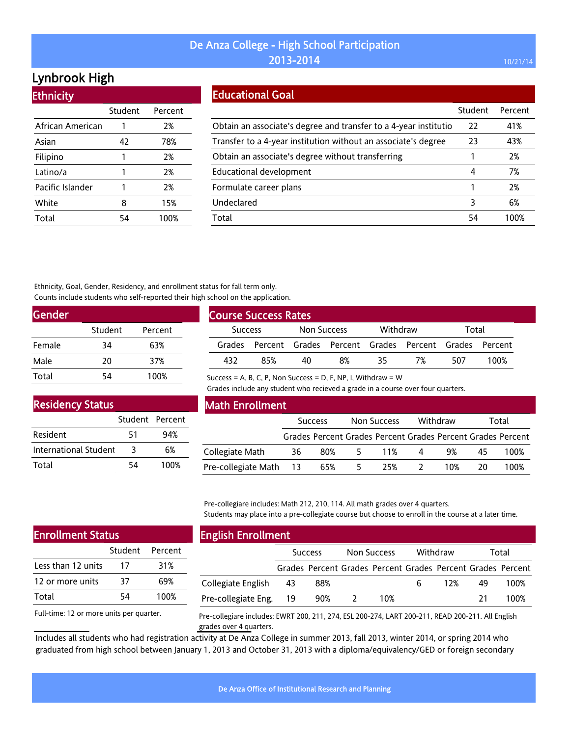# Lynbrook High

**Ethnicity** 

| <u>есписку</u>   |         |         |
|------------------|---------|---------|
|                  | Student | Percent |
| African American | 1       | 2%      |
| Asian            | 42      | 78%     |
| Filipino         | 1       | 2%      |
| Latino/a         | 1       | 2%      |
| Pacific Islander | 1       | 2%      |
| White            | 8       | 15%     |
| Total            | 54      | 100%    |

### Educational Goal

|                                                                  | Student | Percent |
|------------------------------------------------------------------|---------|---------|
| Obtain an associate's degree and transfer to a 4-year institutio | 22      | 41%     |
| Transfer to a 4-year institution without an associate's degree   | 23      | 43%     |
| Obtain an associate's degree without transferring                |         | 2%      |
| <b>Educational development</b>                                   | 4       | 7%      |
| Formulate career plans                                           |         | 2%      |
| Undeclared                                                       | 3       | 6%      |
| Total                                                            | 54      | 1በበ%    |

Ethnicity, Goal, Gender, Residency, and enrollment status for fall term only. Counts include students who self-reported their high school on the application.

| <b>Gender</b> |         |         |
|---------------|---------|---------|
|               | Student | Percent |
| Female        | 34      | 63%     |
| Male          | 20      | 37%     |
| Total         | 54      | 100%    |

|                | <b>Course Success Rates</b> |             |                                                             |          |    |       |      |
|----------------|-----------------------------|-------------|-------------------------------------------------------------|----------|----|-------|------|
| <b>Success</b> |                             | Non Success |                                                             | Withdraw |    | Total |      |
|                |                             |             | Grades Percent Grades Percent Grades Percent Grades Percent |          |    |       |      |
| 432            | 85%                         | 40          | 8%                                                          | 35       | 7% | 507   | 100% |

Success = A, B, C, P, Non Success = D, F, NP, I, Withdraw =  $W$ 

Grades include any student who recieved a grade in a course over four quarters.

| <b>Residency Status</b>      |                 |      |  |  |  |  |
|------------------------------|-----------------|------|--|--|--|--|
|                              | Student Percent |      |  |  |  |  |
| Resident                     | 51              | 94%  |  |  |  |  |
| <b>International Student</b> | 3               | 6%   |  |  |  |  |
| Total                        | 54              | 100% |  |  |  |  |

#### Math Enrollment

|                        |    | <b>Success</b> |    | Non Success |   | Withdraw |     | Total                                                       |
|------------------------|----|----------------|----|-------------|---|----------|-----|-------------------------------------------------------------|
|                        |    |                |    |             |   |          |     | Grades Percent Grades Percent Grades Percent Grades Percent |
| Collegiate Math        | 36 | 80%            |    | 5 11%       | 4 | 9%       | 45. | 100%                                                        |
| Pre-collegiate Math 13 |    | 65%            | 5. | 25%         |   | 10%      | 20. | 100%                                                        |

Pre-collegiare includes: Math 212, 210, 114. All math grades over 4 quarters. Students may place into a pre-collegiate course but choose to enroll in the course at a later time.

| <b>Enrollment Status</b> |    |                 |  |  |  |
|--------------------------|----|-----------------|--|--|--|
|                          |    | Student Percent |  |  |  |
| Less than 12 units       | 17 | 31%             |  |  |  |
| 12 or more units         | 37 | 69%             |  |  |  |
| Total                    | 54 | 100%            |  |  |  |
|                          |    |                 |  |  |  |

Full-time: 12 or more units per quarter.

#### English Enrollment

| - -                    |      |                                                             |             |    |          |    |       |
|------------------------|------|-------------------------------------------------------------|-------------|----|----------|----|-------|
|                        |      | <b>Success</b>                                              | Non Success |    | Withdraw |    | Total |
|                        |      | Grades Percent Grades Percent Grades Percent Grades Percent |             |    |          |    |       |
| Collegiate English     | - 43 | 88%                                                         |             | 6. | 12%      | 49 | 100%  |
| Pre-collegiate Eng. 19 |      | 90%                                                         | 10%         |    |          | 71 | 100%  |

Pre-collegiare includes: EWRT 200, 211, 274, ESL 200-274, LART 200-211, READ 200-211. All English grades over 4 quarters.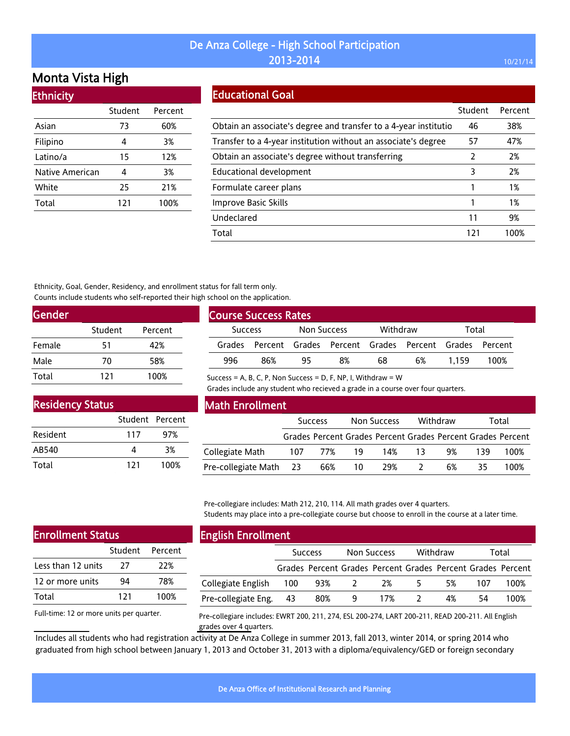# Monta Vista High

| <b>Ethnicity</b> |         |         |
|------------------|---------|---------|
|                  | Student | Percent |
| Asian            | 73      | 60%     |
| Filipino         | 4       | 3%      |
| Latino/a         | 15      | 12%     |
| Native American  | 4       | 3%      |
| White            | 25      | 21%     |
| Total            | 121     | 100%    |

### Educational Goal

|                                                                  | Student | Percent |
|------------------------------------------------------------------|---------|---------|
| Obtain an associate's degree and transfer to a 4-year institutio | 46      | 38%     |
| Transfer to a 4-year institution without an associate's degree   | 57      | 47%     |
| Obtain an associate's degree without transferring                | 2       | 2%      |
| Educational development                                          | 3       | 2%      |
| Formulate career plans                                           |         | 1%      |
| Improve Basic Skills                                             | 1       | 1%      |
| Undeclared                                                       | 11      | 9%      |
| Total                                                            | 121     | 100%    |

Ethnicity, Goal, Gender, Residency, and enrollment status for fall term only. Counts include students who self-reported their high school on the application.

| Gender |         |         |  |
|--------|---------|---------|--|
|        | Student | Percent |  |
| Female | 51      | 42%     |  |
| Male   | 70      | 58%     |  |
| Total  | 121     | 100%    |  |

| <b>Course Success Rates</b>   |     |          |    |       |                                                             |       |      |
|-------------------------------|-----|----------|----|-------|-------------------------------------------------------------|-------|------|
| Non Success<br><b>Success</b> |     | Withdraw |    | Total |                                                             |       |      |
|                               |     |          |    |       | Grades Percent Grades Percent Grades Percent Grades Percent |       |      |
| 996                           | 86% | 95       | 8% | 68    | 6%                                                          | 1.159 | 100% |

Success = A, B, C, P, Non Success = D, F, NP, I, Withdraw =  $W$ 

Grades include any student who recieved a grade in a course over four quarters.

| <b>Residency Status</b> |                 |      |  |  |  |  |  |  |
|-------------------------|-----------------|------|--|--|--|--|--|--|
|                         | Student Percent |      |  |  |  |  |  |  |
| Resident                | 117             | 97%  |  |  |  |  |  |  |
| AB540                   | 4               | 3%   |  |  |  |  |  |  |
| Total                   | 121             | 100% |  |  |  |  |  |  |

#### Math Enrollment

|                        | <b>Success</b> |            | Non Success |                                                             | Withdraw |    | Total |      |
|------------------------|----------------|------------|-------------|-------------------------------------------------------------|----------|----|-------|------|
|                        |                |            |             | Grades Percent Grades Percent Grades Percent Grades Percent |          |    |       |      |
| Collegiate Math        |                | 107 77% 19 |             | 14%                                                         | 13       | 9% | 139   | 100% |
| Pre-collegiate Math 23 |                | 66%        | - 10        | 29%                                                         |          | 6% | 35.   | 100% |

Pre-collegiare includes: Math 212, 210, 114. All math grades over 4 quarters. Students may place into a pre-collegiate course but choose to enroll in the course at a later time.

| <b>Enrollment Status</b> |     |                 |  |  |  |  |
|--------------------------|-----|-----------------|--|--|--|--|
|                          |     | Student Percent |  |  |  |  |
| Less than 12 units       | 27  | 22%             |  |  |  |  |
| 12 or more units         | 94  | 78%             |  |  |  |  |
| Total                    | 121 | 100%            |  |  |  |  |
|                          |     |                 |  |  |  |  |

### English Enrollment

|                        | <b>Success</b> |     | Non Success             |     | Withdraw |    | Total |                                                             |  |
|------------------------|----------------|-----|-------------------------|-----|----------|----|-------|-------------------------------------------------------------|--|
|                        |                |     |                         |     |          |    |       | Grades Percent Grades Percent Grades Percent Grades Percent |  |
| Collegiate English     | -100           | 93% | $\overline{\mathbf{2}}$ | 2%  | 5.       | 5% | 107   | 100%                                                        |  |
| Pre-collegiate Eng. 43 |                | 80% | - 9                     | 17% |          | 4% | 54    | 100%                                                        |  |

Full-time: 12 or more units per quarter.

Pre-collegiare includes: EWRT 200, 211, 274, ESL 200-274, LART 200-211, READ 200-211. All English grades over 4 quarters.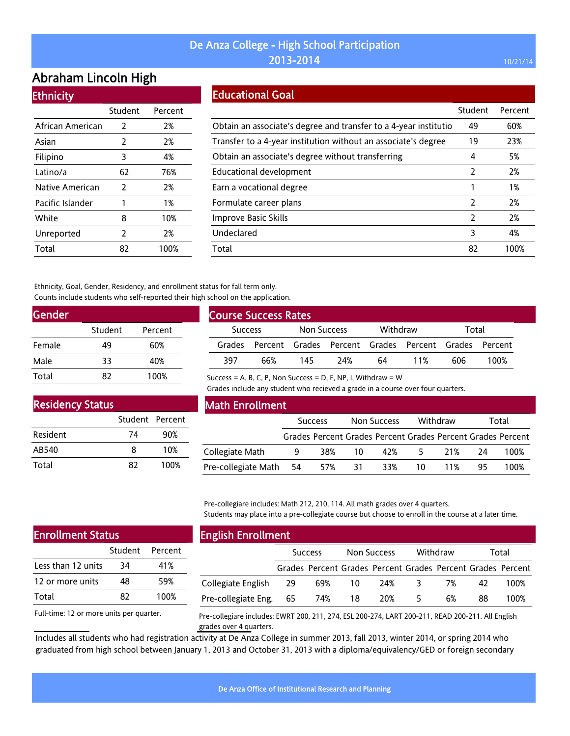# Abraham Lincoln High

#### **Ethnicity**

|                  | Student       | Percent |
|------------------|---------------|---------|
| African American | $\mathcal{P}$ | 2%      |
| Asian            | 2             | 2%      |
| Filipino         | 3             | 4%      |
| Latino/a         | 62            | 76%     |
| Native American  | 2             | 2%      |
| Pacific Islander | 1             | 1%      |
| White            | 8             | 10%     |
| Unreported       | $\mathcal{P}$ | 2%      |
| Total            | 82            | 100%    |

#### Educational Goal

|                                                                  | Student | Percent |
|------------------------------------------------------------------|---------|---------|
| Obtain an associate's degree and transfer to a 4-year institutio | 49      | 60%     |
| Transfer to a 4-year institution without an associate's degree   | 19      | 23%     |
| Obtain an associate's degree without transferring                | 4       | 5%      |
| Educational development                                          | 2       | 2%      |
| Earn a vocational degree                                         |         | 1%      |
| Formulate career plans                                           | 2       | 2%      |
| Improve Basic Skills                                             | 2       | 2%      |
| Undeclared                                                       | 3       | 4%      |
| Total                                                            | 82      | 100%    |

Ethnicity, Goal, Gender, Residency, and enrollment status for fall term only. Counts include students who self-reported their high school on the application.

| Gender |         |         |
|--------|---------|---------|
|        | Student | Percent |
| Female | 49      | 60%     |
| Male   | 33      | 40%     |
| Total  | 87      | 100%    |

| <b>Course Success Rates</b> |     |             |      |          |                                                             |       |      |  |  |
|-----------------------------|-----|-------------|------|----------|-------------------------------------------------------------|-------|------|--|--|
| <b>Success</b>              |     | Non Success |      | Withdraw |                                                             | Total |      |  |  |
|                             |     |             |      |          | Grades Percent Grades Percent Grades Percent Grades Percent |       |      |  |  |
| 397                         | 66% | 145         | -24% | 64       | 11%                                                         | 606   | 100% |  |  |

Success = A, B, C, P, Non Success = D, F, NP, I, Withdraw =  $W$ 

Grades include any student who recieved a grade in a course over four quarters.

| <b>Residency Status</b> |                 |      |  |  |  |  |  |  |
|-------------------------|-----------------|------|--|--|--|--|--|--|
|                         | Student Percent |      |  |  |  |  |  |  |
| Resident                | 74              | 90%  |  |  |  |  |  |  |
| AB540                   | 8               | 10%  |  |  |  |  |  |  |
| Total                   | 82              | 100% |  |  |  |  |  |  |

#### Math Enrollment

|                        | <b>Success</b> |     | Non Success |     | Withdraw |           | Total |                                                             |  |
|------------------------|----------------|-----|-------------|-----|----------|-----------|-------|-------------------------------------------------------------|--|
|                        |                |     |             |     |          |           |       | Grades Percent Grades Percent Grades Percent Grades Percent |  |
| Collegiate Math        | 9              |     | 38% 10      |     |          | 42% 5 21% | 24    | 100%                                                        |  |
| Pre-collegiate Math 54 |                | 57% | -31-        | 33% | 10 L     | 11%       | 95.   | 100%                                                        |  |

Pre-collegiare includes: Math 212, 210, 114. All math grades over 4 quarters. Students may place into a pre-collegiate course but choose to enroll in the course at a later time.

| <b>Enrollment Status</b> |    |                 |  |  |  |  |
|--------------------------|----|-----------------|--|--|--|--|
|                          |    | Student Percent |  |  |  |  |
| Less than 12 units       | 34 | 41%             |  |  |  |  |
| 12 or more units         | 48 | 59%             |  |  |  |  |
| Total                    | 87 | 100%            |  |  |  |  |
|                          |    |                 |  |  |  |  |

Full-time: 12 or more units per quarter.

### English Enrollment

|                        | <b>Success</b> |     | Non Success |                                                             | Withdraw |    | Total |      |
|------------------------|----------------|-----|-------------|-------------------------------------------------------------|----------|----|-------|------|
|                        |                |     |             | Grades Percent Grades Percent Grades Percent Grades Percent |          |    |       |      |
| Collegiate English     | 29             | 69% | 10          | 24%                                                         | -3.      | 7% | 42    | 100% |
| Pre-collegiate Eng. 65 |                | 74% | 18          | 20%                                                         | 5.       | 6% | 88    | 100% |

Pre-collegiare includes: EWRT 200, 211, 274, ESL 200-274, LART 200-211, READ 200-211. All English grades over 4 quarters.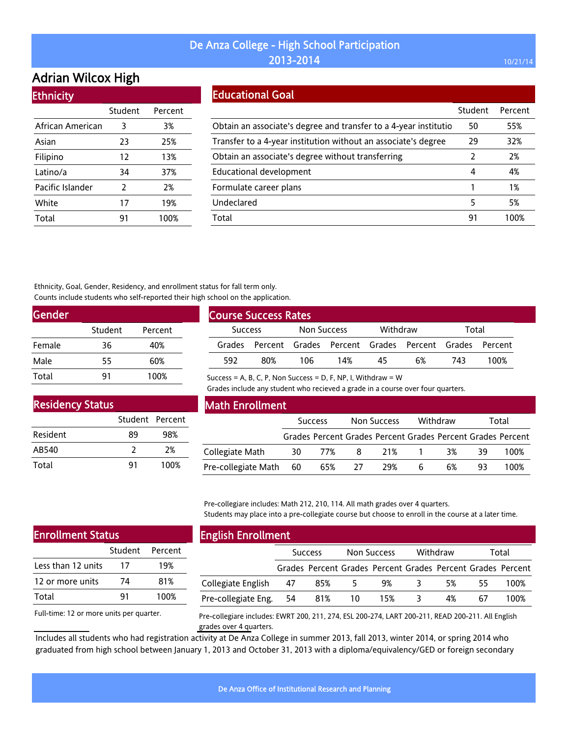# Adrian Wilcox High

| <b>Ethnicity</b> |               |         |
|------------------|---------------|---------|
|                  | Student       | Percent |
| African American | 3             | 3%      |
| Asian            | 23            | 25%     |
| Filipino         | 12            | 13%     |
| Latino/a         | 34            | 37%     |
| Pacific Islander | $\mathcal{P}$ | 2%      |
| White            | 17            | 19%     |
| Total            | 91            | 100%    |

#### Educational Goal

|                                                                  | Student | Percent |
|------------------------------------------------------------------|---------|---------|
| Obtain an associate's degree and transfer to a 4-year institutio | 50      | 55%     |
| Transfer to a 4-year institution without an associate's degree   | 29      | 32%     |
| Obtain an associate's degree without transferring                | 2       | 2%      |
| Educational development                                          | 4       | 4%      |
| Formulate career plans                                           |         | 1%      |
| Undeclared                                                       | 5       | 5%      |
| Total                                                            | 91      | 100%    |

Ethnicity, Goal, Gender, Residency, and enrollment status for fall term only. Counts include students who self-reported their high school on the application.

| <b>Gender</b> |         |         |
|---------------|---------|---------|
|               | Student | Percent |
| Female        | 36      | 40%     |
| Male          | 55      | 60%     |
| Total         | 91      | 100%    |

| <b>Course Success Rates</b> |     |             |                                                      |          |    |       |      |
|-----------------------------|-----|-------------|------------------------------------------------------|----------|----|-------|------|
| <b>Success</b>              |     | Non Success |                                                      | Withdraw |    | Total |      |
| Grades                      |     |             | Percent Grades Percent Grades Percent Grades Percent |          |    |       |      |
| 592                         | 80% | 106         | 14%                                                  | 45       | 6% | 743   | 100% |

Success = A, B, C, P, Non Success = D, F, NP, I, Withdraw =  $W$ 

Grades include any student who recieved a grade in a course over four quarters.

| <b>Residency Status</b> |                 |      |
|-------------------------|-----------------|------|
|                         | Student Percent |      |
| Resident                | 89              | 98%  |
| AB540                   | 2               | 2%   |
| Total                   | 91              | 100% |

#### Math Enrollment

|                        |      | <b>Success</b> |     | Non Success                                                 |    | Withdraw |     | Total |
|------------------------|------|----------------|-----|-------------------------------------------------------------|----|----------|-----|-------|
|                        |      |                |     | Grades Percent Grades Percent Grades Percent Grades Percent |    |          |     |       |
| Collegiate Math        | 30 L | 77% 8          |     | 21% 1                                                       |    | 3%       | -39 | 100%  |
| Pre-collegiate Math 60 |      | 65%            | -27 | 29%                                                         | -6 | 6%       | 93. | 100%  |

Pre-collegiare includes: Math 212, 210, 114. All math grades over 4 quarters. Students may place into a pre-collegiate course but choose to enroll in the course at a later time.

| <b>Enrollment Status</b> |    |                 |  |  |
|--------------------------|----|-----------------|--|--|
|                          |    | Student Percent |  |  |
| Less than 12 units       | 17 | 19%             |  |  |
| 12 or more units         | 74 | 81%             |  |  |
| Total                    | 91 | 100%            |  |  |
|                          |    |                 |  |  |

Full-time: 12 or more units per quarter.

#### English Enrollment

| ------------------------ |                |     |                                                             |   |          |    |       |
|--------------------------|----------------|-----|-------------------------------------------------------------|---|----------|----|-------|
|                          | <b>Success</b> |     | Non Success                                                 |   | Withdraw |    | Total |
|                          |                |     | Grades Percent Grades Percent Grades Percent Grades Percent |   |          |    |       |
| Collegiate English 47    | 85%            | - 5 | 9%                                                          | 3 | 5%       | 55 | 100%  |
| Pre-collegiate Eng. 54   | 81%            | 10  | 15%                                                         | 3 | 4%       | 67 | 100%  |
|                          |                |     |                                                             |   |          |    |       |

Pre-collegiare includes: EWRT 200, 211, 274, ESL 200-274, LART 200-211, READ 200-211. All English grades over 4 quarters.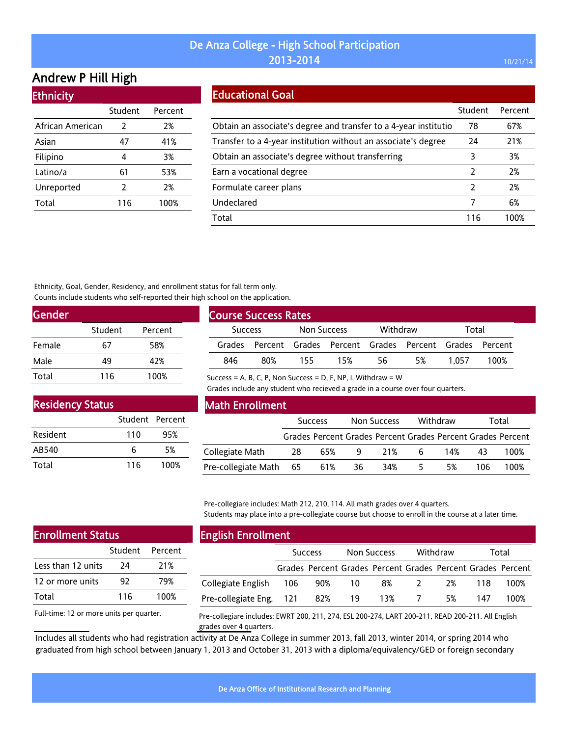# Andrew P Hill High

| <b>Ethnicity</b> |         |         |
|------------------|---------|---------|
|                  | Student | Percent |
| African American | 2       | 2%      |
| Asian            | 47      | 41%     |
| Filipino         | 4       | 3%      |
| Latino/a         | 61      | 53%     |
| Unreported       | 2       | 2%      |
| Total            | 116     | 100%    |
|                  |         |         |

### Educational Goal

|                                                                  | Student       | Percent |
|------------------------------------------------------------------|---------------|---------|
| Obtain an associate's degree and transfer to a 4-year institutio | 78            | 67%     |
| Transfer to a 4-year institution without an associate's degree   | 24            | 21%     |
| Obtain an associate's degree without transferring                | 3             | 3%      |
| Earn a vocational degree                                         | $\mathcal{L}$ | 2%      |
| Formulate career plans                                           | 2             | 2%      |
| Undeclared                                                       | 7             | 6%      |
| Total                                                            | 116           | 100%    |

Ethnicity, Goal, Gender, Residency, and enrollment status for fall term only. Counts include students who self-reported their high school on the application.

| <b>Gender</b> |         |         |  |
|---------------|---------|---------|--|
|               | Student | Percent |  |
| Female        | 67      | 58%     |  |
| Male          | 49      | 42%     |  |
| Total         | 116     | 100%    |  |

| <b>Course Success Rates</b> |                 |             |     |          |                                                             |       |      |
|-----------------------------|-----------------|-------------|-----|----------|-------------------------------------------------------------|-------|------|
| <b>Success</b>              |                 | Non Success |     | Withdraw |                                                             | Total |      |
|                             |                 |             |     |          | Grades Percent Grades Percent Grades Percent Grades Percent |       |      |
| 846                         | 80 <sup>%</sup> | 155.        | 15% | 56       | .5%                                                         | 1.057 | 100% |

Success = A, B, C, P, Non Success = D, F, NP, I, Withdraw =  $W$ 

Grades include any student who recieved a grade in a course over four quarters.

| <b>Residency Status</b> |                 |      |  |  |  |  |  |  |
|-------------------------|-----------------|------|--|--|--|--|--|--|
|                         | Student Percent |      |  |  |  |  |  |  |
| Resident                | 110             | 95%  |  |  |  |  |  |  |
| AB540                   | 6               | 5%   |  |  |  |  |  |  |
| Total                   | 116             | 100% |  |  |  |  |  |  |

#### Math Enrollment

|                            | <b>Success</b> |     | Non Success |     | Withdraw |     | Total |                                                             |
|----------------------------|----------------|-----|-------------|-----|----------|-----|-------|-------------------------------------------------------------|
|                            |                |     |             |     |          |     |       | Grades Percent Grades Percent Grades Percent Grades Percent |
| Collegiate Math            | -28            | 65% | - 9         | 21% | 6        | 14% | 43.   | 100%                                                        |
| Pre-collegiate Math 65 61% |                |     | 36          | 34% | 5        | 5%  | 106   | 100%                                                        |

Pre-collegiare includes: Math 212, 210, 114. All math grades over 4 quarters. Students may place into a pre-collegiate course but choose to enroll in the course at a later time.

| <b>Enrollment Status</b> |     |                 |  |  |  |  |
|--------------------------|-----|-----------------|--|--|--|--|
|                          |     | Student Percent |  |  |  |  |
| Less than 12 units       | 24  | 21%             |  |  |  |  |
| 12 or more units         | 92  | 79%             |  |  |  |  |
| Total                    | 116 | 100%            |  |  |  |  |
|                          |     |                 |  |  |  |  |

# English Enrollment

| ັ                       |                |                                                             |             |     |               |    |       |      |
|-------------------------|----------------|-------------------------------------------------------------|-------------|-----|---------------|----|-------|------|
|                         | <b>Success</b> |                                                             | Non Success |     | Withdraw      |    | Total |      |
|                         |                | Grades Percent Grades Percent Grades Percent Grades Percent |             |     |               |    |       |      |
| Collegiate English      | - 106          | 90%                                                         | 10          | 8%  | $\mathcal{L}$ | 2% | 118   | 100% |
| Pre-collegiate Eng. 121 |                | 82%                                                         | 19          | 13% |               | 5% | 147   | 100% |

Full-time: 12 or more units per quarter.

Pre-collegiare includes: EWRT 200, 211, 274, ESL 200-274, LART 200-211, READ 200-211. All English grades over 4 quarters.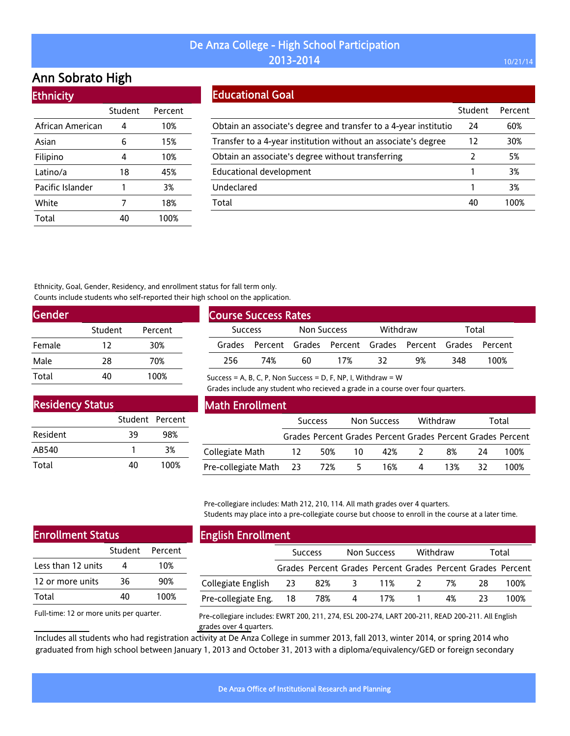# Ann Sobrato High

| <b>Ethnicity</b> |         |         |
|------------------|---------|---------|
|                  | Student | Percent |
| African American | 4       | 10%     |
| Asian            | 6       | 15%     |
| Filipino         | 4       | 10%     |
| Latino/a         | 18      | 45%     |
| Pacific Islander | 1       | 3%      |
| White            | 7       | 18%     |
| Total            | 40      | 100%    |

#### Educational Goal

|                                                                  | Student | Percent |
|------------------------------------------------------------------|---------|---------|
| Obtain an associate's degree and transfer to a 4-year institutio | 24      | 60%     |
| Transfer to a 4-year institution without an associate's degree   | 12      | 30%     |
| Obtain an associate's degree without transferring                | 2       | 5%      |
| <b>Educational development</b>                                   |         | 3%      |
| Undeclared                                                       |         | 3%      |
| Total                                                            | 40      | 100%    |

Ethnicity, Goal, Gender, Residency, and enrollment status for fall term only. Counts include students who self-reported their high school on the application.

| <b>Gender</b> |         |         |  |
|---------------|---------|---------|--|
|               | Student | Percent |  |
| Female        | 12      | 30%     |  |
| Male          | 28      | 70%     |  |
| Total         | 40      | 100%    |  |

| <b>Course Success Rates</b>   |     |          |     |       |                                                      |     |      |  |  |
|-------------------------------|-----|----------|-----|-------|------------------------------------------------------|-----|------|--|--|
| Non Success<br><b>Success</b> |     | Withdraw |     | Total |                                                      |     |      |  |  |
| Grades                        |     |          |     |       | Percent Grades Percent Grades Percent Grades Percent |     |      |  |  |
| 256                           | 74% | 60       | 17% | 37    | 9%                                                   | 348 | 100% |  |  |

Success = A, B, C, P, Non Success = D, F, NP, I, Withdraw =  $W$ 

Grades include any student who recieved a grade in a course over four quarters.

| <b>Residency Status</b> |                 |      |  |  |  |  |  |  |
|-------------------------|-----------------|------|--|--|--|--|--|--|
|                         | Student Percent |      |  |  |  |  |  |  |
| Resident                | 39              | 98%  |  |  |  |  |  |  |
| AB540                   |                 | 3%   |  |  |  |  |  |  |
| Total                   | 40              | 100% |  |  |  |  |  |  |

#### Math Enrollment

|                        | Success |           | Non Success |     | Withdraw |     | Total |                                                             |
|------------------------|---------|-----------|-------------|-----|----------|-----|-------|-------------------------------------------------------------|
|                        |         |           |             |     |          |     |       | Grades Percent Grades Percent Grades Percent Grades Percent |
| Collegiate Math        |         | 12 50% 10 |             | 42% | 2        | 8%  | 24    | 100%                                                        |
| Pre-collegiate Math 23 |         | 72% 5     |             | 16% | 4        | 13% | 32.   | 100%                                                        |

Pre-collegiare includes: Math 212, 210, 114. All math grades over 4 quarters. Students may place into a pre-collegiate course but choose to enroll in the course at a later time.

| <b>Enrollment Status</b> |    |                 |  |  |  |  |
|--------------------------|----|-----------------|--|--|--|--|
|                          |    | Student Percent |  |  |  |  |
| Less than 12 units       |    | 10%             |  |  |  |  |
| 12 or more units         | 36 | 90%             |  |  |  |  |
| Total                    | 40 | 100%            |  |  |  |  |
|                          |    |                 |  |  |  |  |

Full-time: 12 or more units per quarter.

#### English Enrollment

| --                     |                |                                                             |             |                |          |    |       |      |
|------------------------|----------------|-------------------------------------------------------------|-------------|----------------|----------|----|-------|------|
|                        | <b>Success</b> |                                                             | Non Success |                | Withdraw |    | Total |      |
|                        |                | Grades Percent Grades Percent Grades Percent Grades Percent |             |                |          |    |       |      |
| Collegiate English 23  |                |                                                             |             | 82% 3 11% 2 7% |          |    | 28    | 100% |
| Pre-collegiate Eng. 18 |                | 78%                                                         | 4           | 17% 1          |          | 4% |       | 100% |

Pre-collegiare includes: EWRT 200, 211, 274, ESL 200-274, LART 200-211, READ 200-211. All English grades over 4 quarters.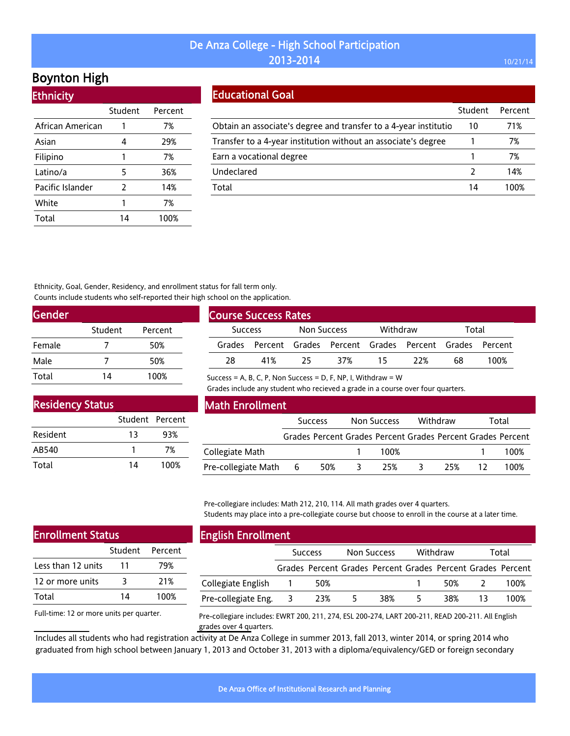# Boynton High

Ethnicity

| --------         |         |         |
|------------------|---------|---------|
|                  | Student | Percent |
| African American |         | 7%      |
| Asian            | 4       | 29%     |
| Filipino         | 1       | 7%      |
| Latino/a         | 5       | 36%     |
| Pacific Islander | 2       | 14%     |
| White            | 1       | 7%      |
| Total            | 14      | 100%    |

#### Educational Goal

|                                                                   | Student | Percent |
|-------------------------------------------------------------------|---------|---------|
| Obtain an associate's degree and transfer to a 4-year institution | 10      | 71%     |
| Transfer to a 4-year institution without an associate's degree    |         | 7%      |
| Earn a vocational degree                                          |         | 7%      |
| Undeclared                                                        |         | 14%     |
| Total                                                             | 14      | 100%    |

Ethnicity, Goal, Gender, Residency, and enrollment status for fall term only. Counts include students who self-reported their high school on the application.

| <b>Gender</b> |         |         |  |
|---------------|---------|---------|--|
|               | Student | Percent |  |
| Female        |         | 50%     |  |
| Male          |         | 50%     |  |
| Total         | 14      | 100%    |  |

|                | <b>Course Success Rates</b> |             |                                                             |          |     |       |      |
|----------------|-----------------------------|-------------|-------------------------------------------------------------|----------|-----|-------|------|
| <b>Success</b> |                             | Non Success |                                                             | Withdraw |     | Total |      |
|                |                             |             | Grades Percent Grades Percent Grades Percent Grades Percent |          |     |       |      |
| 28             | 41 <sup>%</sup>             | 25          | 37%                                                         | 15       | 22% | 68    | 100% |

Success = A, B, C, P, Non Success = D, F, NP, I, Withdraw =  $W$ 

Grades include any student who recieved a grade in a course over four quarters.

| <b>Residency Status</b> |    |                 |
|-------------------------|----|-----------------|
|                         |    | Student Percent |
| Resident                | 13 | 93%             |
| AB540                   |    | 7%              |
| Total                   | 14 | 100%            |

#### Math Enrollment

|                     |     | <b>Success</b> | Non Success | Withdraw | Total                                                       |
|---------------------|-----|----------------|-------------|----------|-------------------------------------------------------------|
|                     |     |                |             |          | Grades Percent Grades Percent Grades Percent Grades Percent |
| Collegiate Math     |     |                | 100%        |          | 100%                                                        |
| Pre-collegiate Math | - 6 | 50%            | 25%         | 25%      | 100%                                                        |

Pre-collegiare includes: Math 212, 210, 114. All math grades over 4 quarters. Students may place into a pre-collegiate course but choose to enroll in the course at a later time.

| <b>Enrollment Status</b> |    |                 |  |  |  |
|--------------------------|----|-----------------|--|--|--|
|                          |    | Student Percent |  |  |  |
| Less than 12 units       | 11 | 79%             |  |  |  |
| 12 or more units         | 3  | 21%             |  |  |  |
| Total                    | 14 | 100%            |  |  |  |
|                          |    |                 |  |  |  |

Full-time: 12 or more units per quarter.

# English Enrollment

| --                  |                |     |             |                                                             |          |     |       |      |
|---------------------|----------------|-----|-------------|-------------------------------------------------------------|----------|-----|-------|------|
|                     | <b>Success</b> |     | Non Success |                                                             | Withdraw |     | Total |      |
|                     |                |     |             | Grades Percent Grades Percent Grades Percent Grades Percent |          |     |       |      |
| Collegiate English  |                | 50% |             |                                                             |          | 50% |       | 100% |
| Pre-collegiate Eng. |                | 23% | 5           | 38%                                                         |          | 38% |       | 100% |

Pre-collegiare includes: EWRT 200, 211, 274, ESL 200-274, LART 200-211, READ 200-211. All English grades over 4 quarters.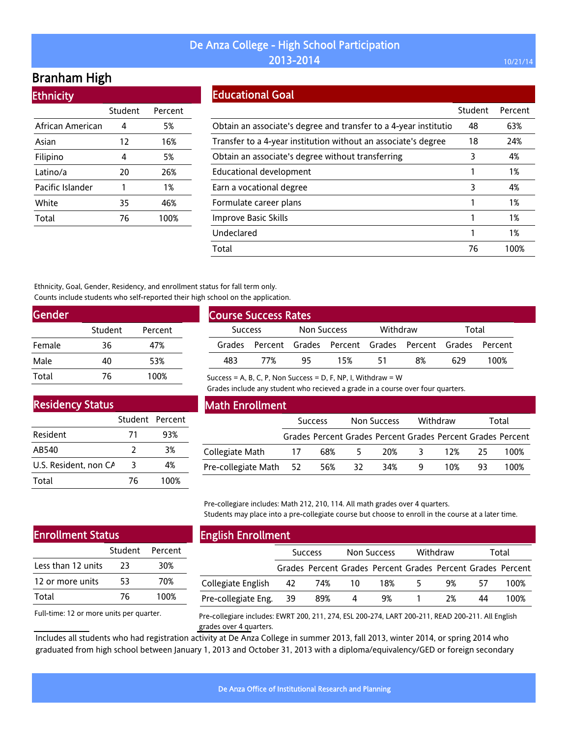# Branham High

**Ethnicity** 

| <u>Luthuluy</u>  |         |         |
|------------------|---------|---------|
|                  | Student | Percent |
| African American | 4       | 5%      |
| Asian            | 12      | 16%     |
| Filipino         | 4       | 5%      |
| Latino/a         | 20      | 26%     |
| Pacific Islander | 1       | 1%      |
| White            | 35      | 46%     |
| Total            | 76      | 100%    |
|                  |         |         |

### Educational Goal

|                                                                  | Student | Percent |
|------------------------------------------------------------------|---------|---------|
| Obtain an associate's degree and transfer to a 4-year institutio | 48      | 63%     |
| Transfer to a 4-year institution without an associate's degree   | 18      | 24%     |
| Obtain an associate's degree without transferring                | 3       | 4%      |
| Educational development                                          | 1       | 1%      |
| Earn a vocational degree                                         | 3       | 4%      |
| Formulate career plans                                           | 1       | 1%      |
| Improve Basic Skills                                             | 1       | 1%      |
| Undeclared                                                       | 1       | 1%      |
| Total                                                            | 76      | 100%    |

Ethnicity, Goal, Gender, Residency, and enrollment status for fall term only. Counts include students who self-reported their high school on the application.

| Gender |         |         |  |
|--------|---------|---------|--|
|        | Student | Percent |  |
| Female | 36      | 47%     |  |
| Male   | 40      | 53%     |  |
| Total  | 76      | 100%    |  |

| <b>Course Success Rates</b> |                                                             |             |     |          |    |       |      |
|-----------------------------|-------------------------------------------------------------|-------------|-----|----------|----|-------|------|
| <b>Success</b>              |                                                             | Non Success |     | Withdraw |    | Total |      |
|                             | Grades Percent Grades Percent Grades Percent Grades Percent |             |     |          |    |       |      |
| 483                         | 77%                                                         | 95          | 15% | 51       | 8% | 629   | 100% |

Success = A, B, C, P, Non Success = D, F, NP, I, Withdraw =  $W$ 

Grades include any student who recieved a grade in a course over four quarters.

| <b>Residency Status</b> |                 |      |  |  |  |  |  |
|-------------------------|-----------------|------|--|--|--|--|--|
|                         | Student Percent |      |  |  |  |  |  |
| Resident                | 71              | 93%  |  |  |  |  |  |
| AB540                   | 2               | 3%   |  |  |  |  |  |
| U.S. Resident, non CA   | 3               | 4%   |  |  |  |  |  |
| Total                   | 76              | 100% |  |  |  |  |  |

#### Math Enrollment

|                        | <b>Success</b> |     | Non Success |     | Withdraw     |     | Total |                                                             |
|------------------------|----------------|-----|-------------|-----|--------------|-----|-------|-------------------------------------------------------------|
|                        |                |     |             |     |              |     |       | Grades Percent Grades Percent Grades Percent Grades Percent |
| Collegiate Math        | 17             | 68% | 5.          | 20% | $\mathbf{R}$ | 12% | 25.   | 100%                                                        |
| Pre-collegiate Math 52 |                | 56% | -32         | 34% | - 9.         | 10% | 93.   | 100%                                                        |

Pre-collegiare includes: Math 212, 210, 114. All math grades over 4 quarters. Students may place into a pre-collegiate course but choose to enroll in the course at a later time.

### Enrollment Status

|                    | Student | Percent |
|--------------------|---------|---------|
| Less than 12 units | 23      | 30%     |
| 12 or more units   | 53      | 70%     |
| Total              | 76      | 100%    |

Full-time: 12 or more units per quarter.

# English Enrollment

|                        | <b>Success</b> |                                                             | Non Success |     | Withdraw |     | Total |      |
|------------------------|----------------|-------------------------------------------------------------|-------------|-----|----------|-----|-------|------|
|                        |                | Grades Percent Grades Percent Grades Percent Grades Percent |             |     |          |     |       |      |
| Collegiate English 42  |                | 74%  10                                                     |             | 18% | 5        | 9%  | 57    | 100% |
| Pre-collegiate Eng. 39 |                | 89%                                                         | 4           | 9%  |          | -2% | 44    | 100% |

Pre-collegiare includes: EWRT 200, 211, 274, ESL 200-274, LART 200-211, READ 200-211. All English grades over 4 quarters.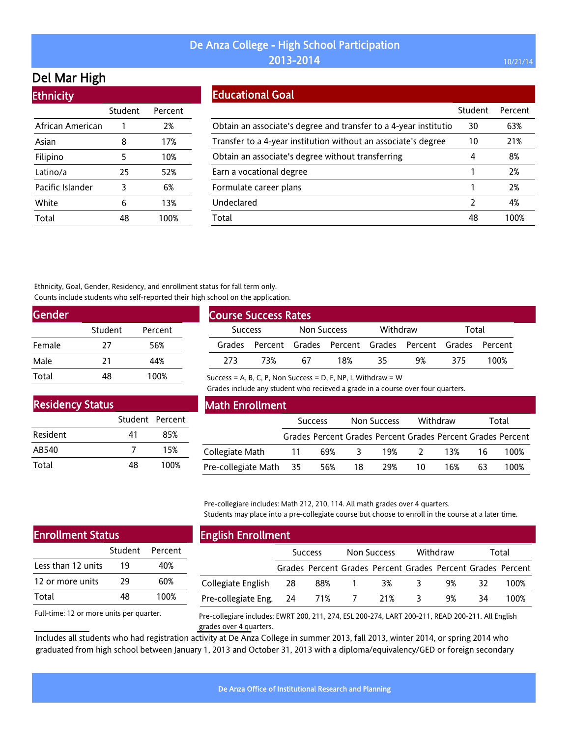# Del Mar High

| <b>Ethnicity</b> |         |         |  |  |  |  |  |
|------------------|---------|---------|--|--|--|--|--|
|                  | Student | Percent |  |  |  |  |  |
| African American | 1       | 2%      |  |  |  |  |  |
| Asian            | 8       | 17%     |  |  |  |  |  |
| Filipino         | 5       | 10%     |  |  |  |  |  |
| Latino/a         | 25      | 52%     |  |  |  |  |  |
| Pacific Islander | 3       | 6%      |  |  |  |  |  |
| White            | 6       | 13%     |  |  |  |  |  |
| Total            | 48      | 100%    |  |  |  |  |  |

#### Educational Goal

|                                                                  | Student | Percent |
|------------------------------------------------------------------|---------|---------|
| Obtain an associate's degree and transfer to a 4-year institutio | 30      | 63%     |
| Transfer to a 4-year institution without an associate's degree   | 10      | 21%     |
| Obtain an associate's degree without transferring                | 4       | 8%      |
| Earn a vocational degree                                         |         | 2%      |
| Formulate career plans                                           |         | 2%      |
| Undeclared                                                       | 2       | 4%      |
| Total                                                            | 48      | 100%    |

Ethnicity, Goal, Gender, Residency, and enrollment status for fall term only. Counts include students who self-reported their high school on the application.

| <b>Gender</b> |         |         |  |
|---------------|---------|---------|--|
|               | Student | Percent |  |
| Female        | 27      | 56%     |  |
| Male          | 21      | 44%     |  |
| Total         | 48      | 100%    |  |

| <b>Course Success Rates,</b>  |     |          |                                                             |       |    |     |      |  |
|-------------------------------|-----|----------|-------------------------------------------------------------|-------|----|-----|------|--|
| Non Success<br><b>Success</b> |     | Withdraw |                                                             | Total |    |     |      |  |
|                               |     |          | Grades Percent Grades Percent Grades Percent Grades Percent |       |    |     |      |  |
| 273                           | 73% | 67       | 18%                                                         | 35    | 9% | 375 | 100% |  |

Success = A, B, C, P, Non Success = D, F, NP, I, Withdraw =  $W$ 

Grades include any student who recieved a grade in a course over four quarters.

| <b>Residency Status</b> |                 |      |  |  |  |  |  |
|-------------------------|-----------------|------|--|--|--|--|--|
|                         | Student Percent |      |  |  |  |  |  |
| Resident                | 41              | 85%  |  |  |  |  |  |
| AB540                   |                 | 15%  |  |  |  |  |  |
| Total                   | 48              | 100% |  |  |  |  |  |

#### Math Enrollment

|                        | <b>Success</b> |     | Non Success             |                                                             | Withdraw |           | Total |      |
|------------------------|----------------|-----|-------------------------|-------------------------------------------------------------|----------|-----------|-------|------|
|                        |                |     |                         | Grades Percent Grades Percent Grades Percent Grades Percent |          |           |       |      |
| Collegiate Math        | $\sim$ 11      | 69% | $\overline{\mathbf{3}}$ |                                                             |          | 19% 2 13% | -16   | 100% |
| Pre-collegiate Math 35 |                | 56% | 18                      | 29%                                                         | 10       | 16%       | 63    | 100% |

Pre-collegiare includes: Math 212, 210, 114. All math grades over 4 quarters. Students may place into a pre-collegiate course but choose to enroll in the course at a later time.

| <b>Enrollment Status</b> |    |                 |  |  |  |  |
|--------------------------|----|-----------------|--|--|--|--|
|                          |    | Student Percent |  |  |  |  |
| Less than 12 units       | 19 | 40%             |  |  |  |  |
| 12 or more units         | 29 | 60%             |  |  |  |  |
| Total                    | 48 | 100%            |  |  |  |  |
|                          |    |                 |  |  |  |  |

# English Enrollment

| - -                    |                |                                                             |                |     |          |    |       |      |
|------------------------|----------------|-------------------------------------------------------------|----------------|-----|----------|----|-------|------|
|                        | <b>Success</b> |                                                             | Non Success    |     | Withdraw |    | Total |      |
|                        |                | Grades Percent Grades Percent Grades Percent Grades Percent |                |     |          |    |       |      |
| Collegiate English     | 28             | 88%                                                         |                | 3%  | $\sim$   | 9% | 32.   | 100% |
| Pre-collegiate Eng. 24 |                | 71%                                                         | $\overline{7}$ | 21% |          | 9% | 34    | 100% |

Full-time: 12 or more units per quarter.

Pre-collegiare includes: EWRT 200, 211, 274, ESL 200-274, LART 200-211, READ 200-211. All English grades over 4 quarters.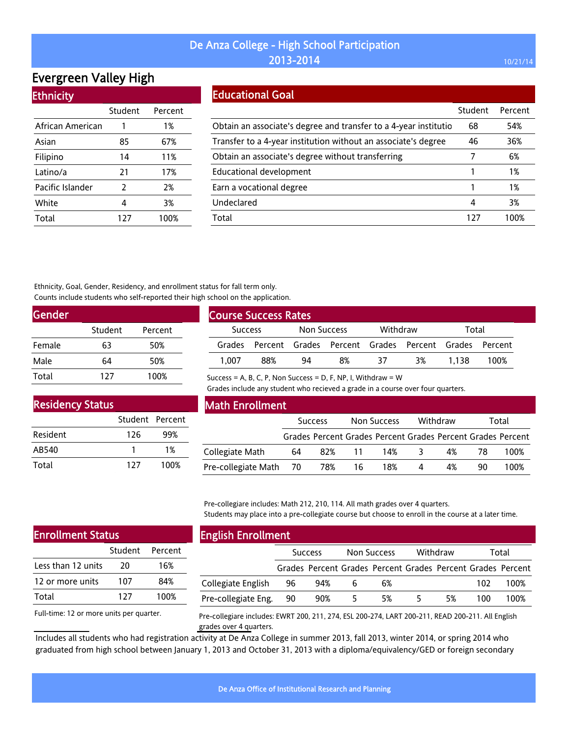# Evergreen Valley High

| <b>Ethnicity</b> |  |  |
|------------------|--|--|
|                  |  |  |

|                  | Student       | Percent |
|------------------|---------------|---------|
| African American | 1             | 1%      |
| Asian            | 85            | 67%     |
| Filipino         | 14            | 11%     |
| Latino/a         | 21            | 17%     |
| Pacific Islander | $\mathcal{P}$ | 2%      |
| White            | 4             | 3%      |
| Total            | 127           | 100%    |

#### Educational Goal

|                                                                  | Student | Percent |
|------------------------------------------------------------------|---------|---------|
| Obtain an associate's degree and transfer to a 4-year institutio | 68      | 54%     |
| Transfer to a 4-year institution without an associate's degree   | 46      | 36%     |
| Obtain an associate's degree without transferring                | 7       | 6%      |
| Educational development                                          |         | 1%      |
| Earn a vocational degree                                         |         | 1%      |
| Undeclared                                                       | 4       | 3%      |
| Total                                                            | 127     | 100%    |

Ethnicity, Goal, Gender, Residency, and enrollment status for fall term only. Counts include students who self-reported their high school on the application.

| <b>Gender</b> |         |         |
|---------------|---------|---------|
|               | Student | Percent |
| Female        | 63      | 50%     |
| Male          | 64      | 50%     |
| Total         | 127     | 100%    |

| <b>Course Success Rates</b> |     |             |                                                             |          |    |       |      |
|-----------------------------|-----|-------------|-------------------------------------------------------------|----------|----|-------|------|
| <b>Success</b>              |     | Non Success |                                                             | Withdraw |    | Total |      |
|                             |     |             | Grades Percent Grades Percent Grades Percent Grades Percent |          |    |       |      |
| 1.007                       | 88% | 94          | 8%                                                          | 37       | 3% | 1.138 | 100% |

Success = A, B, C, P, Non Success = D, F, NP, I, Withdraw =  $W$ 

Grades include any student who recieved a grade in a course over four quarters.

| <b>Residency Status</b> |                 |      |
|-------------------------|-----------------|------|
|                         | Student Percent |      |
| Resident                | 126             | 99%  |
| AB540                   |                 | 1%   |
| Total                   | 127             | 100% |

#### Math Enrollment

|                        | <b>Success</b> |        | Non Success |     | Withdraw |    | Total |                                                             |
|------------------------|----------------|--------|-------------|-----|----------|----|-------|-------------------------------------------------------------|
|                        |                |        |             |     |          |    |       | Grades Percent Grades Percent Grades Percent Grades Percent |
| Collegiate Math        | 64             | 82% 11 |             | 14% | -3.      | 4% | 78    | 100%                                                        |
| Pre-collegiate Math 70 |                | 78%    | 16          | 18% | 4        | 4% | 90    | 100%                                                        |

Pre-collegiare includes: Math 212, 210, 114. All math grades over 4 quarters. Students may place into a pre-collegiate course but choose to enroll in the course at a later time.

| <b>Enrollment Status</b> |     |                 |  |  |
|--------------------------|-----|-----------------|--|--|
|                          |     | Student Percent |  |  |
| Less than 12 units       | 20  | 16%             |  |  |
| 12 or more units         | 107 | 84%             |  |  |
| Total                    | 127 | 100%            |  |  |
|                          |     |                 |  |  |

Full-time: 12 or more units per quarter.

### English Enrollment

|                     | <b>Success</b> |     | Non Success |                                                             | Withdraw |    | Total |      |
|---------------------|----------------|-----|-------------|-------------------------------------------------------------|----------|----|-------|------|
|                     |                |     |             | Grades Percent Grades Percent Grades Percent Grades Percent |          |    |       |      |
| Collegiate English  | 96             | 94% |             | 6%                                                          |          |    | 102   | 100% |
| Pre-collegiate Eng. | 90             | 90% | 5           | 5%                                                          | ↖        | 5% | 100   | 100% |

Pre-collegiare includes: EWRT 200, 211, 274, ESL 200-274, LART 200-211, READ 200-211. All English grades over 4 quarters.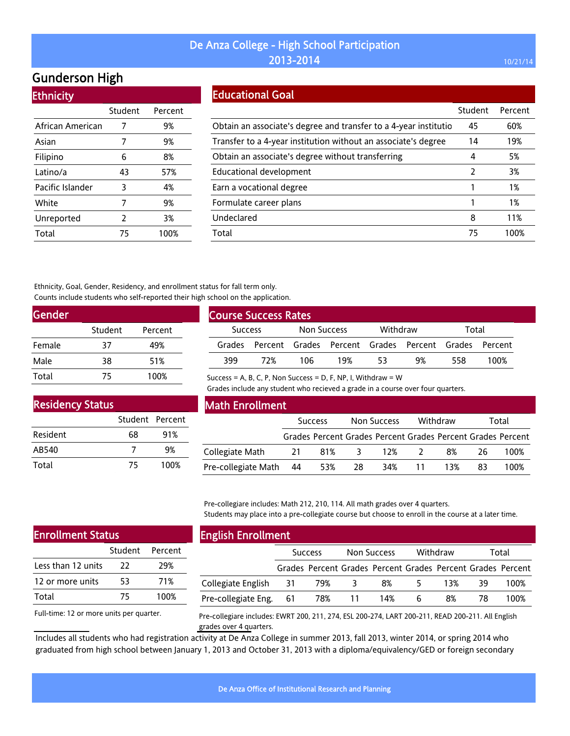# Gunderson High

**Ethnicity** 

| <u>есписку</u>   |         |         |
|------------------|---------|---------|
|                  | Student | Percent |
| African American | 7       | 9%      |
| Asian            | 7       | 9%      |
| Filipino         | 6       | 8%      |
| Latino/a         | 43      | 57%     |
| Pacific Islander | 3       | 4%      |
| White            | 7       | 9%      |
| Unreported       | 2       | 3%      |
| Total            | 75      | 100%    |

#### Educational Goal

|                                                                  | Student | Percent |
|------------------------------------------------------------------|---------|---------|
| Obtain an associate's degree and transfer to a 4-year institutio | 45      | 60%     |
| Transfer to a 4-year institution without an associate's degree   | 14      | 19%     |
| Obtain an associate's degree without transferring                | 4       | 5%      |
| <b>Educational development</b>                                   | 2       | 3%      |
| Earn a vocational degree                                         |         | 1%      |
| Formulate career plans                                           |         | 1%      |
| Undeclared                                                       | 8       | 11%     |
| Total                                                            | 75      | 100%    |

Ethnicity, Goal, Gender, Residency, and enrollment status for fall term only. Counts include students who self-reported their high school on the application.

| <b>Gender</b> |         |         |  |
|---------------|---------|---------|--|
|               | Student | Percent |  |
| Female        | 37      | 49%     |  |
| Male          | 38      | 51%     |  |
| Total         | 75      | 100%    |  |

| <b>Course Success Rates</b> |     |             |     |          |                                                             |       |      |
|-----------------------------|-----|-------------|-----|----------|-------------------------------------------------------------|-------|------|
| <b>Success</b>              |     | Non Success |     | Withdraw |                                                             | Total |      |
|                             |     |             |     |          | Grades Percent Grades Percent Grades Percent Grades Percent |       |      |
| 399                         | 77% | 106         | 19% | 53       | 9%                                                          | 558   | 100% |

Success = A, B, C, P, Non Success = D, F, NP, I, Withdraw =  $W$ 

Grades include any student who recieved a grade in a course over four quarters.

| <b>Residency Status</b> |                 |      |
|-------------------------|-----------------|------|
|                         | Student Percent |      |
| Resident                | 68              | 91%  |
| AB540                   |                 | 9%   |
| Total                   | 75              | 100% |

#### Math Enrollment

|                        | <b>Success</b> |          |     | Non Success                                                 |          | Withdraw | Total |      |
|------------------------|----------------|----------|-----|-------------------------------------------------------------|----------|----------|-------|------|
|                        |                |          |     | Grades Percent Grades Percent Grades Percent Grades Percent |          |          |       |      |
| Collegiate Math        |                | 21 81% 3 |     | 12%                                                         | $\sim$ 2 | 8%       | 26.   | 100% |
| Pre-collegiate Math 44 |                | 53%      | -28 |                                                             | 34% 11   | 13%      | 83    | 100% |

Pre-collegiare includes: Math 212, 210, 114. All math grades over 4 quarters. Students may place into a pre-collegiate course but choose to enroll in the course at a later time.

| <b>Enrollment Status</b> |    |      |  |  |  |  |  |
|--------------------------|----|------|--|--|--|--|--|
| Student Percent          |    |      |  |  |  |  |  |
| Less than 12 units       | 22 | 29%  |  |  |  |  |  |
| 12 or more units         | 53 | 71%  |  |  |  |  |  |
| Total                    | 75 | 100% |  |  |  |  |  |
|                          |    |      |  |  |  |  |  |

Full-time: 12 or more units per quarter.

### English Enrollment

| ____                   |                |                                                             |             |     |          |     |       |      |
|------------------------|----------------|-------------------------------------------------------------|-------------|-----|----------|-----|-------|------|
|                        | <b>Success</b> |                                                             | Non Success |     | Withdraw |     | Total |      |
|                        |                | Grades Percent Grades Percent Grades Percent Grades Percent |             |     |          |     |       |      |
| Collegiate English 31  |                | 79%                                                         | - 3         | 8%  | 5.       | 13% | 39    | 100% |
| Pre-collegiate Eng. 61 |                |                                                             | 78% 11      | 14% | 6        | 8%  | 78    | 100% |

Pre-collegiare includes: EWRT 200, 211, 274, ESL 200-274, LART 200-211, READ 200-211. All English grades over 4 quarters.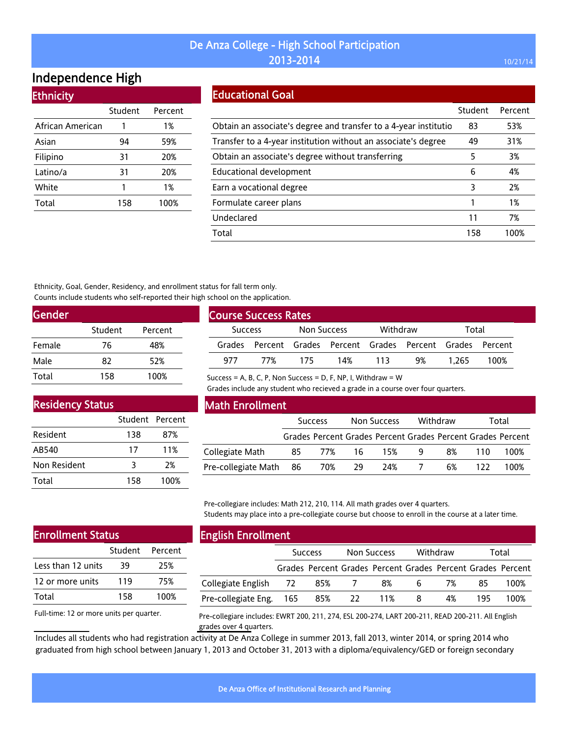# Independence High

**Ethnicity** 

| Lumnuy           |         |         |
|------------------|---------|---------|
|                  | Student | Percent |
| African American |         | 1%      |
| Asian            | 94      | 59%     |
| Filipino         | 31      | 20%     |
| Latino/a         | 31      | 20%     |
| White            | 1       | 1%      |
| Total            | 158     | 100%    |
|                  |         |         |

#### Educational Goal

|                                                                  | Student | Percent |
|------------------------------------------------------------------|---------|---------|
| Obtain an associate's degree and transfer to a 4-year institutio | 83      | 53%     |
| Transfer to a 4-year institution without an associate's degree   | 49      | 31%     |
| Obtain an associate's degree without transferring                | 5       | 3%      |
| Educational development                                          | 6       | 4%      |
| Earn a vocational degree                                         | 3       | 2%      |
| Formulate career plans                                           |         | 1%      |
| Undeclared                                                       | 11      | 7%      |
| Total                                                            | 158     | 100%    |

Ethnicity, Goal, Gender, Residency, and enrollment status for fall term only. Counts include students who self-reported their high school on the application.

| <b>Gender</b> |         |         |
|---------------|---------|---------|
|               | Student | Percent |
| Female        | 76      | 48%     |
| Male          | 82      | 52%     |
| Total         | 158     | 100%    |

| <b>Course Success Rates</b> |     |             |                                                             |          |    |       |      |
|-----------------------------|-----|-------------|-------------------------------------------------------------|----------|----|-------|------|
| <b>Success</b>              |     | Non Success |                                                             | Withdraw |    | Total |      |
|                             |     |             | Grades Percent Grades Percent Grades Percent Grades Percent |          |    |       |      |
| 977                         | 77% | 175.        | 14%                                                         | 113      | 9% | 1.265 | 100% |

Success = A, B, C, P, Non Success = D, F, NP, I, Withdraw =  $W$ 

Grades include any student who recieved a grade in a course over four quarters.

#### Residency Status

|              | Student Percent |      |
|--------------|-----------------|------|
| Resident     | 138             | 87%  |
| AB540        | 17              | 11%  |
| Non Resident | २               | 2%   |
| Total        | 158             | 100% |

#### Math Enrollment

|                        | <b>Success</b> |           |    | Non Success                                                 |   | Withdraw | Total |      |
|------------------------|----------------|-----------|----|-------------------------------------------------------------|---|----------|-------|------|
|                        |                |           |    | Grades Percent Grades Percent Grades Percent Grades Percent |   |          |       |      |
| Collegiate Math        |                | 85 77% 16 |    | 15%                                                         | q | 8%       | 110   | 100% |
| Pre-collegiate Math 86 |                | 70%       | 29 | 24%                                                         |   | 6%       | 122.  | 100% |

Pre-collegiare includes: Math 212, 210, 114. All math grades over 4 quarters. Students may place into a pre-collegiate course but choose to enroll in the course at a later time.

#### Enrollment Status

|                    | Student | Percent |
|--------------------|---------|---------|
| Less than 12 units | 39      | 25%     |
| 12 or more units   | 119     | 75%     |
| Total              | 158     | 100%    |

Full-time: 12 or more units per quarter.

# English Enrollment

|                             | <b>Success</b> |  | <b>Non Success</b> |                                                             | Withdraw |    | Total |      |
|-----------------------------|----------------|--|--------------------|-------------------------------------------------------------|----------|----|-------|------|
|                             |                |  |                    | Grades Percent Grades Percent Grades Percent Grades Percent |          |    |       |      |
| Collegiate English 72 85% 7 |                |  |                    | 8%                                                          | 6        | 7% | 85.   | 100% |
| Pre-collegiate Eng. 165     |                |  | 85% 22 11%         |                                                             | 8        | 4% | 195.  | 100% |

Pre-collegiare includes: EWRT 200, 211, 274, ESL 200-274, LART 200-211, READ 200-211. All English grades over 4 quarters.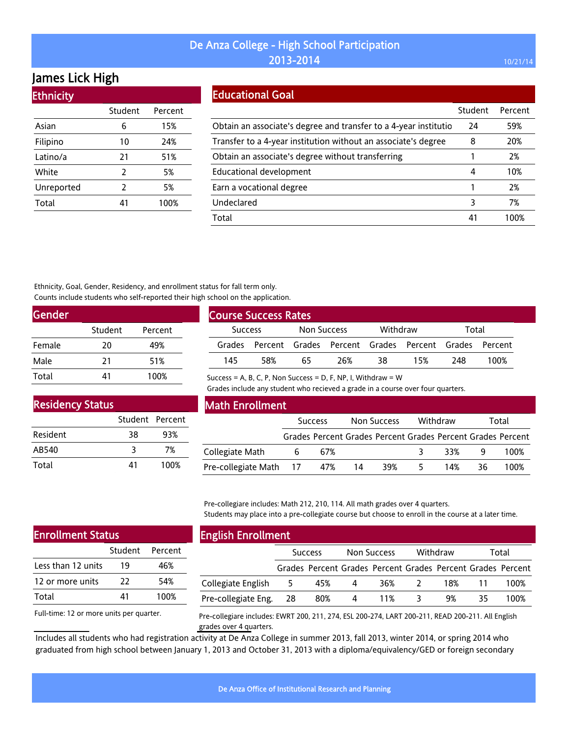# James Lick High

| <b>Ethnicity</b> |                |         |
|------------------|----------------|---------|
|                  | Student        | Percent |
| Asian            | 6              | 15%     |
| Filipino         | 10             | 24%     |
| Latino/a         | 21             | 51%     |
| White            | 2              | 5%      |
| Unreported       | $\overline{2}$ | 5%      |
| Total            | 41             | 100%    |

#### Educational Goal

|                                                                  | Student | Percent |
|------------------------------------------------------------------|---------|---------|
| Obtain an associate's degree and transfer to a 4-year institutio | 24      | 59%     |
| Transfer to a 4-year institution without an associate's degree   | 8       | 20%     |
| Obtain an associate's degree without transferring                |         | 2%      |
| Educational development                                          | 4       | 10%     |
| Earn a vocational degree                                         |         | 2%      |
| Undeclared                                                       | 3       | 7%      |
| Total                                                            | 41      | 1በበ%    |

Ethnicity, Goal, Gender, Residency, and enrollment status for fall term only. Counts include students who self-reported their high school on the application.

| <b>Gender</b> |         |         |
|---------------|---------|---------|
|               | Student | Percent |
| Female        | 20      | 49%     |
| Male          | 21      | 51%     |
| Total         | 41      | 100%    |

| <b>Course Success Rates</b> |     |             |     |          |                                                             |       |      |
|-----------------------------|-----|-------------|-----|----------|-------------------------------------------------------------|-------|------|
| <b>Success</b>              |     | Non Success |     | Withdraw |                                                             | Total |      |
|                             |     |             |     |          | Grades Percent Grades Percent Grades Percent Grades Percent |       |      |
| 145                         | 58% | 65          | 26% | 38       | 15%                                                         | 248   | 100% |

Success = A, B, C, P, Non Success = D, F, NP, I, Withdraw =  $W$ 

Grades include any student who recieved a grade in a course over four quarters.

| <b>Residency Status</b> |                 |      |
|-------------------------|-----------------|------|
|                         | Student Percent |      |
| Resident                | 38              | 93%  |
| AB540                   | ২               | 7%   |
| Total                   | 41              | 100% |

#### Math Enrollment

|                            | <b>Success</b> |    | Non Success | Withdraw |     | Total                                                       |
|----------------------------|----------------|----|-------------|----------|-----|-------------------------------------------------------------|
|                            |                |    |             |          |     | Grades Percent Grades Percent Grades Percent Grades Percent |
| Collegiate Math            | 67%            |    |             | 33%      | - q | 100%                                                        |
| Pre-collegiate Math 17 47% |                | 14 | 39%         | 14%      | 36. | 100%                                                        |

Pre-collegiare includes: Math 212, 210, 114. All math grades over 4 quarters. Students may place into a pre-collegiate course but choose to enroll in the course at a later time.

| <b>Enrollment Status</b> |    |                 |  |  |
|--------------------------|----|-----------------|--|--|
|                          |    | Student Percent |  |  |
| Less than 12 units       | 19 | 46%             |  |  |
| 12 or more units         | 22 | 54%             |  |  |
| Total                    | 41 | 100%            |  |  |
|                          |    |                 |  |  |

Full-time: 12 or more units per quarter.

# English Enrollment

| --                     |                |                                                             |             |     |               |     |       |      |
|------------------------|----------------|-------------------------------------------------------------|-------------|-----|---------------|-----|-------|------|
|                        | <b>Success</b> |                                                             | Non Success |     | Withdraw      |     | Total |      |
|                        |                | Grades Percent Grades Percent Grades Percent Grades Percent |             |     |               |     |       |      |
| Collegiate English     | 5              | 45%                                                         | 4           | 36% | $\mathcal{L}$ | 18% |       | 100% |
| Pre-collegiate Eng. 28 |                | 80%                                                         | 4           | 11% | 3             | 9%  | 35    | 100% |
|                        |                |                                                             |             |     |               |     |       |      |

Pre-collegiare includes: EWRT 200, 211, 274, ESL 200-274, LART 200-211, READ 200-211. All English grades over 4 quarters.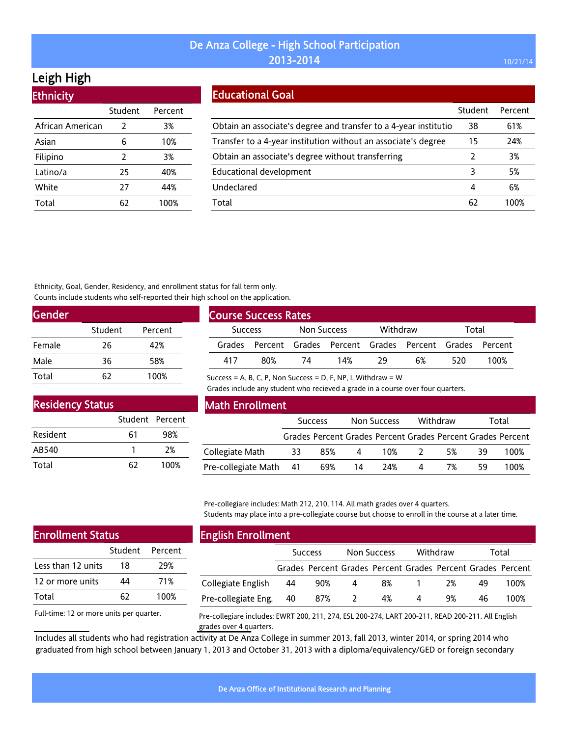# Leigh High

| Student        | Percent |
|----------------|---------|
| 2              | 3%      |
| 6              | 10%     |
| $\overline{2}$ | 3%      |
| 25             | 40%     |
| 27             | 44%     |
| 62             | 100%    |
|                |         |

#### Educational Goal

|                                                                   | Student | Percent |
|-------------------------------------------------------------------|---------|---------|
| Obtain an associate's degree and transfer to a 4-year institution | 38      | 61%     |
| Transfer to a 4-year institution without an associate's degree    | 15      | 24%     |
| Obtain an associate's degree without transferring                 | 2       | 3%      |
| <b>Educational development</b>                                    |         | 5%      |
| Undeclared                                                        | 4       | 6%      |
| Total                                                             | 62      | 100%    |

Ethnicity, Goal, Gender, Residency, and enrollment status for fall term only. Counts include students who self-reported their high school on the application.

| <b>Gender</b> |         |         |  |
|---------------|---------|---------|--|
|               | Student | Percent |  |
| Female        | 26      | 42%     |  |
| Male          | 36      | 58%     |  |
| Total         | 67      | 100%    |  |

| <b>Course Success Rates</b> |                                                      |             |     |          |    |       |      |  |
|-----------------------------|------------------------------------------------------|-------------|-----|----------|----|-------|------|--|
| <b>Success</b>              |                                                      | Non Success |     | Withdraw |    | Total |      |  |
| Grades                      | Percent Grades Percent Grades Percent Grades Percent |             |     |          |    |       |      |  |
| 417                         | 80%                                                  | 74          | 14% | 29       | 6% | 520   | 100% |  |

Success = A, B, C, P, Non Success = D, F, NP, I, Withdraw =  $W$ 

Grades include any student who recieved a grade in a course over four quarters.

| <b>Residency Status</b> |                 |      |  |  |  |  |  |  |
|-------------------------|-----------------|------|--|--|--|--|--|--|
|                         | Student Percent |      |  |  |  |  |  |  |
| Resident                | 61              | 98%  |  |  |  |  |  |  |
| AB540                   |                 | 2%   |  |  |  |  |  |  |
| Total                   | 62              | 100% |  |  |  |  |  |  |

#### Math Enrollment

|                        | <b>Success</b> |                                                             |          | Non Success | Withdraw  |    | Total |      |
|------------------------|----------------|-------------------------------------------------------------|----------|-------------|-----------|----|-------|------|
|                        |                | Grades Percent Grades Percent Grades Percent Grades Percent |          |             |           |    |       |      |
| Collegiate Math        | 33             | 85%                                                         | $\sim$ 4 | 10%         | $\lambda$ | 5% | 39    | 100% |
| Pre-collegiate Math 41 |                | 69%                                                         | 14       | 24%         | 4         | 7% | 59    | 100% |

Pre-collegiare includes: Math 212, 210, 114. All math grades over 4 quarters. Students may place into a pre-collegiate course but choose to enroll in the course at a later time.

| <b>Enrollment Status</b> |    |                 |  |  |  |  |  |
|--------------------------|----|-----------------|--|--|--|--|--|
|                          |    | Student Percent |  |  |  |  |  |
| Less than 12 units       | 18 | 29%             |  |  |  |  |  |
| 12 or more units         | 44 | 71%             |  |  |  |  |  |
| Total                    | 62 | 100%            |  |  |  |  |  |
|                          |    |                 |  |  |  |  |  |

Full-time: 12 or more units per quarter.

#### English Enrollment

| ---------------------- |                |                                                             |             |    |          |    |       |      |
|------------------------|----------------|-------------------------------------------------------------|-------------|----|----------|----|-------|------|
|                        | <b>Success</b> |                                                             | Non Success |    | Withdraw |    | Total |      |
|                        |                | Grades Percent Grades Percent Grades Percent Grades Percent |             |    |          |    |       |      |
| Collegiate English     | 44             | 90%                                                         | 4           | 8% |          | 2% | 49    | 100% |
| Pre-collegiate Eng.    | 40             | 87%                                                         |             | 4% |          | 9% | 46    | 100% |
|                        |                |                                                             |             |    |          |    |       |      |

Pre-collegiare includes: EWRT 200, 211, 274, ESL 200-274, LART 200-211, READ 200-211. All English grades over 4 quarters.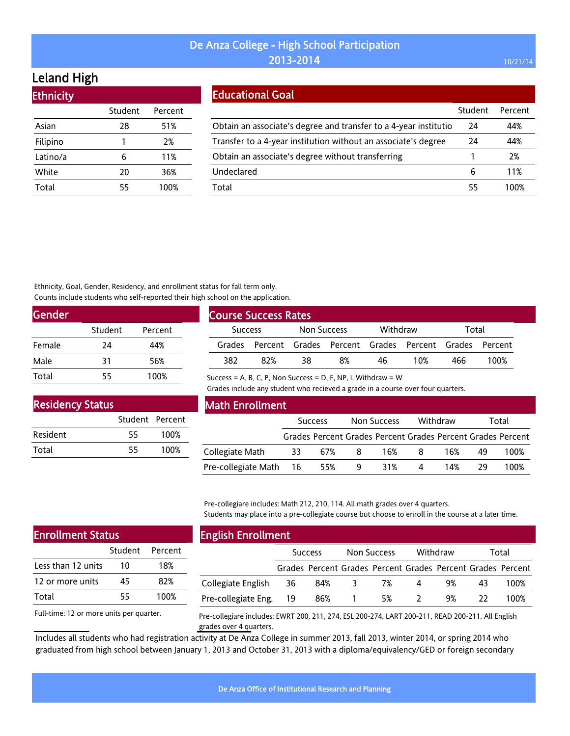# Leland High

| Student | Percent |
|---------|---------|
| 28      | 51%     |
| 1       | 2%      |
| 6       | 11%     |
| 20      | 36%     |
| 55      | 100%    |
|         |         |

#### Educational Goal

|                                                                   | Student | Percent |
|-------------------------------------------------------------------|---------|---------|
| Obtain an associate's degree and transfer to a 4-year institution | 24      | 44%     |
| Transfer to a 4-year institution without an associate's degree    | 24      | 44%     |
| Obtain an associate's degree without transferring                 |         | 2%      |
| Undeclared                                                        | 6       | 11%     |
| Total                                                             | 55      | 100%    |

Ethnicity, Goal, Gender, Residency, and enrollment status for fall term only. Counts include students who self-reported their high school on the application.

| Gender |         |         |  |
|--------|---------|---------|--|
|        | Student | Percent |  |
| Female | 24      | 44%     |  |
| Male   | 31      | 56%     |  |
| Total  | 55      | 100%    |  |

| <b>Course Success Rates</b> |                |    |                                                             |    |          |       |      |  |
|-----------------------------|----------------|----|-------------------------------------------------------------|----|----------|-------|------|--|
|                             | <b>Success</b> |    | Non Success                                                 |    | Withdraw | Total |      |  |
|                             |                |    | Grades Percent Grades Percent Grades Percent Grades Percent |    |          |       |      |  |
| 382                         | 82%            | 38 | 8%                                                          | 46 | 1በ%      | 466   | 100% |  |

Success = A, B, C, P, Non Success = D, F, NP, I, Withdraw =  $W$ 

Grades include any student who recieved a grade in a course over four quarters.

| <b>Residency Status</b> |                 |      |  |  |  |  |  |
|-------------------------|-----------------|------|--|--|--|--|--|
|                         | Student Percent |      |  |  |  |  |  |
| Resident                | 55              | 100% |  |  |  |  |  |
| Total                   | 55              | 100% |  |  |  |  |  |

#### Math Enrollment

|                        | <b>Success</b> |     |    | Non Success |    | Withdraw | Total |                                                             |
|------------------------|----------------|-----|----|-------------|----|----------|-------|-------------------------------------------------------------|
|                        |                |     |    |             |    |          |       | Grades Percent Grades Percent Grades Percent Grades Percent |
| Collegiate Math        | - 33           | 67% | -8 | 16%         | -8 | 16%      | 49.   | 100%                                                        |
| Pre-collegiate Math 16 |                | 55% | 9  | 31%         | Д  | 14%      | 29.   | 100%                                                        |

Pre-collegiare includes: Math 212, 210, 114. All math grades over 4 quarters. Students may place into a pre-collegiate course but choose to enroll in the course at a later time.

| <b>Enrollment Status</b> |    |                 |  |  |  |  |  |
|--------------------------|----|-----------------|--|--|--|--|--|
|                          |    | Student Percent |  |  |  |  |  |
| Less than 12 units       | 10 | 18%             |  |  |  |  |  |
| 12 or more units         | 45 | 82%             |  |  |  |  |  |
| Total                    | 55 | 100%            |  |  |  |  |  |
|                          |    |                 |  |  |  |  |  |

Full-time: 12 or more units per quarter.

# English Enrollment

| _____                  |                |                                                             |             |    |          |    |       |      |
|------------------------|----------------|-------------------------------------------------------------|-------------|----|----------|----|-------|------|
|                        | <b>Success</b> |                                                             | Non Success |    | Withdraw |    | Total |      |
|                        |                | Grades Percent Grades Percent Grades Percent Grades Percent |             |    |          |    |       |      |
| Collegiate English     | -36            | 84%                                                         | -3          | 7% | 4        | 9% | 43    | 100% |
| Pre-collegiate Eng. 19 |                | 86%                                                         |             | 5% |          | 9% |       | 100% |

Pre-collegiare includes: EWRT 200, 211, 274, ESL 200-274, LART 200-211, READ 200-211. All English grades over 4 quarters.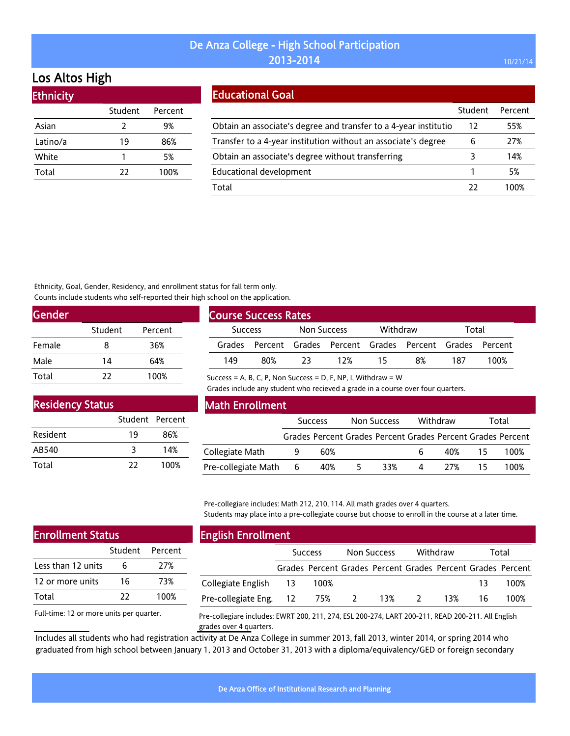# Los Altos High

| <b>Ethnicity</b> |         |         |
|------------------|---------|---------|
|                  | Student | Percent |
| Asian            | 2       | 9%      |
| Latino/a         | 19      | 86%     |
| White            |         | 5%      |
| Total            | 22      | 100%    |
|                  |         |         |

### Educational Goal

|                                                                  | Student | Percent |
|------------------------------------------------------------------|---------|---------|
| Obtain an associate's degree and transfer to a 4-year institutio | 12      | 55%     |
| Transfer to a 4-year institution without an associate's degree   | 6       | 27%     |
| Obtain an associate's degree without transferring                |         | 14%     |
| <b>Educational development</b>                                   |         | 5%      |
| Total                                                            | 77      | 100%    |

Ethnicity, Goal, Gender, Residency, and enrollment status for fall term only. Counts include students who self-reported their high school on the application.

| Gender |         |         |  |
|--------|---------|---------|--|
|        | Student | Percent |  |
| Female | 8       | 36%     |  |
| Male   | 14      | 64%     |  |
| Total  | 77      | 100%    |  |

| <b>Course Success Rates</b>   |     |          |                                                             |       |    |     |      |
|-------------------------------|-----|----------|-------------------------------------------------------------|-------|----|-----|------|
| Non Success<br><b>Success</b> |     | Withdraw |                                                             | Total |    |     |      |
|                               |     |          | Grades Percent Grades Percent Grades Percent Grades Percent |       |    |     |      |
| 149                           | 80% | 23       | 12%                                                         | 15    | 8% | 187 | 100% |

Success = A, B, C, P, Non Success = D, F, NP, I, Withdraw =  $W$ 

Grades include any student who recieved a grade in a course over four quarters.

| <b>Residency Status</b> |                 |      |
|-------------------------|-----------------|------|
|                         | Student Percent |      |
| Resident                | 19              | 86%  |
| AB540                   | ২               | 14%  |
| Total                   | 22              | 100% |

#### Math Enrollment

|                       |  | <b>Success</b> |    | Non Success |          | Withdraw |     | Total                                                       |
|-----------------------|--|----------------|----|-------------|----------|----------|-----|-------------------------------------------------------------|
|                       |  |                |    |             |          |          |     | Grades Percent Grades Percent Grades Percent Grades Percent |
| Collegiate Math       |  | 60%            |    |             |          | 40% 15   |     | 100%                                                        |
| Pre-collegiate Math 6 |  | 40%            | 5. | 33%         | $\sim$ 4 | 27%      | -15 | 100%                                                        |

Pre-collegiare includes: Math 212, 210, 114. All math grades over 4 quarters. Students may place into a pre-collegiate course but choose to enroll in the course at a later time.

| <b>Enrollment Status</b> |    |                 |  |  |
|--------------------------|----|-----------------|--|--|
|                          |    | Student Percent |  |  |
| Less than 12 units       | 6  | 27%             |  |  |
| 12 or more units         | 16 | 73%             |  |  |
| Total                    | 77 | 100%            |  |  |
|                          |    |                 |  |  |

Full-time: 12 or more units per quarter.

### English Enrollment

|                            | <b>Success</b> |        | Non Success  |                                                             | Withdraw |     | Total |      |
|----------------------------|----------------|--------|--------------|-------------------------------------------------------------|----------|-----|-------|------|
|                            |                |        |              | Grades Percent Grades Percent Grades Percent Grades Percent |          |     |       |      |
| Collegiate English 13      |                | - 100% |              |                                                             |          |     | 13    | 100% |
| Pre-collegiate Eng. 12 75% |                |        | <sup>2</sup> | 13%                                                         |          | 13% | 16    | 100% |

Pre-collegiare includes: EWRT 200, 211, 274, ESL 200-274, LART 200-211, READ 200-211. All English grades over 4 quarters.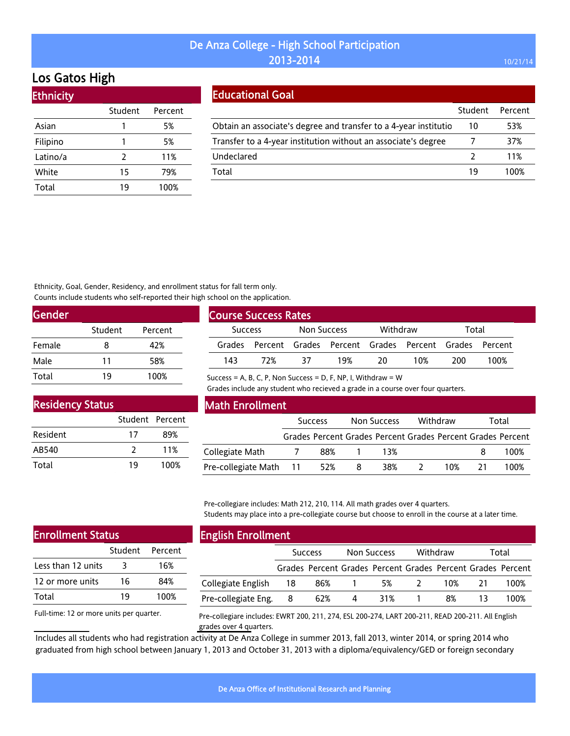# Los Gatos High

| <b>Ethnicity</b> |         |         |
|------------------|---------|---------|
|                  | Student | Percent |
| Asian            | 1       | 5%      |
| Filipino         |         | 5%      |
| Latino/a         | 2       | 11%     |
| White            | 15      | 79%     |
| Total            | 19      | 100%    |

### Educational Goal

|                                                                   | Student       | Percent |
|-------------------------------------------------------------------|---------------|---------|
| Obtain an associate's degree and transfer to a 4-year institution | 10            | 53%     |
| Transfer to a 4-year institution without an associate's degree    |               | 37%     |
| Undeclared                                                        | $\mathcal{L}$ | 11%     |
| Total                                                             | 19            | 100%    |

Ethnicity, Goal, Gender, Residency, and enrollment status for fall term only. Counts include students who self-reported their high school on the application.

| Gender |         |         |  |
|--------|---------|---------|--|
|        | Student | Percent |  |
| Female | 8       | 42%     |  |
| Male   | 11      | 58%     |  |
| Total  | 19      | 100%    |  |

| <b>Course Success Rates</b> |     |                    |                                                             |          |     |       |      |  |  |
|-----------------------------|-----|--------------------|-------------------------------------------------------------|----------|-----|-------|------|--|--|
| <b>Success</b>              |     | <b>Non Success</b> |                                                             | Withdraw |     | Total |      |  |  |
|                             |     |                    | Grades Percent Grades Percent Grades Percent Grades Percent |          |     |       |      |  |  |
| 143                         | 72% | 37                 | 19%                                                         | 20       | 10% | 200   | 100% |  |  |

Success = A, B, C, P, Non Success = D, F, NP, I, Withdraw =  $W$ 

Grades include any student who recieved a grade in a course over four quarters.

| <b>Residency Status</b> |                 |      |  |  |  |  |  |
|-------------------------|-----------------|------|--|--|--|--|--|
|                         | Student Percent |      |  |  |  |  |  |
| Resident                | 17              | 89%  |  |  |  |  |  |
| AB540                   | 7               | 11%  |  |  |  |  |  |
| Total                   | 19              | 100% |  |  |  |  |  |

#### Math Enrollment

|                        | <b>Success</b>           |                                                             | Non Success |     | Withdraw |      | Total |      |
|------------------------|--------------------------|-------------------------------------------------------------|-------------|-----|----------|------|-------|------|
|                        |                          | Grades Percent Grades Percent Grades Percent Grades Percent |             |     |          |      |       |      |
| Collegiate Math        | $\overline{\phantom{a}}$ | 88%                                                         |             | 13% |          |      |       | 100% |
| Pre-collegiate Math 11 |                          | 52%                                                         | 8           | 38% |          | 1 በ% | 21    | 100% |

Pre-collegiare includes: Math 212, 210, 114. All math grades over 4 quarters. Students may place into a pre-collegiate course but choose to enroll in the course at a later time.

| <b>Enrollment Status</b> |    |                 |  |  |  |  |  |
|--------------------------|----|-----------------|--|--|--|--|--|
|                          |    | Student Percent |  |  |  |  |  |
| Less than 12 units       |    | 16%             |  |  |  |  |  |
| 12 or more units         | 16 | 84%             |  |  |  |  |  |
| Total                    | 19 | 100%            |  |  |  |  |  |
|                          |    |                 |  |  |  |  |  |

Full-time: 12 or more units per quarter.

# English Enrollment

| ____                  |                |                                                             |             |     |          |     |       |      |
|-----------------------|----------------|-------------------------------------------------------------|-------------|-----|----------|-----|-------|------|
|                       | <b>Success</b> |                                                             | Non Success |     | Withdraw |     | Total |      |
|                       |                | Grades Percent Grades Percent Grades Percent Grades Percent |             |     |          |     |       |      |
| Collegiate English 18 |                | 86% 1                                                       |             | 5%  | $\sim$ 2 | 10% | 21    | 100% |
| Pre-collegiate Eng. 8 |                | 62%                                                         | 4           | 31% |          | 8%  |       | 100% |

Pre-collegiare includes: EWRT 200, 211, 274, ESL 200-274, LART 200-211, READ 200-211. All English grades over 4 quarters.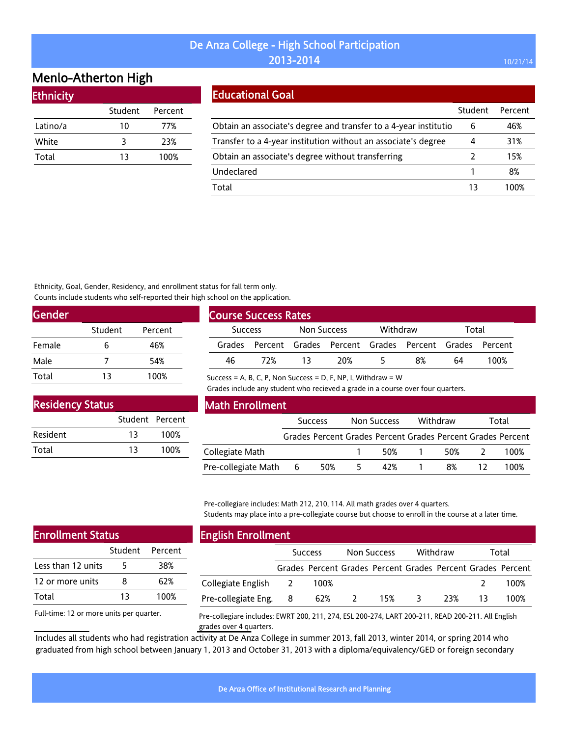# Menlo-Atherton High

| Ethnicity |         |         |
|-----------|---------|---------|
|           | Student | Percent |
| Latino/a  | 10      | 77%     |
| White     | 3       | 23%     |
| Total     | 13      | 100%    |

#### Educational Goal

|                                                                   | Student | Percent |
|-------------------------------------------------------------------|---------|---------|
| Obtain an associate's degree and transfer to a 4-year institution | 6       | 46%     |
| Transfer to a 4-year institution without an associate's degree    | 4       | 31%     |
| Obtain an associate's degree without transferring                 |         | 15%     |
| Undeclared                                                        |         | 8%      |
| Total                                                             | 13      | 100%    |

Ethnicity, Goal, Gender, Residency, and enrollment status for fall term only. Counts include students who self-reported their high school on the application.

| Gender |         |         |  |
|--------|---------|---------|--|
|        | Student | Percent |  |
| Female | h       | 46%     |  |
| Male   |         | 54%     |  |
| Total  | 13      | 100%    |  |

| Course Success Rates |     |                         |     |  |                                                             |    |      |
|----------------------|-----|-------------------------|-----|--|-------------------------------------------------------------|----|------|
|                      |     |                         |     |  |                                                             |    |      |
| <b>Success</b>       |     | Withdraw<br>Non Success |     |  | Total                                                       |    |      |
|                      |     |                         |     |  | Grades Percent Grades Percent Grades Percent Grades Percent |    |      |
| 46                   | 77% | 13.                     | 20% |  | 8%                                                          | 64 | 100% |

Success = A, B, C, P, Non Success = D, F, NP, I, Withdraw =  $W$ 

Grades include any student who recieved a grade in a course over four quarters.

| <b>Residency Status</b> |                 |      |  |  |  |  |  |
|-------------------------|-----------------|------|--|--|--|--|--|
|                         | Student Percent |      |  |  |  |  |  |
| Resident                | 13              | 100% |  |  |  |  |  |
| Total                   | 13              | 100% |  |  |  |  |  |

#### Math Enrollment

|                     | <b>Success</b> |     | Non Success |     | Withdraw |                                                             | Total |      |
|---------------------|----------------|-----|-------------|-----|----------|-------------------------------------------------------------|-------|------|
|                     |                |     |             |     |          | Grades Percent Grades Percent Grades Percent Grades Percent |       |      |
| Collegiate Math     |                |     |             | 50% |          | 50%                                                         |       | 100% |
| Pre-collegiate Math | - 6            | 50% |             | 42% |          | 8%                                                          |       | 100% |

Pre-collegiare includes: Math 212, 210, 114. All math grades over 4 quarters. Students may place into a pre-collegiate course but choose to enroll in the course at a later time.

| <b>Enrollment Status</b> |    |                 |  |  |  |  |  |
|--------------------------|----|-----------------|--|--|--|--|--|
|                          |    | Student Percent |  |  |  |  |  |
| Less than 12 units       | 5  | 38%             |  |  |  |  |  |
| 12 or more units         | 8  | 62%             |  |  |  |  |  |
| Total                    | 13 | 100%            |  |  |  |  |  |
|                          |    |                 |  |  |  |  |  |

Full-time: 12 or more units per quarter.

# English Enrollment

|                      | <b>Success</b> |      | Non Success |     | Withdraw |     | Total |                                                             |
|----------------------|----------------|------|-------------|-----|----------|-----|-------|-------------------------------------------------------------|
|                      |                |      |             |     |          |     |       | Grades Percent Grades Percent Grades Percent Grades Percent |
| Collegiate English 2 |                | 100% |             |     |          |     |       | 100%                                                        |
| Pre-collegiate Eng.  | 8              | 62%  |             | 15% |          | 23% |       | 100%                                                        |

Pre-collegiare includes: EWRT 200, 211, 274, ESL 200-274, LART 200-211, READ 200-211. All English grades over 4 quarters.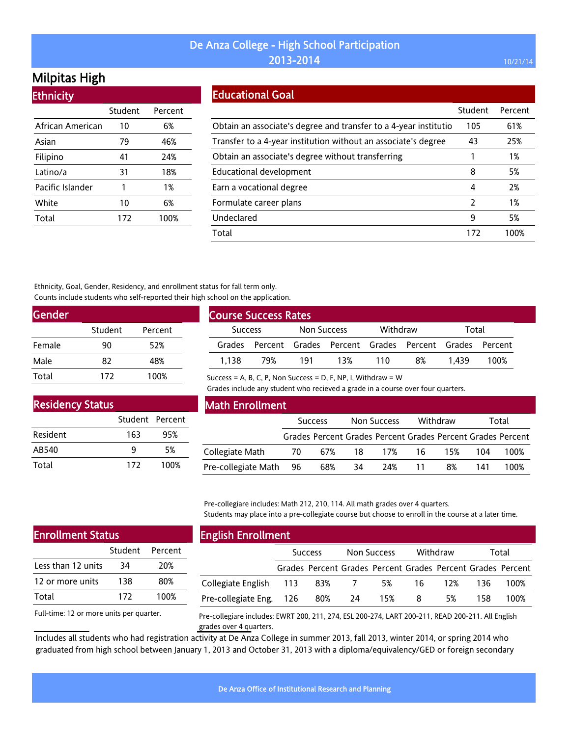# Milpitas High

**Ethnicity** 

| <u>есписку</u>   |         |         |
|------------------|---------|---------|
|                  | Student | Percent |
| African American | 10      | 6%      |
| Asian            | 79      | 46%     |
| Filipino         | 41      | 24%     |
| Latino/a         | 31      | 18%     |
| Pacific Islander | 1       | 1%      |
| White            | 10      | 6%      |
| Total            | 172     | 100%    |
|                  |         |         |

### Educational Goal

|                                                                  | Student | Percent |
|------------------------------------------------------------------|---------|---------|
| Obtain an associate's degree and transfer to a 4-year institutio | 105     | 61%     |
| Transfer to a 4-year institution without an associate's degree   | 43      | 25%     |
| Obtain an associate's degree without transferring                |         | 1%      |
| <b>Educational development</b>                                   | 8       | 5%      |
| Earn a vocational degree                                         | 4       | 2%      |
| Formulate career plans                                           | 2       | 1%      |
| Undeclared                                                       | 9       | 5%      |
| Total                                                            | 172     | 100%    |

Ethnicity, Goal, Gender, Residency, and enrollment status for fall term only. Counts include students who self-reported their high school on the application.

| <b>Gender</b> |         |         |  |
|---------------|---------|---------|--|
|               | Student | Percent |  |
| Female        | 90      | 52%     |  |
| Male          | 82      | 48%     |  |
| Total         | 172     | 100%    |  |

| <b>Course Success Rates</b>   |                                                      |          |     |       |    |       |      |
|-------------------------------|------------------------------------------------------|----------|-----|-------|----|-------|------|
| Non Success<br><b>Success</b> |                                                      | Withdraw |     | Total |    |       |      |
| Grades                        | Percent Grades Percent Grades Percent Grades Percent |          |     |       |    |       |      |
| 1.138                         | 79%                                                  | 191      | 13% | 110   | 8% | 1 439 | 100% |

Success = A, B, C, P, Non Success = D, F, NP, I, Withdraw =  $W$ 

Grades include any student who recieved a grade in a course over four quarters.

| <b>Residency Status</b> |                 |      |
|-------------------------|-----------------|------|
|                         | Student Percent |      |
| Resident                | 163             | 95%  |
| AB540                   |                 | 5%   |
| Total                   | 172             | 100% |

#### Math Enrollment

|                        |     | <b>Success</b> |    | Non Success |    | Withdraw |     | Total                                                       |
|------------------------|-----|----------------|----|-------------|----|----------|-----|-------------------------------------------------------------|
|                        |     |                |    |             |    |          |     | Grades Percent Grades Percent Grades Percent Grades Percent |
| Collegiate Math        | -70 | 67%            | 18 | 17%         | 16 | 15%      | 104 | 100%                                                        |
| Pre-collegiate Math 96 |     | 68%            | 34 | 24%         | 11 | 8%       | 141 | 100%                                                        |

Pre-collegiare includes: Math 212, 210, 114. All math grades over 4 quarters. Students may place into a pre-collegiate course but choose to enroll in the course at a later time.

| <b>Enrollment Status</b> |     |                 |  |  |
|--------------------------|-----|-----------------|--|--|
|                          |     | Student Percent |  |  |
| Less than 12 units       | 34  | 20%             |  |  |
| 12 or more units         | 138 | 80%             |  |  |
| Total                    | 172 | 100%            |  |  |
|                          |     |                 |  |  |

Full-time: 12 or more units per quarter.

#### English Enrollment

|                              | <b>Success</b> |                                                             | Non Success |     | Withdraw |     | Total |      |
|------------------------------|----------------|-------------------------------------------------------------|-------------|-----|----------|-----|-------|------|
|                              |                | Grades Percent Grades Percent Grades Percent Grades Percent |             |     |          |     |       |      |
| Collegiate English 113 83% 7 |                |                                                             |             | 5%  | 16 —     | 12% | 136.  | 100% |
| Pre-collegiate Eng. 126      |                | 80%                                                         | -24         | 15% | 8        | 5%  | 158.  | 100% |

Pre-collegiare includes: EWRT 200, 211, 274, ESL 200-274, LART 200-211, READ 200-211. All English grades over 4 quarters.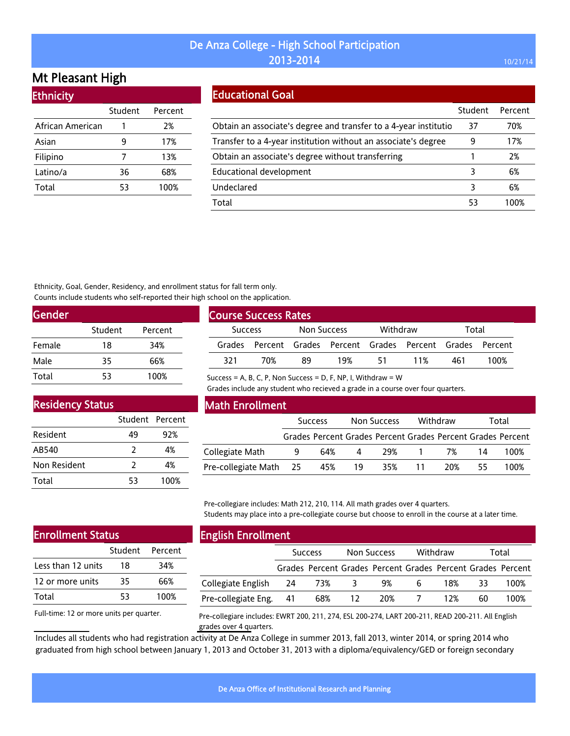# Mt Pleasant High

| <b>Ethnicity</b> |         |         |
|------------------|---------|---------|
|                  | Student | Percent |
| African American |         | 2%      |
| Asian            | 9       | 17%     |
| Filipino         | 7       | 13%     |
| Latino/a         | 36      | 68%     |
| Total            | 53      | 100%    |
|                  |         |         |

#### Educational Goal

|                                                                  | Student | Percent |
|------------------------------------------------------------------|---------|---------|
| Obtain an associate's degree and transfer to a 4-year institutio | 37      | 70%     |
| Transfer to a 4-year institution without an associate's degree   | 9       | 17%     |
| Obtain an associate's degree without transferring                |         | 2%      |
| Educational development                                          | 3       | 6%      |
| Undeclared                                                       | 3       | 6%      |
| Total                                                            | 53      | 1በበ%    |

Ethnicity, Goal, Gender, Residency, and enrollment status for fall term only. Counts include students who self-reported their high school on the application.

| <b>Gender</b> |         |         |
|---------------|---------|---------|
|               | Student | Percent |
| Female        | 18      | 34%     |
| Male          | 35      | 66%     |
| Total         | 53      | 100%    |

| <b>Course Success Rates</b> |     |             |     |          |                                                             |       |      |  |
|-----------------------------|-----|-------------|-----|----------|-------------------------------------------------------------|-------|------|--|
| <b>Success</b>              |     | Non Success |     | Withdraw |                                                             | Total |      |  |
|                             |     |             |     |          | Grades Percent Grades Percent Grades Percent Grades Percent |       |      |  |
| 321                         | 70% | 89          | 19% | 51       | 11%                                                         | 461   | 100% |  |

Success = A, B, C, P, Non Success = D, F, NP, I, Withdraw =  $W$ 

Grades include any student who recieved a grade in a course over four quarters.

#### Residency Status

|              | Student Percent |      |
|--------------|-----------------|------|
| Resident     | 49              | 92%  |
| AB540        | 2               | 4%   |
| Non Resident | 2               | 4%   |
| Total        | 53              | 100% |

#### Math Enrollment

|                        | <b>Success</b> |     | Non Success    |                                                             | Withdraw |     | Total |      |
|------------------------|----------------|-----|----------------|-------------------------------------------------------------|----------|-----|-------|------|
|                        |                |     |                | Grades Percent Grades Percent Grades Percent Grades Percent |          |     |       |      |
| Collegiate Math        | 9              | 64% | $\overline{4}$ |                                                             | 29% 1    | 7%  | 14    | 100% |
| Pre-collegiate Math 25 |                | 45% | - 19           | 35%                                                         | 11       | 20% | 55.   | 100% |

Pre-collegiare includes: Math 212, 210, 114. All math grades over 4 quarters. Students may place into a pre-collegiate course but choose to enroll in the course at a later time.

#### Enrollment Status

|                    | Student Percent |      |
|--------------------|-----------------|------|
| Less than 12 units | 18              | 34%  |
| 12 or more units   | 35              | 66%  |
| Total              | 53              | 100% |

Full-time: 12 or more units per quarter.

### English Enrollment

|                        | <b>Success</b> |     | <b>Non Success</b> |                                                             | Withdraw     |     | Total |      |
|------------------------|----------------|-----|--------------------|-------------------------------------------------------------|--------------|-----|-------|------|
|                        |                |     |                    | Grades Percent Grades Percent Grades Percent Grades Percent |              |     |       |      |
| Collegiate English 24  |                | 73% | 3                  | 9%                                                          | <sub>b</sub> | 18% | 33.   | 100% |
| Pre-collegiate Eng. 41 |                | 68% | -12.               | 20%                                                         |              | 12% | 60    | 100% |

Pre-collegiare includes: EWRT 200, 211, 274, ESL 200-274, LART 200-211, READ 200-211. All English grades over 4 quarters.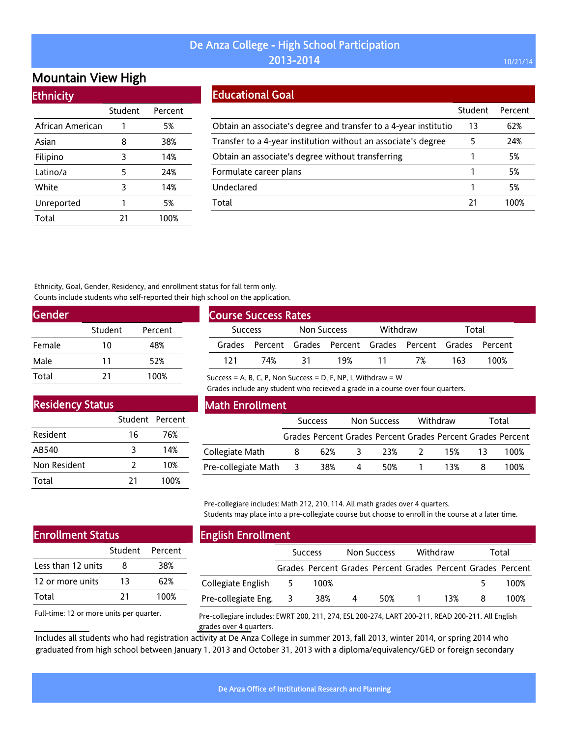# Mountain View High

| <b>Ethnicity</b> |  |  |
|------------------|--|--|
|                  |  |  |
|                  |  |  |

|                  | Student | Percent |
|------------------|---------|---------|
| African American | 1       | 5%      |
| Asian            | 8       | 38%     |
| Filipino         | 3       | 14%     |
| Latino/a         | 5       | 24%     |
| White            | 3       | 14%     |
| Unreported       | 1       | 5%      |
| Total            | 21      | 100%    |

#### Educational Goal

|                                                                  | Student | Percent |
|------------------------------------------------------------------|---------|---------|
| Obtain an associate's degree and transfer to a 4-year institutio | 13      | 62%     |
| Transfer to a 4-year institution without an associate's degree   | 5       | 24%     |
| Obtain an associate's degree without transferring                |         | 5%      |
| Formulate career plans                                           |         | 5%      |
| Undeclared                                                       |         | 5%      |
| Total                                                            | 21      | 100%    |

Ethnicity, Goal, Gender, Residency, and enrollment status for fall term only. Counts include students who self-reported their high school on the application.

| Gender |         |         |  |
|--------|---------|---------|--|
|        | Student | Percent |  |
| Female | 10      | 48%     |  |
| Male   | 11      | 52%     |  |
| Total  | 21      | 100%    |  |

| <b>Course Success Rates</b> |     |             |     |          |                                                             |       |      |  |  |
|-----------------------------|-----|-------------|-----|----------|-------------------------------------------------------------|-------|------|--|--|
| <b>Success</b>              |     | Non Success |     | Withdraw |                                                             | Total |      |  |  |
|                             |     |             |     |          | Grades Percent Grades Percent Grades Percent Grades Percent |       |      |  |  |
| 121                         | 74% | 31          | 19% | 11       | 7%                                                          | 163   | 100% |  |  |

Success = A, B, C, P, Non Success = D, F, NP, I, Withdraw =  $W$ 

Grades include any student who recieved a grade in a course over four quarters.

# Residency Status

|                 | Student Percent |      |
|-----------------|-----------------|------|
| <b>Resident</b> | 16              | 76%  |
| AB540           | २               | 14%  |
| Non Resident    | 2               | 10%  |
| Total           | 21              | 100% |

#### Math Enrollment

|                           | <b>Success</b> |  | Non Success    |                                                             | Withdraw |              | Total |      |
|---------------------------|----------------|--|----------------|-------------------------------------------------------------|----------|--------------|-------|------|
|                           |                |  |                | Grades Percent Grades Percent Grades Percent Grades Percent |          |              |       |      |
| Collegiate Math           | - 8            |  | 62% 3          |                                                             |          | 23% 2 15% 13 |       | 100% |
| Pre-collegiate Math 3 38% |                |  | $\overline{4}$ |                                                             |          | 50% 1 13% 8  |       | 100% |

Pre-collegiare includes: Math 212, 210, 114. All math grades over 4 quarters. Students may place into a pre-collegiate course but choose to enroll in the course at a later time.

#### Enrollment Status

|                    | Student Percent |      |
|--------------------|-----------------|------|
| Less than 12 units | 8               | 38%  |
| 12 or more units   | 13              | 62%  |
| Total              | 21              | 100% |

Full-time: 12 or more units per quarter.

# English Enrollment

|                     | <b>Success</b> |      | Non Success |     | Withdraw |     | Total |                                                             |
|---------------------|----------------|------|-------------|-----|----------|-----|-------|-------------------------------------------------------------|
|                     |                |      |             |     |          |     |       | Grades Percent Grades Percent Grades Percent Grades Percent |
| Collegiate English  | 5              | 100% |             |     |          |     |       | 100%                                                        |
| Pre-collegiate Eng. |                | 38%  | 4           | 50% |          | 13% |       | 100%                                                        |

Pre-collegiare includes: EWRT 200, 211, 274, ESL 200-274, LART 200-211, READ 200-211. All English grades over 4 quarters.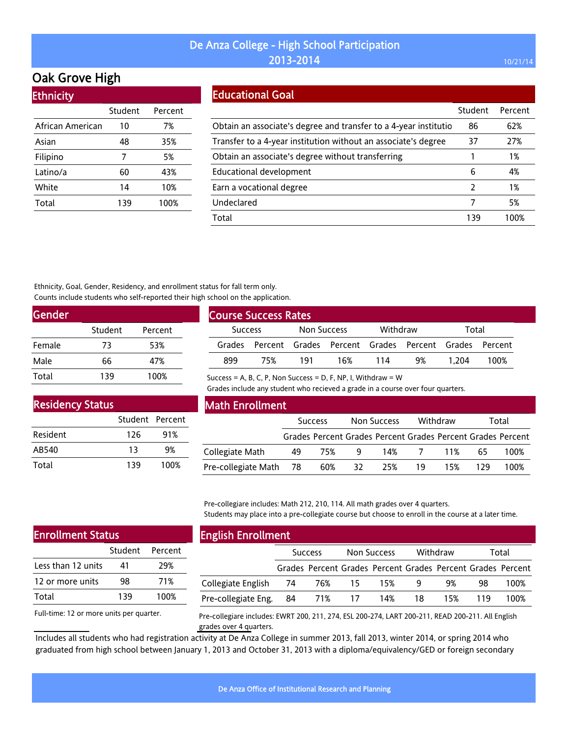# Oak Grove High

| <b>Ethnicity</b> |         |  |  |  |  |  |  |  |
|------------------|---------|--|--|--|--|--|--|--|
| Student          | Percent |  |  |  |  |  |  |  |
| 10               | 7%      |  |  |  |  |  |  |  |
| 48               | 35%     |  |  |  |  |  |  |  |
| 7                | 5%      |  |  |  |  |  |  |  |
| 60               | 43%     |  |  |  |  |  |  |  |
| 14               | 10%     |  |  |  |  |  |  |  |
| 139              | 100%    |  |  |  |  |  |  |  |
|                  |         |  |  |  |  |  |  |  |

#### Educational Goal

|                                                                  | Student       | Percent |
|------------------------------------------------------------------|---------------|---------|
| Obtain an associate's degree and transfer to a 4-year institutio | 86            | 62%     |
| Transfer to a 4-year institution without an associate's degree   | 37            | 27%     |
| Obtain an associate's degree without transferring                |               | 1%      |
| Educational development                                          | 6             | 4%      |
| Earn a vocational degree                                         | $\mathcal{P}$ | 1%      |
| Undeclared                                                       | 7             | 5%      |
| Total                                                            | 139           | 1በበ%    |

Ethnicity, Goal, Gender, Residency, and enrollment status for fall term only. Counts include students who self-reported their high school on the application.

| <b>Gender</b> |         |         |
|---------------|---------|---------|
|               | Student | Percent |
| Female        | 73      | 53%     |
| Male          | 66      | 47%     |
| Total         | 139     | 100%    |

| <b>Course Success Rates</b> |                                                             |     |     |          |    |       |      |  |
|-----------------------------|-------------------------------------------------------------|-----|-----|----------|----|-------|------|--|
|                             | Non Success<br><b>Success</b>                               |     |     | Withdraw |    | Total |      |  |
|                             | Grades Percent Grades Percent Grades Percent Grades Percent |     |     |          |    |       |      |  |
| 899                         | 75%                                                         | 191 | 16% | 114      | 9% | 1.204 | 100% |  |

Success = A, B, C, P, Non Success = D, F, NP, I, Withdraw =  $W$ 

Grades include any student who recieved a grade in a course over four quarters.

| <b>Residency Status</b> |                 |      |
|-------------------------|-----------------|------|
|                         | Student Percent |      |
| Resident                | 126             | 91%  |
| AB540                   | 13              | 9%   |
| Total                   | 139             | 100% |

#### Math Enrollment

|                        | <b>Success</b> |     | Non Success    |     | Withdraw |           | Total |                                                             |
|------------------------|----------------|-----|----------------|-----|----------|-----------|-------|-------------------------------------------------------------|
|                        |                |     |                |     |          |           |       | Grades Percent Grades Percent Grades Percent Grades Percent |
| Collegiate Math        | 49             | 75% | $\overline{q}$ |     |          | 14% 7 11% | 65.   | 100%                                                        |
| Pre-collegiate Math 78 |                | 60% | 32             | 25% | 19       | 15%       | 179   | 100%                                                        |

Pre-collegiare includes: Math 212, 210, 114. All math grades over 4 quarters. Students may place into a pre-collegiate course but choose to enroll in the course at a later time.

| <b>Enrollment Status</b> |     |                 |  |  |  |  |  |
|--------------------------|-----|-----------------|--|--|--|--|--|
|                          |     | Student Percent |  |  |  |  |  |
| Less than 12 units       | 41  | 29%             |  |  |  |  |  |
| 12 or more units         | 98  | 71%             |  |  |  |  |  |
| Total                    | 139 | 100%            |  |  |  |  |  |
|                          |     |                 |  |  |  |  |  |

Full-time: 12 or more units per quarter.

#### English Enrollment

|                        | <b>Success</b> |                                                             | Non Success |     | Withdraw |     | Total |      |
|------------------------|----------------|-------------------------------------------------------------|-------------|-----|----------|-----|-------|------|
|                        |                | Grades Percent Grades Percent Grades Percent Grades Percent |             |     |          |     |       |      |
| Collegiate English 74  |                | 76%                                                         | -15 -       | 15% | 9        | 9%  | 98    | 100% |
| Pre-collegiate Eng. 84 |                | 71% 17                                                      |             | 14% | 18       | 15% | 119   | 100% |
|                        |                |                                                             |             |     |          |     |       |      |

Pre-collegiare includes: EWRT 200, 211, 274, ESL 200-274, LART 200-211, READ 200-211. All English grades over 4 quarters.

Includes all students who had registration activity at De Anza College in summer 2013, fall 2013, winter 2014, or spring 2014 who graduated from high school between January 1, 2013 and October 31, 2013 with a diploma/equivalency/GED or foreign secondary

De Anza Office of Institutional Research and Planning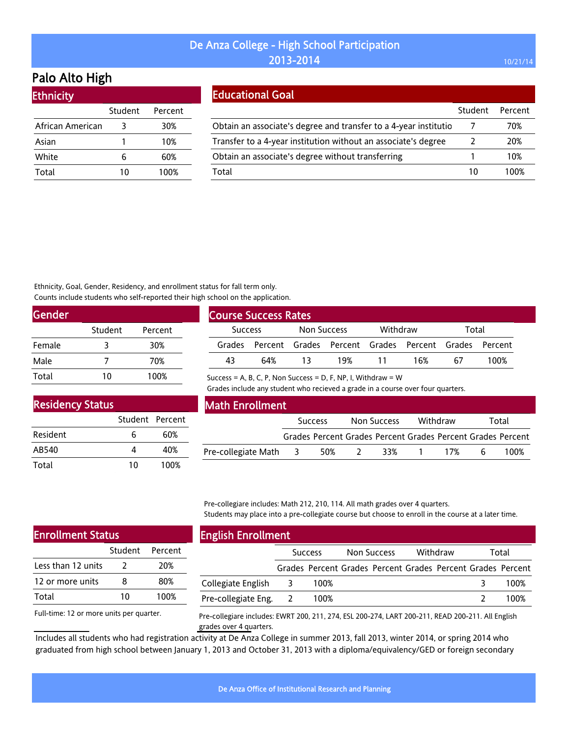# Palo Alto High

| <b>Ethnicity</b> |         |         |
|------------------|---------|---------|
|                  | Student | Percent |
| African American | 3       | 30%     |
| Asian            |         | 10%     |
| White            | 6       | 60%     |
| Total            | 10      | 100%    |

### Educational Goal

|                                                                  | Student | Percent |
|------------------------------------------------------------------|---------|---------|
| Obtain an associate's degree and transfer to a 4-year institutio |         | 70%     |
| Transfer to a 4-year institution without an associate's degree   |         | 20%     |
| Obtain an associate's degree without transferring                |         | 10%     |
| Total                                                            | 10      | 100%    |

Ethnicity, Goal, Gender, Residency, and enrollment status for fall term only. Counts include students who self-reported their high school on the application.

| Gender |         |         |
|--------|---------|---------|
|        | Student | Percent |
| Female | ર       | 30%     |
| Male   |         | 70%     |
| Total  | 10      | 100%    |

| <b>Course Success Rates</b> |     |                    |          |    |                                                      |    |      |  |
|-----------------------------|-----|--------------------|----------|----|------------------------------------------------------|----|------|--|
| <b>Success</b>              |     | <b>Non Success</b> | Withdraw |    | Total                                                |    |      |  |
| Grades                      |     |                    |          |    | Percent Grades Percent Grades Percent Grades Percent |    |      |  |
| 43                          | 64% |                    | 19%      | 11 | 16%                                                  | 67 | 100% |  |
|                             |     |                    |          |    |                                                      |    |      |  |

Success = A, B, C, P, Non Success = D, F, NP, I, Withdraw =  $W$ 

Grades include any student who recieved a grade in a course over four quarters.

| <b>Residency Status</b> |                 |      |
|-------------------------|-----------------|------|
|                         | Student Percent |      |
| Resident                | 6               | 60%  |
| AB540                   | Δ               | 40%  |
| Total                   | 10              | 100% |

### Math Enrollment

|                       | <b>Success</b> |     | Non Success  |                                                             | Withdraw |     | Total |      |
|-----------------------|----------------|-----|--------------|-------------------------------------------------------------|----------|-----|-------|------|
|                       |                |     |              | Grades Percent Grades Percent Grades Percent Grades Percent |          |     |       |      |
| Pre-collegiate Math 3 |                | 50% | <sup>2</sup> | 33%                                                         | $\sim$ 1 | 17% | h     | 100% |

Pre-collegiare includes: Math 212, 210, 114. All math grades over 4 quarters. Students may place into a pre-collegiate course but choose to enroll in the course at a later time.

| <b>Enrollment Status</b> |               |                 |  |  |  |  |
|--------------------------|---------------|-----------------|--|--|--|--|
|                          |               | Student Percent |  |  |  |  |
| Less than 12 units       | $\mathcal{L}$ | 20%             |  |  |  |  |
| 12 or more units         | 8             | 80%             |  |  |  |  |
| Total                    | 10            | 100%            |  |  |  |  |
|                          |               |                 |  |  |  |  |

### English Enrollment

| ____                  |                         |      |             |                                                             |          |  |       |      |
|-----------------------|-------------------------|------|-------------|-------------------------------------------------------------|----------|--|-------|------|
|                       | <b>Success</b>          |      | Non Success |                                                             | Withdraw |  | Total |      |
|                       |                         |      |             | Grades Percent Grades Percent Grades Percent Grades Percent |          |  |       |      |
| Collegiate English    | $\overline{\mathbf{3}}$ | 100% |             |                                                             |          |  |       | 100% |
| Pre-collegiate Eng. 2 |                         | 100% |             |                                                             |          |  |       | 100% |

Full-time: 12 or more units per quarter.

Pre-collegiare includes: EWRT 200, 211, 274, ESL 200-274, LART 200-211, READ 200-211. All English grades over 4 quarters.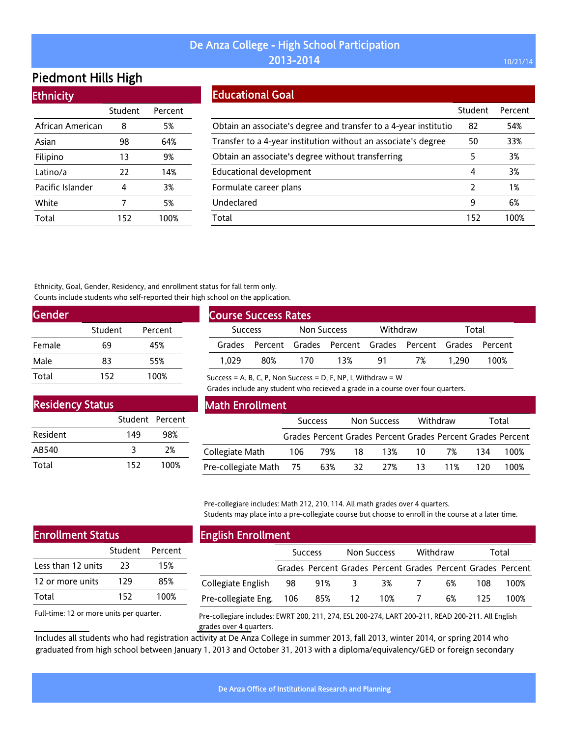# Piedmont Hills High

| <b>Ethnicity</b> |         |         |  |  |  |  |
|------------------|---------|---------|--|--|--|--|
|                  | Student | Percent |  |  |  |  |
| African American | 8       | 5%      |  |  |  |  |
| Asian            | 98      | 64%     |  |  |  |  |
| Filipino         | 13      | 9%      |  |  |  |  |
| Latino/a         | 22      | 14%     |  |  |  |  |
| Pacific Islander | 4       | 3%      |  |  |  |  |
| White            | 7       | 5%      |  |  |  |  |
| Total            | 152     | 100%    |  |  |  |  |

#### Educational Goal

|                                                                  | Student | Percent |
|------------------------------------------------------------------|---------|---------|
| Obtain an associate's degree and transfer to a 4-year institutio | 82      | 54%     |
| Transfer to a 4-year institution without an associate's degree   | 50      | 33%     |
| Obtain an associate's degree without transferring                | 5       | 3%      |
| Educational development                                          | 4       | 3%      |
| Formulate career plans                                           | 2       | 1%      |
| Undeclared                                                       | 9       | 6%      |
| Total                                                            | 152     | 100%    |

Ethnicity, Goal, Gender, Residency, and enrollment status for fall term only. Counts include students who self-reported their high school on the application.

| <b>Gender</b> |         |         |
|---------------|---------|---------|
|               | Student | Percent |
| Female        | 69      | 45%     |
| Male          | 83      | 55%     |
| Total         | 152     | 100%    |

| <b>Course Success Rates</b> |     |             |                                                             |          |    |       |      |  |
|-----------------------------|-----|-------------|-------------------------------------------------------------|----------|----|-------|------|--|
| <b>Success</b>              |     | Non Success |                                                             | Withdraw |    | Total |      |  |
|                             |     |             | Grades Percent Grades Percent Grades Percent Grades Percent |          |    |       |      |  |
| 1.029                       | 80% | 170         | 13%                                                         | 91       | 7% | 1.290 | 100% |  |

Success = A, B, C, P, Non Success = D, F, NP, I, Withdraw =  $W$ 

Grades include any student who recieved a grade in a course over four quarters.

| <b>Residency Status</b> |                 |      |  |  |  |  |  |  |  |
|-------------------------|-----------------|------|--|--|--|--|--|--|--|
|                         | Student Percent |      |  |  |  |  |  |  |  |
| Resident                | 149             | 98%  |  |  |  |  |  |  |  |
| AB540                   | २               | 2%   |  |  |  |  |  |  |  |
| Total                   | 152             | 100% |  |  |  |  |  |  |  |

#### Math Enrollment

|                            | <b>Success</b> |  | Non Success |                | Withdraw     |                | Total |                                                             |  |
|----------------------------|----------------|--|-------------|----------------|--------------|----------------|-------|-------------------------------------------------------------|--|
|                            |                |  |             |                |              |                |       | Grades Percent Grades Percent Grades Percent Grades Percent |  |
| Collegiate Math            |                |  |             | 106 79% 18 13% | 10 <b>10</b> | 7%             | -134  | 100%                                                        |  |
| Pre-collegiate Math 75 63% |                |  | 32 L        |                |              | 27% 13 11% 120 |       | 100%                                                        |  |

Pre-collegiare includes: Math 212, 210, 114. All math grades over 4 quarters. Students may place into a pre-collegiate course but choose to enroll in the course at a later time.

| <b>Enrollment Status</b> |                 |  |  |  |  |  |  |
|--------------------------|-----------------|--|--|--|--|--|--|
|                          |                 |  |  |  |  |  |  |
| 23                       | 15%             |  |  |  |  |  |  |
| 129                      | 85%             |  |  |  |  |  |  |
| 152                      | 100%            |  |  |  |  |  |  |
|                          | Student Percent |  |  |  |  |  |  |

### English Enrollment

|                         | <b>Success</b> |     | Non Success     |                                                             | Withdraw |    | Total |      |
|-------------------------|----------------|-----|-----------------|-------------------------------------------------------------|----------|----|-------|------|
|                         |                |     |                 | Grades Percent Grades Percent Grades Percent Grades Percent |          |    |       |      |
| Collegiate English      | -98            | 91% | -3              | 3%                                                          |          | 6% | 108   | 100% |
| Pre-collegiate Eng. 106 |                | 85% | $\overline{12}$ | 10%                                                         |          | 6% | 125   | 100% |

Full-time: 12 or more units per quarter.

Pre-collegiare includes: EWRT 200, 211, 274, ESL 200-274, LART 200-211, READ 200-211. All English grades over 4 quarters.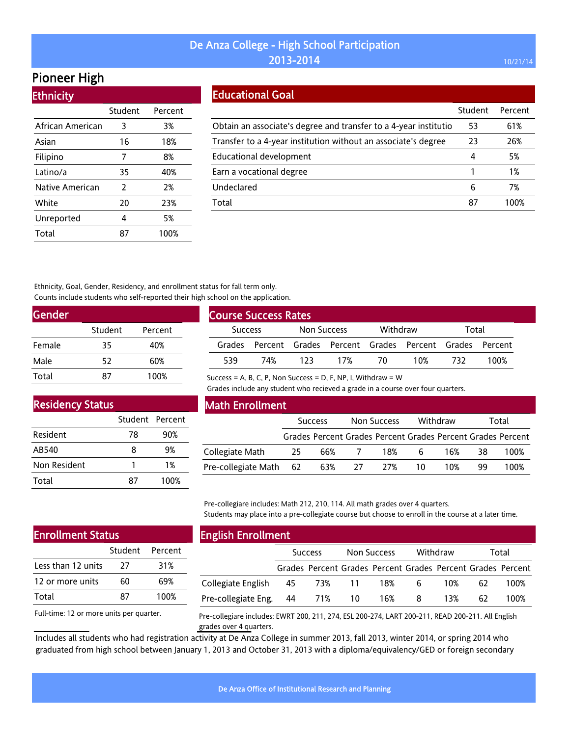# Pioneer High

| <b>Ethnicity</b> |         |         |
|------------------|---------|---------|
|                  | Student | Percent |
| African American | 3       | 3%      |
| Asian            | 16      | 18%     |
| Filipino         | 7       | 8%      |
| Latino/a         | 35      | 40%     |
| Native American  | 2       | 2%      |
| White            | 20      | 23%     |
| Unreported       | 4       | 5%      |
| Total            | 87      | 100%    |

#### Educational Goal

|                                                                  | Student | Percent |
|------------------------------------------------------------------|---------|---------|
| Obtain an associate's degree and transfer to a 4-year institutio | 53      | 61%     |
| Transfer to a 4-year institution without an associate's degree   | 23      | 26%     |
| Educational development                                          | 4       | 5%      |
| Earn a vocational degree                                         |         | 1%      |
| Undeclared                                                       | 6       | 7%      |
| Total                                                            | 87      | 100%    |

Ethnicity, Goal, Gender, Residency, and enrollment status for fall term only. Counts include students who self-reported their high school on the application.

| Gender |         |         |
|--------|---------|---------|
|        | Student | Percent |
| Female | 35      | 40%     |
| Male   | 52      | 60%     |
| Total  | 87      | 100%    |

| <b>Course Success Rates</b>   |     |      |                                                      |     |       |     |      |  |  |
|-------------------------------|-----|------|------------------------------------------------------|-----|-------|-----|------|--|--|
| Non Success<br><b>Success</b> |     |      | Withdraw                                             |     | Total |     |      |  |  |
| Grades                        |     |      | Percent Grades Percent Grades Percent Grades Percent |     |       |     |      |  |  |
| 539                           | 74% | 123. | 17%                                                  | 70. | 10%   | 732 | 100% |  |  |

Residency Status

| .            |                 |      |
|--------------|-----------------|------|
|              | Student Percent |      |
| Resident     | 78              | 90%  |
| AB540        | 8               | 9%   |
| Non Resident | 1               | 1%   |
| Total        | 87              | 100% |
|              |                 |      |

#### Math Enrollment

Success = A, B, C, P, Non Success = D, F, NP, I, Withdraw =  $W$ 

Grades include any student who recieved a grade in a course over four quarters.

|                        |     | <b>Success</b> |    | Non Success                                                 |    | Withdraw |    | Total |
|------------------------|-----|----------------|----|-------------------------------------------------------------|----|----------|----|-------|
|                        |     |                |    | Grades Percent Grades Percent Grades Percent Grades Percent |    |          |    |       |
| Collegiate Math        | -25 | 66%            |    | 18%                                                         | 6  | 16%      | 38 | 100%  |
| Pre-collegiate Math 62 |     | 63%            | 27 | 27%                                                         | 10 | 1 በ%     | 99 | 100%  |

Pre-collegiare includes: Math 212, 210, 114. All math grades over 4 quarters. Students may place into a pre-collegiate course but choose to enroll in the course at a later time.

# Enrollment Status

|                    | Student Percent |      |
|--------------------|-----------------|------|
| Less than 12 units | 77              | 31%  |
| 12 or more units   | 60              | 69%  |
| Total              | 87              | 100% |

Full-time: 12 or more units per quarter.

#### English Enrollment

| - -                           |                |                                                             |             |     |          |     |       |      |
|-------------------------------|----------------|-------------------------------------------------------------|-------------|-----|----------|-----|-------|------|
|                               | <b>Success</b> |                                                             | Non Success |     | Withdraw |     | Total |      |
|                               |                | Grades Percent Grades Percent Grades Percent Grades Percent |             |     |          |     |       |      |
| Collegiate English 45         |                | 73% 11                                                      |             | 18% | 6        | 10% | 62    | 100% |
| Pre-collegiate Eng. 44 71% 10 |                |                                                             |             | 16% | 8        | 13% | 62.   | 100% |
|                               |                |                                                             |             |     |          |     |       |      |

Pre-collegiare includes: EWRT 200, 211, 274, ESL 200-274, LART 200-211, READ 200-211. All English grades over 4 quarters.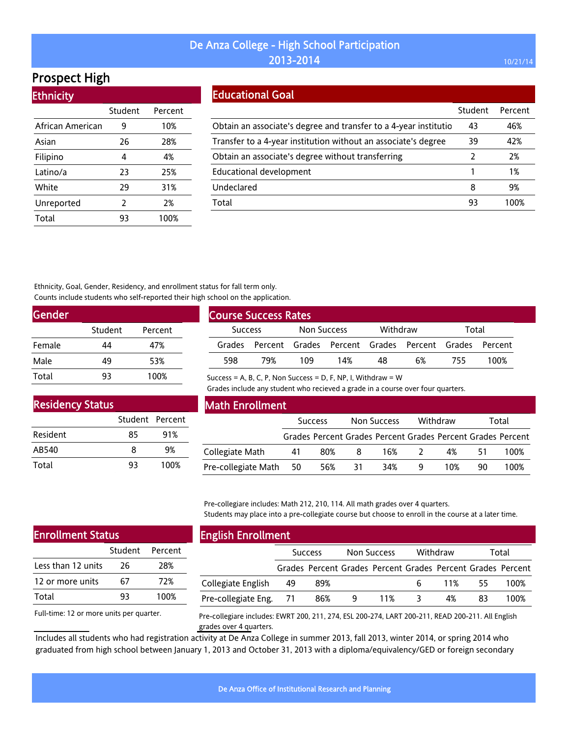# Prospect High

Ethnicity

| <u>есписку</u>   |         |         |
|------------------|---------|---------|
|                  | Student | Percent |
| African American | 9       | 10%     |
| Asian            | 26      | 28%     |
| Filipino         | 4       | 4%      |
| Latino/a         | 23      | 25%     |
| White            | 29      | 31%     |
| Unreported       | 2       | 2%      |
| Total            | 93      | 100%    |

#### Educational Goal

|                                                                   | Student | Percent |
|-------------------------------------------------------------------|---------|---------|
| Obtain an associate's degree and transfer to a 4-year institution | 43      | 46%     |
| Transfer to a 4-year institution without an associate's degree    | 39      | 42%     |
| Obtain an associate's degree without transferring                 | 2       | 2%      |
| <b>Educational development</b>                                    |         | 1%      |
| Undeclared                                                        | 8       | 9%      |
| Total                                                             | 93      | 100%    |

Ethnicity, Goal, Gender, Residency, and enrollment status for fall term only. Counts include students who self-reported their high school on the application.

| <b>Gender</b> |         |         |  |
|---------------|---------|---------|--|
|               | Student | Percent |  |
| Female        | 44      | 47%     |  |
| Male          | 49      | 53%     |  |
| Total         | 93      | 100%    |  |

| <b>Course Success Rates</b> |     |             |                                                             |          |    |       |      |  |  |
|-----------------------------|-----|-------------|-------------------------------------------------------------|----------|----|-------|------|--|--|
| <b>Success</b>              |     | Non Success |                                                             | Withdraw |    | Total |      |  |  |
|                             |     |             | Grades Percent Grades Percent Grades Percent Grades Percent |          |    |       |      |  |  |
| 598                         | 79% | 109         | 14%                                                         | 48       | 6% | 755   | 100% |  |  |

Success = A, B, C, P, Non Success = D, F, NP, I, Withdraw =  $W$ 

Grades include any student who recieved a grade in a course over four quarters.

| <b>Residency Status</b> |                 |      |
|-------------------------|-----------------|------|
|                         | Student Percent |      |
| Resident                | 85              | 91%  |
| AB540                   | Զ               | 9%   |
| Total                   | 93              | 100% |

#### Math Enrollment

|                        | <b>Success</b> |     | Non Success |                                                             | Withdraw |     | Total |      |
|------------------------|----------------|-----|-------------|-------------------------------------------------------------|----------|-----|-------|------|
|                        |                |     |             | Grades Percent Grades Percent Grades Percent Grades Percent |          |     |       |      |
| Collegiate Math        | 41             | 80% | 8           | 16%                                                         | $\prime$ | 4%  | 51    | 100% |
| Pre-collegiate Math 50 |                | 56% | 31          | 34%                                                         |          | 10% | 90.   | 100% |

Pre-collegiare includes: Math 212, 210, 114. All math grades over 4 quarters. Students may place into a pre-collegiate course but choose to enroll in the course at a later time.

| <b>Enrollment Status</b> |    |                 |  |  |  |  |
|--------------------------|----|-----------------|--|--|--|--|
|                          |    | Student Percent |  |  |  |  |
| Less than 12 units       | 26 | 28%             |  |  |  |  |
| 12 or more units         | 67 | 72%             |  |  |  |  |
| Total                    | 93 | 100%            |  |  |  |  |
|                          |    |                 |  |  |  |  |

### English Enrollment

|                        | <b>Success</b> |     | Non Success |     | Withdraw |     | Total |                                                             |
|------------------------|----------------|-----|-------------|-----|----------|-----|-------|-------------------------------------------------------------|
|                        |                |     |             |     |          |     |       | Grades Percent Grades Percent Grades Percent Grades Percent |
| Collegiate English     | -49            | 89% |             |     | 6.       | 11% | 55.   | 100%                                                        |
| Pre-collegiate Eng. 71 |                | 86% | 9           | 11% | 3.       | 4%  | 83.   | 100%                                                        |

Full-time: 12 or more units per quarter.

Pre-collegiare includes: EWRT 200, 211, 274, ESL 200-274, LART 200-211, READ 200-211. All English grades over 4 quarters.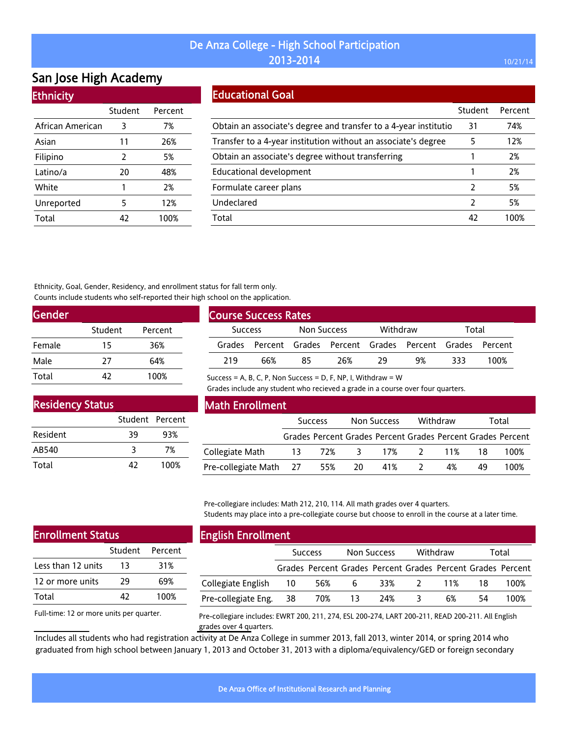# San Jose High Academy

#### **Ethnicity**

|                  | Student | Percent |
|------------------|---------|---------|
| African American | 3       | 7%      |
| Asian            | 11      | 26%     |
| Filipino         | 2       | 5%      |
| Latino/a         | 20      | 48%     |
| White            | 1       | 2%      |
| Unreported       | 5       | 12%     |
| Total            | 47      | 100%    |

#### Educational Goal

|                                                                  | Student | Percent |
|------------------------------------------------------------------|---------|---------|
| Obtain an associate's degree and transfer to a 4-year institutio | 31      | 74%     |
| Transfer to a 4-year institution without an associate's degree   | 5       | 12%     |
| Obtain an associate's degree without transferring                |         | 2%      |
| <b>Educational development</b>                                   |         | 2%      |
| Formulate career plans                                           | 2       | 5%      |
| Undeclared                                                       | 2       | 5%      |
| Total                                                            | 42      | 100%    |

Ethnicity, Goal, Gender, Residency, and enrollment status for fall term only. Counts include students who self-reported their high school on the application.

| Gender |         |         |  |
|--------|---------|---------|--|
|        | Student | Percent |  |
| Female | 15      | 36%     |  |
| Male   | 27      | 64%     |  |
| Total  | 42      | 100%    |  |

| <b>Course Success Rates</b>   |                                                      |    |          |    |       |     |      |  |  |
|-------------------------------|------------------------------------------------------|----|----------|----|-------|-----|------|--|--|
| Non Success<br><b>Success</b> |                                                      |    | Withdraw |    | Total |     |      |  |  |
| Grades                        | Percent Grades Percent Grades Percent Grades Percent |    |          |    |       |     |      |  |  |
| 219                           | 66%                                                  | 85 | 26%      | 79 | 9%    | २२२ | 100% |  |  |

Success = A, B, C, P, Non Success = D, F, NP, I, Withdraw =  $W$ 

Grades include any student who recieved a grade in a course over four quarters.

| <b>Residency Status</b> |                 |      |
|-------------------------|-----------------|------|
|                         | Student Percent |      |
| Resident                | 39              | 93%  |
| AB540                   | २               | 7%   |
| Total                   | 42              | 100% |

#### Math Enrollment

|                        | <b>Success</b> |     | Non Success |                                                             | Withdraw |    | Total |      |  |
|------------------------|----------------|-----|-------------|-------------------------------------------------------------|----------|----|-------|------|--|
|                        |                |     |             | Grades Percent Grades Percent Grades Percent Grades Percent |          |    |       |      |  |
| Collegiate Math        |                |     |             | 13 72% 3 17% 2 11%                                          |          |    | -18   | 100% |  |
| Pre-collegiate Math 27 |                | 55% | 20          | 41%                                                         |          | 4% | 49    | 100% |  |

Pre-collegiare includes: Math 212, 210, 114. All math grades over 4 quarters. Students may place into a pre-collegiate course but choose to enroll in the course at a later time.

| <b>Enrollment Status</b> |    |                 |  |  |  |  |  |
|--------------------------|----|-----------------|--|--|--|--|--|
|                          |    | Student Percent |  |  |  |  |  |
| Less than 12 units       | 13 | 31%             |  |  |  |  |  |
| 12 or more units         | 29 | 69%             |  |  |  |  |  |
| Total                    | 47 | 100%            |  |  |  |  |  |
|                          |    |                 |  |  |  |  |  |

Full-time: 12 or more units per quarter.

#### English Enrollment

| ------------------------ |                |                                                             |             |  |                         |           |       |      |
|--------------------------|----------------|-------------------------------------------------------------|-------------|--|-------------------------|-----------|-------|------|
|                          | <b>Success</b> |                                                             | Non Success |  | Withdraw                |           | Total |      |
|                          |                | Grades Percent Grades Percent Grades Percent Grades Percent |             |  |                         |           |       |      |
| Collegiate English 10    |                | 56%                                                         | - 6         |  |                         | 33% 2 11% | 18    | 100% |
| Pre-collegiate Eng. 38   |                | 70%                                                         | 13 24%      |  | $\overline{\mathbf{3}}$ | 6%        | 54    | 100% |
|                          |                |                                                             |             |  |                         |           |       |      |

Pre-collegiare includes: EWRT 200, 211, 274, ESL 200-274, LART 200-211, READ 200-211. All English grades over 4 quarters.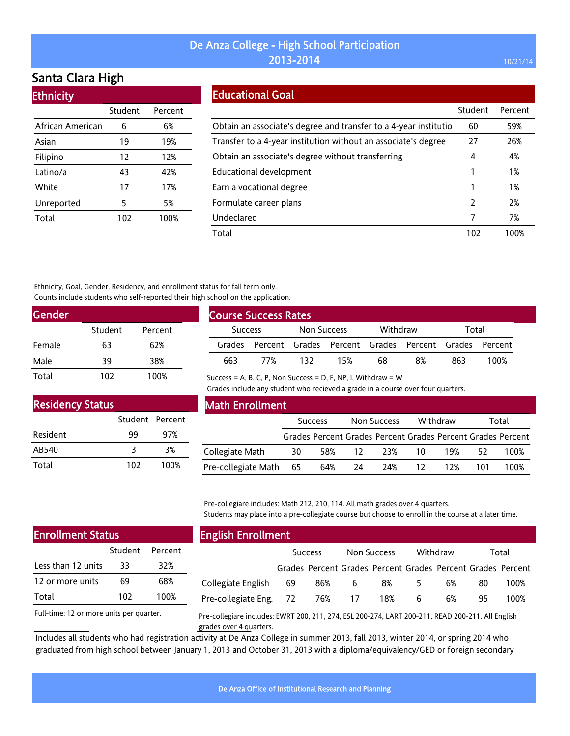# Santa Clara High

| <b>Ethnicity</b> |         |         |  |  |  |  |  |  |
|------------------|---------|---------|--|--|--|--|--|--|
|                  | Student | Percent |  |  |  |  |  |  |
| African American | 6       | 6%      |  |  |  |  |  |  |
| Asian            | 19      | 19%     |  |  |  |  |  |  |
| Filipino         | 12      | 12%     |  |  |  |  |  |  |
| Latino/a         | 43      | 42%     |  |  |  |  |  |  |
| White            | 17      | 17%     |  |  |  |  |  |  |
| Unreported       | 5       | 5%      |  |  |  |  |  |  |
| Total            | 102     | 100%    |  |  |  |  |  |  |

#### Educational Goal

|                                                                  | Student | Percent |
|------------------------------------------------------------------|---------|---------|
| Obtain an associate's degree and transfer to a 4-year institutio | 60      | 59%     |
| Transfer to a 4-year institution without an associate's degree   | 27      | 26%     |
| Obtain an associate's degree without transferring                | 4       | 4%      |
| <b>Educational development</b>                                   |         | 1%      |
| Earn a vocational degree                                         |         | 1%      |
| Formulate career plans                                           | 2       | 2%      |
| Undeclared                                                       | 7       | 7%      |
| Total                                                            | 102     | 100%    |

Ethnicity, Goal, Gender, Residency, and enrollment status for fall term only. Counts include students who self-reported their high school on the application.

| <b>Gender</b> |         |         |  |
|---------------|---------|---------|--|
|               | Student | Percent |  |
| Female        | 63      | 62%     |  |
| Male          | 39      | 38%     |  |
| Total         | 102     | 100%    |  |

| <b>Course Success Rates</b>   |     |     |          |    |                                                             |     |      |  |
|-------------------------------|-----|-----|----------|----|-------------------------------------------------------------|-----|------|--|
| Non Success<br><b>Success</b> |     |     | Withdraw |    | Total                                                       |     |      |  |
|                               |     |     |          |    | Grades Percent Grades Percent Grades Percent Grades Percent |     |      |  |
| 663                           | 77% | 132 | 15%      | 68 | 8%                                                          | 863 | 100% |  |

Success = A, B, C, P, Non Success = D, F, NP, I, Withdraw =  $W$ 

Grades include any student who recieved a grade in a course over four quarters.

| <b>Residency Status</b> |                 |      |
|-------------------------|-----------------|------|
|                         | Student Percent |      |
| Resident                | 99              | 97%  |
| AB540                   | २               | 3%   |
| Total                   | 102             | 100% |

#### Math Enrollment

|                        | <b>Success</b> |     | Non Success |     | Withdraw |     | Total |                                                             |
|------------------------|----------------|-----|-------------|-----|----------|-----|-------|-------------------------------------------------------------|
|                        |                |     |             |     |          |     |       | Grades Percent Grades Percent Grades Percent Grades Percent |
| Collegiate Math        | 30             |     | 58% 12      | 23% | 10.      | 19% | 52    | 100%                                                        |
| Pre-collegiate Math 65 |                | 64% | -24         | 24% | -12      | 12% | 101   | 100%                                                        |

Pre-collegiare includes: Math 212, 210, 114. All math grades over 4 quarters. Students may place into a pre-collegiate course but choose to enroll in the course at a later time.

| <b>Enrollment Status</b> |     |                 |  |  |  |  |  |
|--------------------------|-----|-----------------|--|--|--|--|--|
|                          |     | Student Percent |  |  |  |  |  |
| Less than 12 units       | 33  | 32%             |  |  |  |  |  |
| 12 or more units         | 69  | 68%             |  |  |  |  |  |
| Total                    | 102 | 100%            |  |  |  |  |  |
|                          |     |                 |  |  |  |  |  |

Full-time: 12 or more units per quarter.

#### English Enrollment

| . .                    |                |     |                 |                                                             |          |    |       |      |
|------------------------|----------------|-----|-----------------|-------------------------------------------------------------|----------|----|-------|------|
|                        | <b>Success</b> |     | Non Success     |                                                             | Withdraw |    | Total |      |
|                        |                |     |                 | Grades Percent Grades Percent Grades Percent Grades Percent |          |    |       |      |
| Collegiate English     | -69            | 86% | b               | 8%                                                          |          | 6% | 80    | 100% |
| Pre-collegiate Eng. 72 |                | 76% | $\overline{17}$ | 18%                                                         | 6        | 6% | 95    | 100% |

Pre-collegiare includes: EWRT 200, 211, 274, ESL 200-274, LART 200-211, READ 200-211. All English grades over 4 quarters.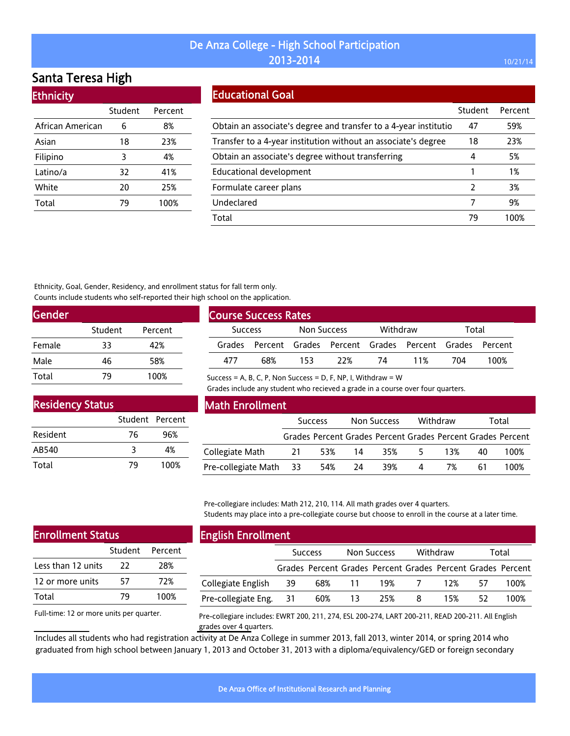# Santa Teresa High

| <b>Ethnicity</b> |         |         |  |  |  |  |  |  |
|------------------|---------|---------|--|--|--|--|--|--|
|                  | Student | Percent |  |  |  |  |  |  |
| African American | 6       | 8%      |  |  |  |  |  |  |
| Asian            | 18      | 23%     |  |  |  |  |  |  |
| Filipino         | 3       | 4%      |  |  |  |  |  |  |
| Latino/a         | 32      | 41%     |  |  |  |  |  |  |
| White            | 20      | 25%     |  |  |  |  |  |  |
| Total            | 79      | 100%    |  |  |  |  |  |  |

### Educational Goal

|                                                                  | Student | Percent |
|------------------------------------------------------------------|---------|---------|
| Obtain an associate's degree and transfer to a 4-year institutio | 47      | 59%     |
| Transfer to a 4-year institution without an associate's degree   | 18      | 23%     |
| Obtain an associate's degree without transferring                | 4       | 5%      |
| <b>Educational development</b>                                   |         | 1%      |
| Formulate career plans                                           | 2       | 3%      |
| Undeclared                                                       | 7       | 9%      |
| Total                                                            | 79      | 100%    |

Ethnicity, Goal, Gender, Residency, and enrollment status for fall term only. Counts include students who self-reported their high school on the application.

| <b>Gender</b> |         |         |
|---------------|---------|---------|
|               | Student | Percent |
| Female        | 33      | 42%     |
| Male          | 46      | 58%     |
| Total         |         | 100%    |

| <b>Course Success Rates</b>   |     |          |     |       |                                                             |     |      |
|-------------------------------|-----|----------|-----|-------|-------------------------------------------------------------|-----|------|
| Non Success<br><b>Success</b> |     | Withdraw |     | Total |                                                             |     |      |
|                               |     |          |     |       | Grades Percent Grades Percent Grades Percent Grades Percent |     |      |
| 477                           | 68% | 153      | 22% | 74    | 11%                                                         | 704 | 100% |

Success = A, B, C, P, Non Success = D, F, NP, I, Withdraw =  $W$ 

Grades include any student who recieved a grade in a course over four quarters.

| <b>Residency Status</b> |                 |      |  |  |  |  |  |  |
|-------------------------|-----------------|------|--|--|--|--|--|--|
|                         | Student Percent |      |  |  |  |  |  |  |
| Resident                | 76              | 96%  |  |  |  |  |  |  |
| AB540                   | २               | 4%   |  |  |  |  |  |  |
| Total                   | 79              | 100% |  |  |  |  |  |  |

#### Math Enrollment

|                        | <b>Success</b> |        | Non Success |     | Withdraw |     | Total |                                                             |
|------------------------|----------------|--------|-------------|-----|----------|-----|-------|-------------------------------------------------------------|
|                        |                |        |             |     |          |     |       | Grades Percent Grades Percent Grades Percent Grades Percent |
| Collegiate Math        | 21             | 53% 14 |             | 35% | $-5$     | 13% | 40    | 100%                                                        |
| Pre-collegiate Math 33 |                | 54%    | 24          | 39% | 4        | 7%  | 61    | 100%                                                        |

Pre-collegiare includes: Math 212, 210, 114. All math grades over 4 quarters. Students may place into a pre-collegiate course but choose to enroll in the course at a later time.

| <b>Enrollment Status</b> |    |                 |
|--------------------------|----|-----------------|
|                          |    | Student Percent |
| Less than 12 units       | 22 | 28%             |
| 12 or more units         | 57 | 72%             |
| Total                    | 79 | 100%            |
|                          |    |                 |

Full-time: 12 or more units per quarter.

#### English Enrollment

| --                     |                |     |             |                                                             |                |     |       |      |  |
|------------------------|----------------|-----|-------------|-------------------------------------------------------------|----------------|-----|-------|------|--|
|                        | <b>Success</b> |     | Non Success |                                                             | Withdraw       |     | Total |      |  |
|                        |                |     |             | Grades Percent Grades Percent Grades Percent Grades Percent |                |     |       |      |  |
| Collegiate English     | -39            |     | 68% 11      | 19%                                                         | $\overline{7}$ | 12% | 57    | 100% |  |
| Pre-collegiate Eng. 31 |                | 60% | $\sim$ 13   | 25%                                                         | -8             | 15% | 52    | 100% |  |
|                        |                |     |             |                                                             |                |     |       |      |  |

Pre-collegiare includes: EWRT 200, 211, 274, ESL 200-274, LART 200-211, READ 200-211. All English grades over 4 quarters.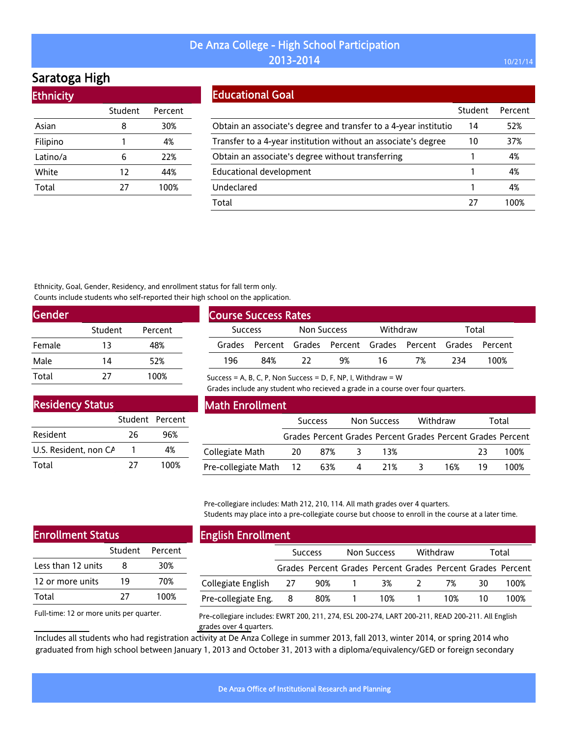# Saratoga High

| <b>Ethnicity</b> |         |         |
|------------------|---------|---------|
|                  | Student | Percent |
| Asian            | 8       | 30%     |
| Filipino         | 1       | 4%      |
| Latino/a         | 6       | 22%     |
| White            | 12      | 44%     |
| Total            | 27      | 100%    |
|                  |         |         |

#### Educational Goal

|                                                                   | Student | Percent |
|-------------------------------------------------------------------|---------|---------|
| Obtain an associate's degree and transfer to a 4-year institution | 14      | 52%     |
| Transfer to a 4-year institution without an associate's degree    | 10      | 37%     |
| Obtain an associate's degree without transferring                 |         | 4%      |
| Educational development                                           |         | 4%      |
| Undeclared                                                        |         | 4%      |
| Total                                                             | 77      | 1በበ%    |

Ethnicity, Goal, Gender, Residency, and enrollment status for fall term only. Counts include students who self-reported their high school on the application.

| <b>Gender</b> |         |         |
|---------------|---------|---------|
|               | Student | Percent |
| Female        | 13      | 48%     |
| Male          | 14      | 52%     |
| Total         | 77      | 100%    |

| <b>Course Success Rates</b>          |     |  |                                                             |    |       |      |      |  |
|--------------------------------------|-----|--|-------------------------------------------------------------|----|-------|------|------|--|
| <b>Non Success</b><br><b>Success</b> |     |  | Withdraw                                                    |    | Total |      |      |  |
|                                      |     |  | Grades Percent Grades Percent Grades Percent Grades Percent |    |       |      |      |  |
| 196                                  | 84% |  | 9%                                                          | 16 | 7%    | -234 | 100% |  |

Success = A, B, C, P, Non Success = D, F, NP, I, Withdraw =  $W$ 

Grades include any student who recieved a grade in a course over four quarters.

| <b>Residency Status</b> |                 |      |
|-------------------------|-----------------|------|
|                         | Student Percent |      |
| Resident                | 26              | 96%  |
| U.S. Resident, non CA   |                 | 4%   |
| Total                   | 77              | 100% |

#### Math Enrollment

|                            | <b>Success</b> |     | Non Success |                                                             | Withdraw |     | Total |      |
|----------------------------|----------------|-----|-------------|-------------------------------------------------------------|----------|-----|-------|------|
|                            |                |     |             | Grades Percent Grades Percent Grades Percent Grades Percent |          |     |       |      |
| Collegiate Math            | -20            | 87% |             | 13%                                                         |          |     | 23    | 100% |
| Pre-collegiate Math 12 63% |                |     | 4           | 21%                                                         | ≺        | 16% |       | 100% |

Pre-collegiare includes: Math 212, 210, 114. All math grades over 4 quarters. Students may place into a pre-collegiate course but choose to enroll in the course at a later time.

| <b>Enrollment Status</b> |    |                 |  |  |  |  |  |
|--------------------------|----|-----------------|--|--|--|--|--|
|                          |    | Student Percent |  |  |  |  |  |
| Less than 12 units       | 8  | 30%             |  |  |  |  |  |
| 12 or more units         | 19 | 70%             |  |  |  |  |  |
| Total                    | 77 | 100%            |  |  |  |  |  |
|                          |    |                 |  |  |  |  |  |

Full-time: 12 or more units per quarter.

# English Enrollment

|                       | <b>Success</b> |     | Non Success         |                                                             | Withdraw      |     | Total |      |
|-----------------------|----------------|-----|---------------------|-------------------------------------------------------------|---------------|-----|-------|------|
|                       |                |     |                     | Grades Percent Grades Percent Grades Percent Grades Percent |               |     |       |      |
| Collegiate English 27 |                | 90% | $\sim$ 1.000 $\sim$ | 3%                                                          | $\mathcal{L}$ | 7%  | 30    | 100% |
| Pre-collegiate Eng.   | 8              | 80% |                     | 10%                                                         |               | 10% |       | 100% |

Pre-collegiare includes: EWRT 200, 211, 274, ESL 200-274, LART 200-211, READ 200-211. All English grades over 4 quarters.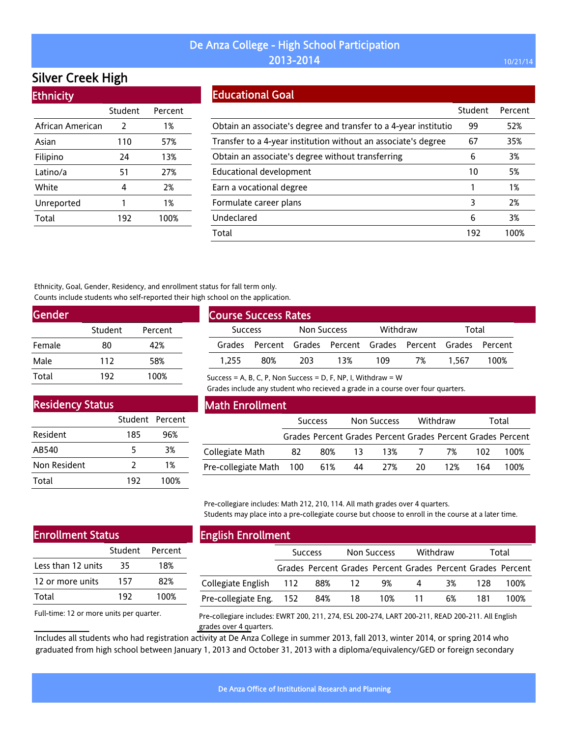# Silver Creek High

| <b>Ethnicity</b> |         |         |
|------------------|---------|---------|
|                  | Student | Percent |
| African American | 2       | 1%      |
| Asian            | 110     | 57%     |
| Filipino         | 24      | 13%     |
| Latino/a         | 51      | 27%     |
| White            | 4       | 2%      |
| Unreported       | 1       | 1%      |
| Total            | 192     | 100%    |

### Educational Goal

|                                                                  | Student | Percent |
|------------------------------------------------------------------|---------|---------|
| Obtain an associate's degree and transfer to a 4-year institutio | 99      | 52%     |
| Transfer to a 4-year institution without an associate's degree   | 67      | 35%     |
| Obtain an associate's degree without transferring                | 6       | 3%      |
| <b>Educational development</b>                                   | 10      | 5%      |
| Earn a vocational degree                                         | 1       | 1%      |
| Formulate career plans                                           | 3       | 2%      |
| Undeclared                                                       | 6       | 3%      |
| Total                                                            | 192     | 100%    |

Ethnicity, Goal, Gender, Residency, and enrollment status for fall term only. Counts include students who self-reported their high school on the application.

| <b>Gender</b> |         |         |
|---------------|---------|---------|
|               | Student | Percent |
| Female        | 80      | 42%     |
| Male          | 112     | 58%     |
| Total         | 192     | 100%    |

| <b>Course Success Rates</b> |                                                      |             |     |          |    |       |      |
|-----------------------------|------------------------------------------------------|-------------|-----|----------|----|-------|------|
| <b>Success</b>              |                                                      | Non Success |     | Withdraw |    | Total |      |
| Grades                      | Percent Grades Percent Grades Percent Grades Percent |             |     |          |    |       |      |
| 1.255                       | 80%                                                  | 203         | 13% | 109      | 7% | 1 567 | 100% |

Success = A, B, C, P, Non Success = D, F, NP, I, Withdraw =  $W$ 

Grades include any student who recieved a grade in a course over four quarters.

# Residency Status

|              | Student Percent |      |
|--------------|-----------------|------|
| Resident     | 185             | 96%  |
| AB540        | 5               | 3%   |
| Non Resident | 7               | 1%   |
| Total        | 192             | 100% |

#### Math Enrollment

|                         | <b>Success</b> |     | Withdraw<br>Non Success |     |       | Total |     |                                                             |
|-------------------------|----------------|-----|-------------------------|-----|-------|-------|-----|-------------------------------------------------------------|
|                         |                |     |                         |     |       |       |     | Grades Percent Grades Percent Grades Percent Grades Percent |
| Collegiate Math         | 82             |     | 80% 13                  |     | 13% 7 | 7%    | 102 | 100%                                                        |
| Pre-collegiate Math 100 |                | 61% | 44                      | 27% | 20.   | 12%   | 164 | 100%                                                        |

Pre-collegiare includes: Math 212, 210, 114. All math grades over 4 quarters. Students may place into a pre-collegiate course but choose to enroll in the course at a later time.

# Enrollment Status

|                    | Student Percent |      |
|--------------------|-----------------|------|
| Less than 12 units | 35              | 18%  |
| 12 or more units   | 157             | 82%  |
| Total              | 192             | 100% |

Full-time: 12 or more units per quarter.

#### English Enrollment

|                               | <b>Success</b> |                                                             | Non Success |           | Withdraw |    | Total |      |
|-------------------------------|----------------|-------------------------------------------------------------|-------------|-----------|----------|----|-------|------|
|                               |                | Grades Percent Grades Percent Grades Percent Grades Percent |             |           |          |    |       |      |
| Collegiate English 112 88% 12 |                |                                                             |             | 9%        | 4        | 3% | 128.  | 100% |
| Pre-collegiate Eng. 152 84%   |                |                                                             |             | 18 10% 11 |          | 6% | 181   | 100% |

Pre-collegiare includes: EWRT 200, 211, 274, ESL 200-274, LART 200-211, READ 200-211. All English grades over 4 quarters.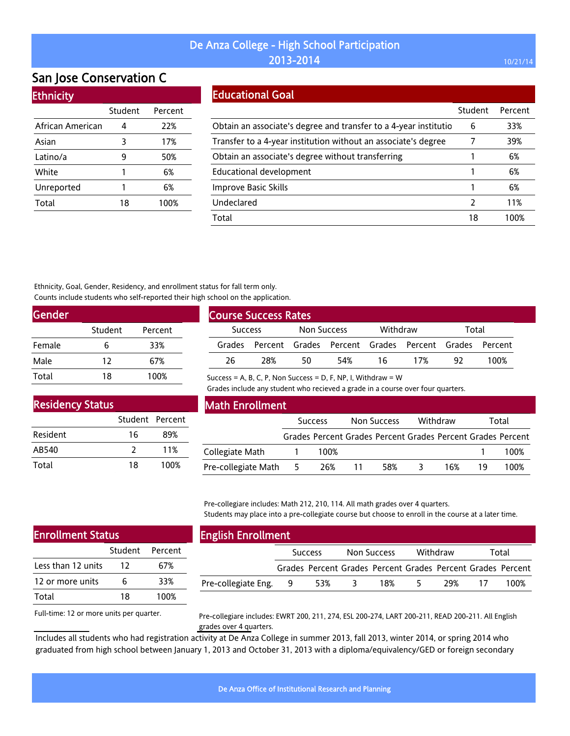# San Jose Conservation C

#### **Ethnicity**

|                  | Student | Percent |
|------------------|---------|---------|
| African American | 4       | 22%     |
| Asian            | 3       | 17%     |
| Latino/a         | q       | 50%     |
| White            | 1       | 6%      |
| Unreported       | 1       | 6%      |
| Total            | 18      | 100%    |

#### Educational Goal

|                                                                  | Student | Percent |
|------------------------------------------------------------------|---------|---------|
| Obtain an associate's degree and transfer to a 4-year institutio | 6       | 33%     |
| Transfer to a 4-year institution without an associate's degree   |         | 39%     |
| Obtain an associate's degree without transferring                |         | 6%      |
| Educational development                                          |         | 6%      |
| Improve Basic Skills                                             |         | 6%      |
| Undeclared                                                       | 2       | 11%     |
| Total                                                            | 18      | 100%    |

Ethnicity, Goal, Gender, Residency, and enrollment status for fall term only. Counts include students who self-reported their high school on the application.

| Gender |         |         |
|--------|---------|---------|
|        | Student | Percent |
| Female | 6       | 33%     |
| Male   | 12      | 67%     |
| Total  | 18      | 100%    |

| <b>Course Success Rates</b> |     |             |     |          |                                                      |       |      |  |
|-----------------------------|-----|-------------|-----|----------|------------------------------------------------------|-------|------|--|
| <b>Success</b>              |     | Non Success |     | Withdraw |                                                      | Total |      |  |
| Grades                      |     |             |     |          | Percent Grades Percent Grades Percent Grades Percent |       |      |  |
| 26                          | 28% | 50          | 54% | 16       | 17%                                                  | 97    | 100% |  |

Success = A, B, C, P, Non Success = D, F, NP, I, Withdraw =  $W$ 

Grades include any student who recieved a grade in a course over four quarters.

| <b>Residency Status</b> |                 |      |  |  |  |  |  |  |
|-------------------------|-----------------|------|--|--|--|--|--|--|
|                         | Student Percent |      |  |  |  |  |  |  |
| Resident                | 16              | 89%  |  |  |  |  |  |  |
| AB540                   | $\mathcal{P}$   | 11%  |  |  |  |  |  |  |
| Total                   | 18              | 100% |  |  |  |  |  |  |

Stud

#### Math Enrollment

|                     | <b>Success</b> |      | Non Success |     | Withdraw |     | Total |                                                             |
|---------------------|----------------|------|-------------|-----|----------|-----|-------|-------------------------------------------------------------|
|                     |                |      |             |     |          |     |       | Grades Percent Grades Percent Grades Percent Grades Percent |
| Collegiate Math     |                | 100% |             |     |          |     |       | 100%                                                        |
| Pre-collegiate Math | - 5            | 26%  |             | 58% |          | 16% |       | 100%                                                        |

Pre-collegiare includes: Math 212, 210, 114. All math grades over 4 quarters. Students may place into a pre-collegiate course but choose to enroll in the course at a later time.

|       |         | <b>English Enrollment</b> |                |     |             |                                                             |          |     |       |      |
|-------|---------|---------------------------|----------------|-----|-------------|-------------------------------------------------------------|----------|-----|-------|------|
| udent | Percent |                           | <b>Success</b> |     | Non Success |                                                             | Withdraw |     | Total |      |
| 12    | 67%     |                           |                |     |             | Grades Percent Grades Percent Grades Percent Grades Percent |          |     |       |      |
| 6     | 33%     | Pre-collegiate Eng.       | - 9            | 53% |             | 18%                                                         |          | 29% |       | 100% |
| 18    | 100%    |                           |                |     |             |                                                             |          |     |       |      |

Full-time: 12 or more units per quarter.

Enrollment Status

Less than 12 units 12 or more units

Total

Pre-collegiare includes: EWRT 200, 211, 274, ESL 200-274, LART 200-211, READ 200-211. All English grades over 4 quarters.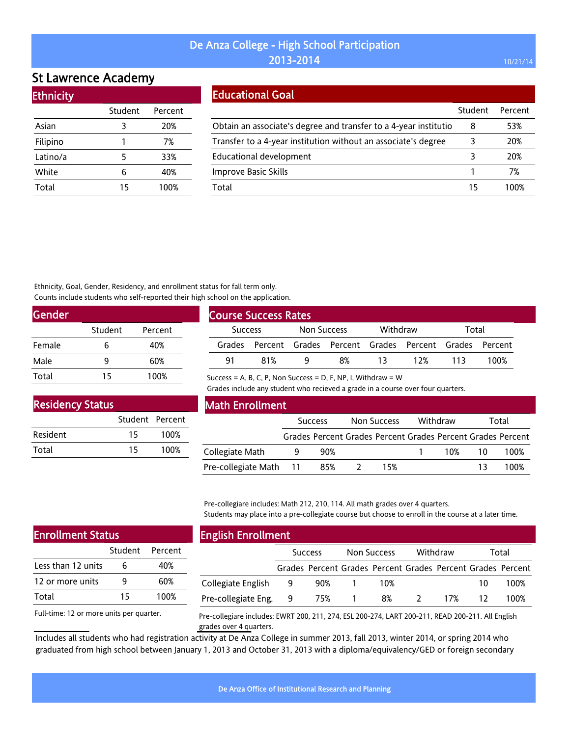# St Lawrence Academy

Ethnicity

| LUINICILY |         |         |
|-----------|---------|---------|
|           | Student | Percent |
| Asian     | 3       | 20%     |
| Filipino  | 1       | 7%      |
| Latino/a  | 5       | 33%     |
| White     | 6       | 40%     |
| Total     | 15      | 100%    |
|           |         |         |

#### Educational Goal

|                                                                  | Student | Percent |
|------------------------------------------------------------------|---------|---------|
| Obtain an associate's degree and transfer to a 4-year institutio | 8       | 53%     |
| Transfer to a 4-year institution without an associate's degree   |         | 20%     |
| <b>Educational development</b>                                   |         | 20%     |
| Improve Basic Skills                                             |         | 7%      |
| Total                                                            | 15      | 1በበ%    |

Ethnicity, Goal, Gender, Residency, and enrollment status for fall term only. Counts include students who self-reported their high school on the application.

| <b>Gender</b> |         |         |  |
|---------------|---------|---------|--|
|               | Student | Percent |  |
| Female        | 6       | 40%     |  |
| Male          | q       | 60%     |  |
| Total         | 15      | 100%    |  |

| <b>Course Success Rates</b> |                                                      |  |       |     |     |     |      |  |
|-----------------------------|------------------------------------------------------|--|-------|-----|-----|-----|------|--|
|                             | Withdraw<br>Non Success<br><b>Success</b>            |  | Total |     |     |     |      |  |
| Grades                      | Percent Grades Percent Grades Percent Grades Percent |  |       |     |     |     |      |  |
| 91                          | 81 <sup>%</sup>                                      |  | 8%    | 13. | 12% | 113 | 100% |  |

Success = A, B, C, P, Non Success = D, F, NP, I, Withdraw =  $W$ 

Grades include any student who recieved a grade in a course over four quarters.

| <b>Residency Status</b> |                 |      |  |  |  |  |  |
|-------------------------|-----------------|------|--|--|--|--|--|
|                         | Student Percent |      |  |  |  |  |  |
| Resident                | 15              | 100% |  |  |  |  |  |
| Total                   | 15              | 100% |  |  |  |  |  |

#### Math Enrollment

|                            | <b>Success</b> |     | Non Success |     | Withdraw |        | Total |                                                             |
|----------------------------|----------------|-----|-------------|-----|----------|--------|-------|-------------------------------------------------------------|
|                            |                |     |             |     |          |        |       | Grades Percent Grades Percent Grades Percent Grades Percent |
| Collegiate Math            |                | 90% |             |     |          | 10% 10 |       | 100%                                                        |
| Pre-collegiate Math 11 85% |                |     |             | 15% |          |        | 13    | 100%                                                        |

Pre-collegiare includes: Math 212, 210, 114. All math grades over 4 quarters. Students may place into a pre-collegiate course but choose to enroll in the course at a later time.

| <b>Enrollment Status</b> |    |                 |  |  |  |  |  |
|--------------------------|----|-----------------|--|--|--|--|--|
|                          |    | Student Percent |  |  |  |  |  |
| Less than 12 units       | 6  | 40%             |  |  |  |  |  |
| 12 or more units         | q  | 60%             |  |  |  |  |  |
| Total                    | 15 | 100%            |  |  |  |  |  |
|                          |    |                 |  |  |  |  |  |

Full-time: 12 or more units per quarter.

# English Enrollment

| ERBOUT EN VANDER    |                |                                                             |                    |     |          |     |       |      |
|---------------------|----------------|-------------------------------------------------------------|--------------------|-----|----------|-----|-------|------|
|                     | <b>Success</b> |                                                             | <b>Non Success</b> |     | Withdraw |     | Total |      |
|                     |                | Grades Percent Grades Percent Grades Percent Grades Percent |                    |     |          |     |       |      |
| Collegiate English  | -9             | 90%                                                         |                    | 10% |          |     | 10    | 100% |
| Pre-collegiate Eng. | - 9            | 75%                                                         |                    | 8%  |          | 17% |       | 100% |
|                     |                |                                                             |                    |     |          |     |       |      |

Pre-collegiare includes: EWRT 200, 211, 274, ESL 200-274, LART 200-211, READ 200-211. All English grades over 4 quarters.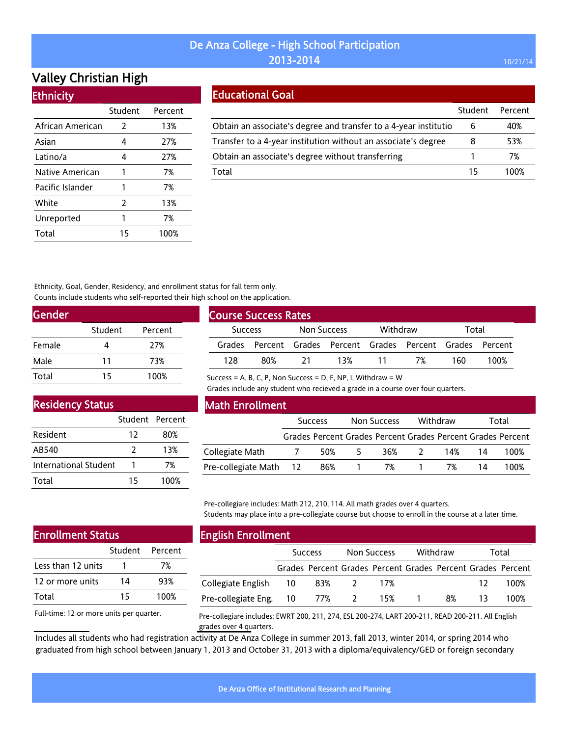# Valley Christian High

|  | <b>Ethnicity</b> |
|--|------------------|
|  |                  |

|                  | Student | Percent |
|------------------|---------|---------|
| African American | 2       | 13%     |
| Asian            | 4       | 27%     |
| Latino/a         | 4       | 27%     |
| Native American  | 1       | 7%      |
| Pacific Islander | 1       | 7%      |
| White            | 2       | 13%     |
| Unreported       | 1       | 7%      |
| Total            | 15      | 100%    |

### Educational Goal

|                                                                  | Student | Percent |
|------------------------------------------------------------------|---------|---------|
| Obtain an associate's degree and transfer to a 4-year institutio | 6       | 40%     |
| Transfer to a 4-year institution without an associate's degree   | 8       | 53%     |
| Obtain an associate's degree without transferring                |         | 7%      |
| Total                                                            | 15      | 100%    |

Ethnicity, Goal, Gender, Residency, and enrollment status for fall term only. Counts include students who self-reported their high school on the application.

| Gender |         |         |
|--------|---------|---------|
|        | Student | Percent |
| Female |         | 27%     |
| Male   | 11      | 73%     |
| Total  | 15      | 100%    |

| <b>Course Success Rates</b>   |     |          |     |       |                                                             |     |      |  |
|-------------------------------|-----|----------|-----|-------|-------------------------------------------------------------|-----|------|--|
| Non Success<br><b>Success</b> |     | Withdraw |     | Total |                                                             |     |      |  |
|                               |     |          |     |       | Grades Percent Grades Percent Grades Percent Grades Percent |     |      |  |
| 128                           | 80% | 21       | 13% |       | 7%                                                          | 160 | 100% |  |

Success = A, B, C, P, Non Success = D, F, NP, I, Withdraw =  $W$ 

Grades include any student who recieved a grade in a course over four quarters.

# Residency Status

|                       | Student Percent |      |
|-----------------------|-----------------|------|
| Resident              | 12              | 80%  |
| AB540                 | 2               | 13%  |
| International Student |                 | 7%   |
| Total                 | 15              | 100% |

#### Math Enrollment

|                        | <b>Success</b> |       | Non Success |              | Withdraw |     | Total |                                                             |
|------------------------|----------------|-------|-------------|--------------|----------|-----|-------|-------------------------------------------------------------|
|                        |                |       |             |              |          |     |       | Grades Percent Grades Percent Grades Percent Grades Percent |
| Collegiate Math        | $\overline{1}$ | 50%   | -5.         | 36%          | $\sim$ 2 | 14% | -14   | 100%                                                        |
| Pre-collegiate Math 12 |                | - 86% |             | 1 7% 1 7% 14 |          |     |       | 100%                                                        |

Pre-collegiare includes: Math 212, 210, 114. All math grades over 4 quarters. Students may place into a pre-collegiate course but choose to enroll in the course at a later time.

### Enrollment Status

|                    | Student Percent |      |
|--------------------|-----------------|------|
| Less than 12 units |                 | 7%   |
| 12 or more units   | 14              | 93%  |
| Total              | 15              | 100% |

Full-time: 12 or more units per quarter.

English Enrollment

|                        | <b>Success</b> |     | Non Success |                                                             | Withdraw |    | Total |      |
|------------------------|----------------|-----|-------------|-------------------------------------------------------------|----------|----|-------|------|
|                        |                |     |             | Grades Percent Grades Percent Grades Percent Grades Percent |          |    |       |      |
| Collegiate English 10  |                | 83% |             | 17%                                                         |          |    | 12    | 100% |
| Pre-collegiate Eng. 10 |                | 77% | $\sim$ 2    | 15%                                                         |          | 8% | 13.   | 100% |

Pre-collegiare includes: EWRT 200, 211, 274, ESL 200-274, LART 200-211, READ 200-211. All English grades over 4 quarters.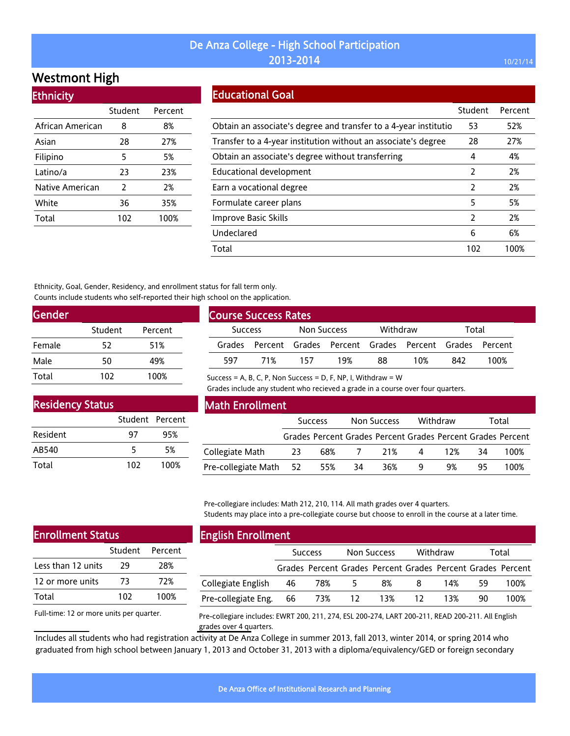# Westmont High

| <b>Ethnicity</b> |         |         |
|------------------|---------|---------|
|                  | Student | Percent |
| African American | 8       | 8%      |
| Asian            | 28      | 27%     |
| Filipino         | 5       | 5%      |
| Latino/a         | 23      | 23%     |
| Native American  | 2       | 2%      |
| White            | 36      | 35%     |
| Total            | 102     | 100%    |

### Educational Goal

|                                                                  | Student        | Percent |
|------------------------------------------------------------------|----------------|---------|
| Obtain an associate's degree and transfer to a 4-year institutio | 53             | 52%     |
| Transfer to a 4-year institution without an associate's degree   | 28             | 27%     |
| Obtain an associate's degree without transferring                | 4              | 4%      |
| Educational development                                          | 2              | 2%      |
| Earn a vocational degree                                         | 2              | 2%      |
| Formulate career plans                                           | 5              | 5%      |
| Improve Basic Skills                                             | $\overline{2}$ | 2%      |
| Undeclared                                                       | 6              | 6%      |
| Total                                                            | 102            | 100%    |

Ethnicity, Goal, Gender, Residency, and enrollment status for fall term only. Counts include students who self-reported their high school on the application.

| <b>Gender</b> |         |         |
|---------------|---------|---------|
|               | Student | Percent |
| Female        | 52      | 51%     |
| Male          | 50      | 49%     |
| Total         | 102     | 100%    |

| <b>Course Success Rates</b>   |     |     |                                                             |    |       |     |      |
|-------------------------------|-----|-----|-------------------------------------------------------------|----|-------|-----|------|
| Non Success<br><b>Success</b> |     |     | Withdraw                                                    |    | Total |     |      |
|                               |     |     | Grades Percent Grades Percent Grades Percent Grades Percent |    |       |     |      |
| 597                           | 71% | 157 | 19%                                                         | 88 | 10%   | 842 | 100% |

Success = A, B, C, P, Non Success = D, F, NP, I, Withdraw =  $W$ 

Grades include any student who recieved a grade in a course over four quarters.

| <b>Residency Status</b> |                 |      |
|-------------------------|-----------------|------|
|                         | Student Percent |      |
| Resident                | 97              | 95%  |
| AB540                   | 5               | 5%   |
| Total                   | 102             | 100% |

#### Math Enrollment

|                        | <b>Success</b> |     | Non Success    |     | Withdraw |     | Total |                                                             |
|------------------------|----------------|-----|----------------|-----|----------|-----|-------|-------------------------------------------------------------|
|                        |                |     |                |     |          |     |       | Grades Percent Grades Percent Grades Percent Grades Percent |
| Collegiate Math        | 23             | 68% | $\overline{7}$ | 21% | 4        | 12% | 34    | 100%                                                        |
| Pre-collegiate Math 52 |                | 55% | 34             | 36% | q        | 9%  | 95.   | 100%                                                        |

Pre-collegiare includes: Math 212, 210, 114. All math grades over 4 quarters. Students may place into a pre-collegiate course but choose to enroll in the course at a later time.

| <b>Enrollment Status</b> |     |                 |  |  |  |
|--------------------------|-----|-----------------|--|--|--|
|                          |     | Student Percent |  |  |  |
| Less than 12 units       | 29  | 28%             |  |  |  |
| 12 or more units         | 73  | 72%             |  |  |  |
| Total                    | 102 | 100%            |  |  |  |
|                          |     |                 |  |  |  |

#### English Enrollment

| ---------------------- |                |                                                             |             |    |          |     |       |      |  |
|------------------------|----------------|-------------------------------------------------------------|-------------|----|----------|-----|-------|------|--|
|                        | <b>Success</b> |                                                             | Non Success |    | Withdraw |     | Total |      |  |
|                        |                | Grades Percent Grades Percent Grades Percent Grades Percent |             |    |          |     |       |      |  |
| Collegiate English     | 46             | 78%                                                         | 5           | 8% | 8        | 14% | 59    | 100% |  |
| Pre-collegiate Eng. 66 |                | 73% 12 13%                                                  |             |    | - 12     | 13% | 90.   | 100% |  |
|                        |                |                                                             |             |    |          |     |       |      |  |

Full-time: 12 or more units per quarter.

Pre-collegiare includes: EWRT 200, 211, 274, ESL 200-274, LART 200-211, READ 200-211. All English grades over 4 quarters.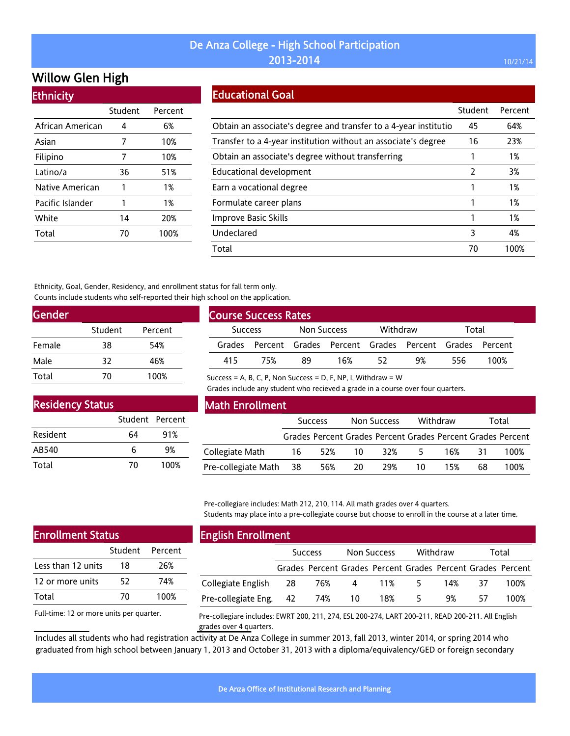# Willow Glen High

| <b>Ethnicity</b> |         |         |  |  |  |  |
|------------------|---------|---------|--|--|--|--|
|                  | Student | Percent |  |  |  |  |
| African American | 4       | 6%      |  |  |  |  |
| Asian            | 7       | 10%     |  |  |  |  |
| Filipino         | 7       | 10%     |  |  |  |  |
| Latino/a         | 36      | 51%     |  |  |  |  |
| Native American  | 1       | 1%      |  |  |  |  |
| Pacific Islander | 1       | 1%      |  |  |  |  |
| White            | 14      | 20%     |  |  |  |  |
| Total            | 70      | 100%    |  |  |  |  |

### Educational Goal

|                                                                  | Student | Percent |
|------------------------------------------------------------------|---------|---------|
| Obtain an associate's degree and transfer to a 4-year institutio | 45      | 64%     |
| Transfer to a 4-year institution without an associate's degree   | 16      | 23%     |
| Obtain an associate's degree without transferring                |         | 1%      |
| <b>Educational development</b>                                   | 2       | 3%      |
| Earn a vocational degree                                         |         | 1%      |
| Formulate career plans                                           |         | 1%      |
| Improve Basic Skills                                             |         | 1%      |
| Undeclared                                                       | 3       | 4%      |
| Total                                                            | 70      | 100%    |

Ethnicity, Goal, Gender, Residency, and enrollment status for fall term only. Counts include students who self-reported their high school on the application.

| <b>Gender</b> |         |         |  |
|---------------|---------|---------|--|
|               | Student | Percent |  |
| Female        | 38      | 54%     |  |
| Male          | 32      | 46%     |  |
| Total         | 70      | 100%    |  |

| <b>Course Success Rates</b> |     |             |     |          |                                                             |       |      |
|-----------------------------|-----|-------------|-----|----------|-------------------------------------------------------------|-------|------|
| <b>Success</b>              |     | Non Success |     | Withdraw |                                                             | Total |      |
|                             |     |             |     |          | Grades Percent Grades Percent Grades Percent Grades Percent |       |      |
| 415                         | 75% | 89          | 16% | 52       | 9%                                                          | 556   | 100% |

Success = A, B, C, P, Non Success = D, F, NP, I, Withdraw =  $W$ 

Grades include any student who recieved a grade in a course over four quarters.

| <b>Residency Status</b> |                 |      |
|-------------------------|-----------------|------|
|                         | Student Percent |      |
| Resident                | 64              | 91%  |
| AB540                   | 6               | 9%   |
| Total                   | 70              | 100% |

#### Math Enrollment

|                        | <b>Success</b> |     | Non Success |                                                             | Withdraw |     | Total |      |
|------------------------|----------------|-----|-------------|-------------------------------------------------------------|----------|-----|-------|------|
|                        |                |     |             | Grades Percent Grades Percent Grades Percent Grades Percent |          |     |       |      |
| Collegiate Math        | 16             | 52% | - 10-       | 32%                                                         | -5.      | 16% | -31   | 100% |
| Pre-collegiate Math 38 |                | 56% | 20          | 29%                                                         | 10       | 15% | 68    | 100% |

Pre-collegiare includes: Math 212, 210, 114. All math grades over 4 quarters. Students may place into a pre-collegiate course but choose to enroll in the course at a later time.

| <b>Enrollment Status</b> |    |                 |  |  |  |  |  |
|--------------------------|----|-----------------|--|--|--|--|--|
|                          |    | Student Percent |  |  |  |  |  |
| Less than 12 units       | 18 | 26%             |  |  |  |  |  |
| 12 or more units         | 52 | 74%             |  |  |  |  |  |
| Total                    | 70 | 100%            |  |  |  |  |  |
|                          |    |                 |  |  |  |  |  |

#### English Enrollment

| <b>Success</b>         |     | Non Success |     | Withdraw |     | Total |                                                             |
|------------------------|-----|-------------|-----|----------|-----|-------|-------------------------------------------------------------|
|                        |     |             |     |          |     |       |                                                             |
| Collegiate English 28  | 76% | 4           |     | 5.       | 14% | 37    | 100%                                                        |
| Pre-collegiate Eng. 42 | 74% | -10         | 18% | 5        | 9%  | 57    | 100%                                                        |
|                        |     |             |     |          | 11% |       | Grades Percent Grades Percent Grades Percent Grades Percent |

Full-time: 12 or more units per quarter.

Pre-collegiare includes: EWRT 200, 211, 274, ESL 200-274, LART 200-211, READ 200-211. All English grades over 4 quarters.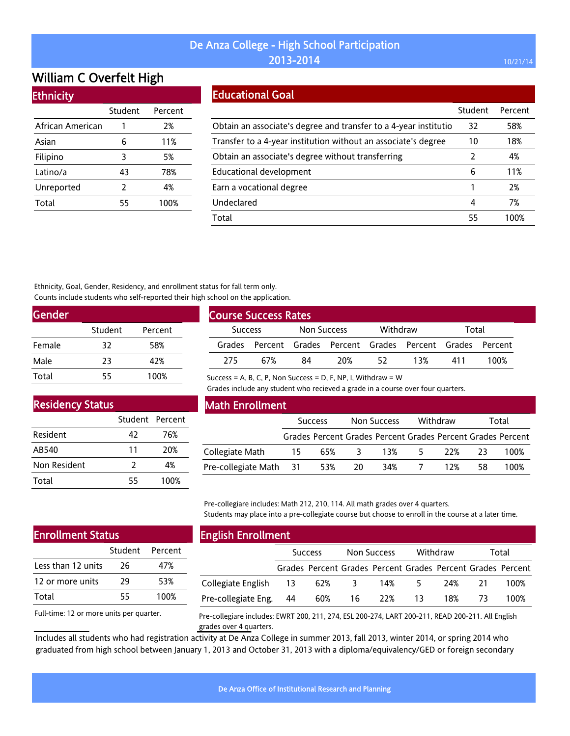# William C Overfelt High

#### **Ethnicity**

|                  | Student | Percent |
|------------------|---------|---------|
| African American |         | 2%      |
| Asian            | 6       | 11%     |
| Filipino         | 3       | 5%      |
| Latino/a         | 43      | 78%     |
| Unreported       | 2       | 4%      |
| Total            | 55      | 100%    |

#### Educational Goal

|                                                                  | Student | Percent |
|------------------------------------------------------------------|---------|---------|
| Obtain an associate's degree and transfer to a 4-year institutio | 32      | 58%     |
| Transfer to a 4-year institution without an associate's degree   | 10      | 18%     |
| Obtain an associate's degree without transferring                | 2       | 4%      |
| Educational development                                          | 6       | 11%     |
| Earn a vocational degree                                         |         | 2%      |
| Undeclared                                                       | 4       | 7%      |
| Total                                                            | 55      | 1በበ%    |

Ethnicity, Goal, Gender, Residency, and enrollment status for fall term only. Counts include students who self-reported their high school on the application.

| <b>Gender</b> |         |         |
|---------------|---------|---------|
|               | Student | Percent |
| Female        | 32      | 58%     |
| Male          | 23      | 42%     |
| Total         | 55      | 100%    |

| <b>Course Success Rates</b>          |     |    |          |    |                                                      |     |      |  |
|--------------------------------------|-----|----|----------|----|------------------------------------------------------|-----|------|--|
| <b>Non Success</b><br><b>Success</b> |     |    | Withdraw |    | Total                                                |     |      |  |
| Grades                               |     |    |          |    | Percent Grades Percent Grades Percent Grades Percent |     |      |  |
| 275                                  | 67% | 84 | 20%      | 52 | 13%                                                  | 411 | 100% |  |

Success = A, B, C, P, Non Success = D, F, NP, I, Withdraw =  $W$ 

Grades include any student who recieved a grade in a course over four quarters.

### Residency Status

|              | Student Percent |      |
|--------------|-----------------|------|
| Resident     | 42              | 76%  |
| AB540        | 11              | 20%  |
| Non Resident | 2               | 4%   |
| Total        | 55              | 100% |

#### Math Enrollment

|                            | <b>Success</b> |  |       | Withdraw<br>Non Success                                     |       |     |      | Total |  |
|----------------------------|----------------|--|-------|-------------------------------------------------------------|-------|-----|------|-------|--|
|                            |                |  |       | Grades Percent Grades Percent Grades Percent Grades Percent |       |     |      |       |  |
| Collegiate Math            | 15             |  | 65% 3 |                                                             | 13% 5 | 22% | -23- | 100%  |  |
| Pre-collegiate Math 31 53% |                |  | - 20  |                                                             | 34% 7 | 12% | 58.  | 100%  |  |

Pre-collegiare includes: Math 212, 210, 114. All math grades over 4 quarters. Students may place into a pre-collegiate course but choose to enroll in the course at a later time.

# Enrollment Status

|                    | Student Percent |      |
|--------------------|-----------------|------|
| Less than 12 units | 26              | 47%  |
| 12 or more units   | 29              | 53%  |
| Total              | 55              | 100% |

Full-time: 12 or more units per quarter.

### English Enrollment

|                       | <b>Success</b> |                                                             |     | Non Success |    | Withdraw | Total |      |
|-----------------------|----------------|-------------------------------------------------------------|-----|-------------|----|----------|-------|------|
|                       |                | Grades Percent Grades Percent Grades Percent Grades Percent |     |             |    |          |       |      |
| Collegiate English 13 |                | 62%                                                         | -3- | 14%         | 5. | 24%      | 21    | 100% |
| Pre-collegiate Eng.   | 44             | 60%                                                         | 16  | 22%         | 13 | 18%      |       | 100% |

Pre-collegiare includes: EWRT 200, 211, 274, ESL 200-274, LART 200-211, READ 200-211. All English grades over 4 quarters.